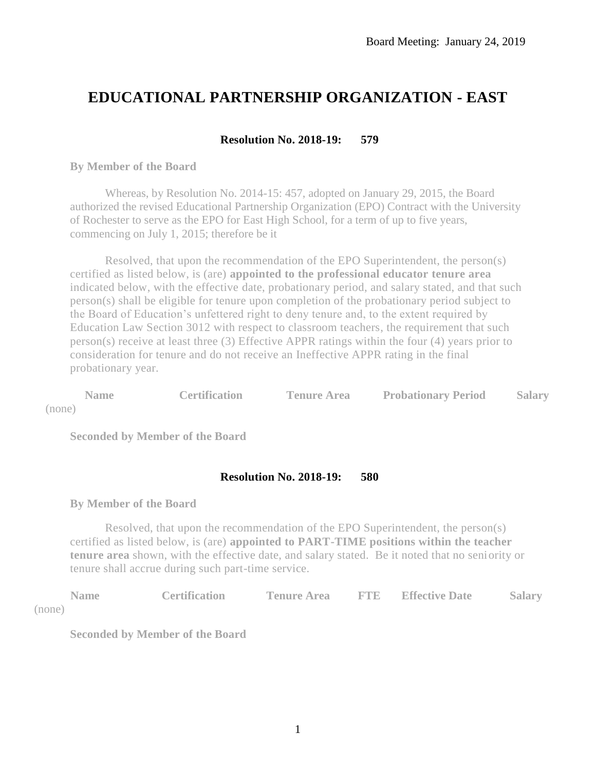# **EDUCATIONAL PARTNERSHIP ORGANIZATION - EAST**

# **Resolution No. 2018-19: 579**

#### **By Member of the Board**

Whereas, by Resolution No. 2014-15: 457, adopted on January 29, 2015, the Board authorized the revised Educational Partnership Organization (EPO) Contract with the University of Rochester to serve as the EPO for East High School, for a term of up to five years, commencing on July 1, 2015; therefore be it

Resolved, that upon the recommendation of the EPO Superintendent, the person(s) certified as listed below, is (are) **appointed to the professional educator tenure area** indicated below, with the effective date, probationary period, and salary stated, and that such person(s) shall be eligible for tenure upon completion of the probationary period subject to the Board of Education's unfettered right to deny tenure and, to the extent required by Education Law Section 3012 with respect to classroom teachers, the requirement that such person(s) receive at least three (3) Effective APPR ratings within the four (4) years prior to consideration for tenure and do not receive an Ineffective APPR rating in the final probationary year.

**Name Certification Tenure Area Probationary Period Salary** (none)

**Seconded by Member of the Board**

# **Resolution No. 2018-19: 580**

## **By Member of the Board**

Resolved, that upon the recommendation of the EPO Superintendent, the person(s) certified as listed below, is (are) **appointed to PART-TIME positions within the teacher tenure area** shown, with the effective date, and salary stated. Be it noted that no seniority or tenure shall accrue during such part-time service.

| Name:  | <b>Certification</b> | <b>Tenure Area</b> | <b>FTE</b> Effective Date | <b>Salary</b> |
|--------|----------------------|--------------------|---------------------------|---------------|
| (none) |                      |                    |                           |               |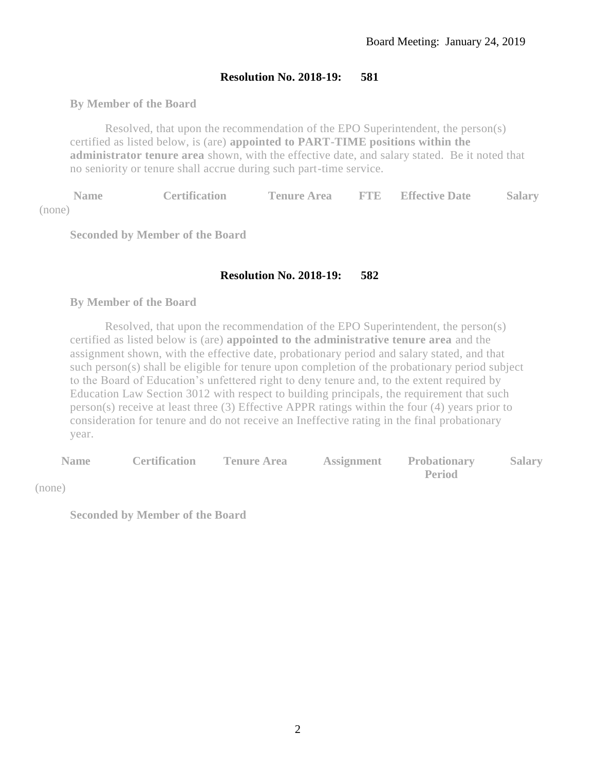## **By Member of the Board**

Resolved, that upon the recommendation of the EPO Superintendent, the person(s) certified as listed below, is (are) **appointed to PART-TIME positions within the administrator tenure area** shown, with the effective date, and salary stated. Be it noted that no seniority or tenure shall accrue during such part-time service.

**Name Certification Tenure Area FTE Effective Date Salary** (none)

**Seconded by Member of the Board**

# **Resolution No. 2018-19: 582**

#### **By Member of the Board**

Resolved, that upon the recommendation of the EPO Superintendent, the person(s) certified as listed below is (are) **appointed to the administrative tenure area** and the assignment shown, with the effective date, probationary period and salary stated, and that such person(s) shall be eligible for tenure upon completion of the probationary period subject to the Board of Education's unfettered right to deny tenure and, to the extent required by Education Law Section 3012 with respect to building principals, the requirement that such person(s) receive at least three (3) Effective APPR ratings within the four (4) years prior to consideration for tenure and do not receive an Ineffective rating in the final probationary year.

| <b>Name</b> |  | <b>Certification Tenure Area Assignment Probationary Salary</b> |  |
|-------------|--|-----------------------------------------------------------------|--|
| (none)      |  | <b>Period</b>                                                   |  |
|             |  |                                                                 |  |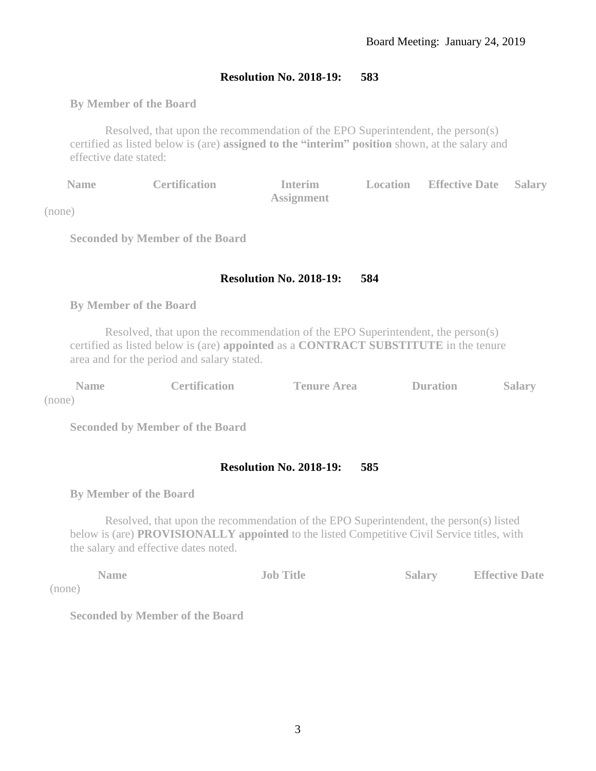# **By Member of the Board**

Resolved, that upon the recommendation of the EPO Superintendent, the person(s) certified as listed below is (are) **assigned to the "interim" position** shown, at the salary and effective date stated:

| <b>Name</b> | <b>Certification</b> | <b>Interim</b>    | <b>Location</b> Effective Date Salary |  |
|-------------|----------------------|-------------------|---------------------------------------|--|
|             |                      | <b>Assignment</b> |                                       |  |

(none)

**Seconded by Member of the Board**

# **Resolution No. 2018-19: 584**

## **By Member of the Board**

Resolved, that upon the recommendation of the EPO Superintendent, the person(s) certified as listed below is (are) **appointed** as a **CONTRACT SUBSTITUTE** in the tenure area and for the period and salary stated.

| <b>Name</b>          | <b>Certification</b> | <b>Tenure Area</b> | <b>Duration</b> | <b>Salary</b> |
|----------------------|----------------------|--------------------|-----------------|---------------|
| $(m \wedge m \wedge$ |                      |                    |                 |               |

(none)

 $\overline{()}$ 

**Seconded by Member of the Board**

# **Resolution No. 2018-19: 585**

**By Member of the Board**

Resolved, that upon the recommendation of the EPO Superintendent, the person(s) listed below is (are) **PROVISIONALLY appointed** to the listed Competitive Civil Service titles, with the salary and effective dates noted.

|       | <b>Name</b> | <b>Job Title</b> | Salary | <b>Effective Date</b> |
|-------|-------------|------------------|--------|-----------------------|
| none) |             |                  |        |                       |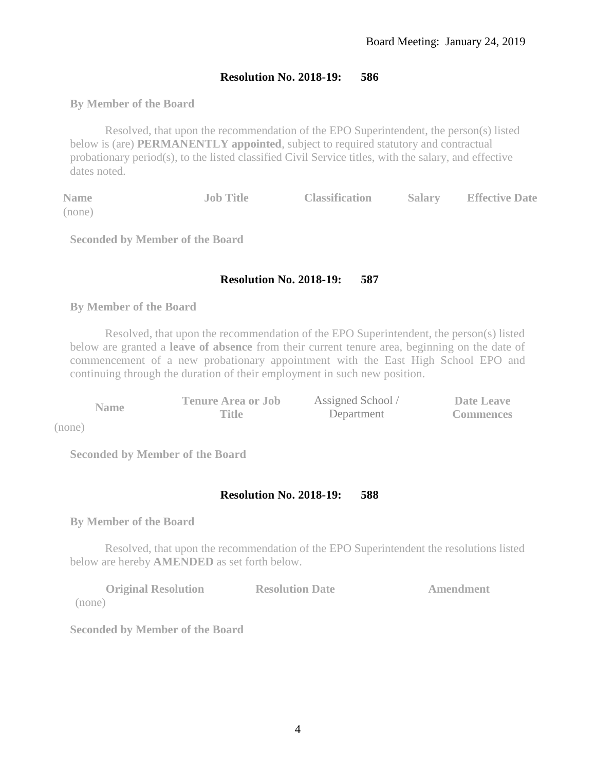# **By Member of the Board**

Resolved, that upon the recommendation of the EPO Superintendent, the person(s) listed below is (are) **PERMANENTLY appointed**, subject to required statutory and contractual probationary period(s), to the listed classified Civil Service titles, with the salary, and effective dates noted.

| <b>Name</b> | <b>Job Title</b> | <b>Classification</b> | Salary | <b>Effective Date</b> |
|-------------|------------------|-----------------------|--------|-----------------------|
| (none)      |                  |                       |        |                       |

**Seconded by Member of the Board**

## **Resolution No. 2018-19: 587**

#### **By Member of the Board**

Resolved, that upon the recommendation of the EPO Superintendent, the person(s) listed below are granted a **leave of absence** from their current tenure area, beginning on the date of commencement of a new probationary appointment with the East High School EPO and continuing through the duration of their employment in such new position.

|             | <b>Tenure Area or Job</b> | Assigned School / | Date Leave       |
|-------------|---------------------------|-------------------|------------------|
| <b>Name</b> | Title                     | Department        | <b>Commences</b> |

(none)

**Seconded by Member of the Board**

## **Resolution No. 2018-19: 588**

**By Member of the Board**

Resolved, that upon the recommendation of the EPO Superintendent the resolutions listed below are hereby **AMENDED** as set forth below.

| <b>Original Resolution</b> | <b>Resolution Date</b> | Amendment |
|----------------------------|------------------------|-----------|
| (none)                     |                        |           |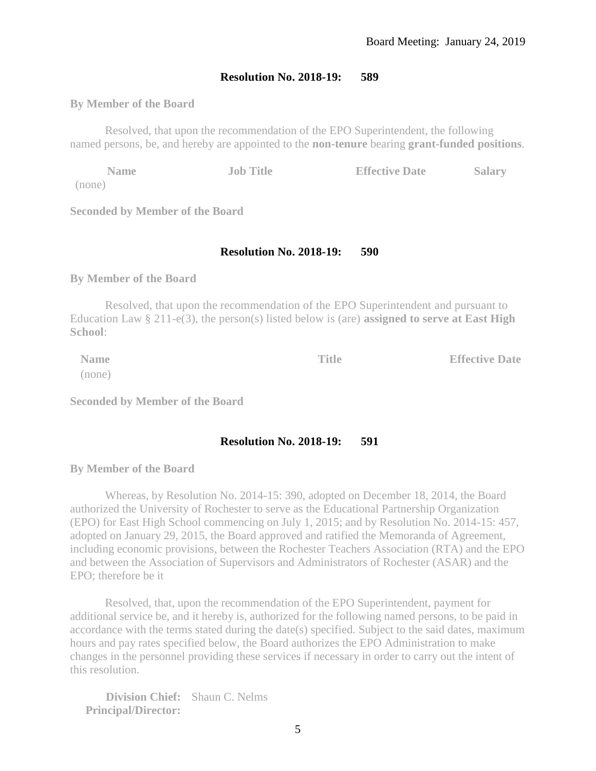#### **By Member of the Board**

Resolved, that upon the recommendation of the EPO Superintendent, the following named persons, be, and hereby are appointed to the **non-tenure** bearing **grant-funded positions**.

**Name Job Title Effective Date Salary** (none)

**Seconded by Member of the Board**

#### **Resolution No. 2018-19: 590**

**By Member of the Board** 

Resolved, that upon the recommendation of the EPO Superintendent and pursuant to Education Law § 211-e(3), the person(s) listed below is (are) **assigned to serve at East High School**:

(none)

**Name Title Effective Date** 

**Seconded by Member of the Board**

#### **Resolution No. 2018-19: 591**

**By Member of the Board**

Whereas, by Resolution No. 2014-15: 390, adopted on December 18, 2014, the Board authorized the University of Rochester to serve as the Educational Partnership Organization (EPO) for East High School commencing on July 1, 2015; and by Resolution No. 2014-15: 457, adopted on January 29, 2015, the Board approved and ratified the Memoranda of Agreement, including economic provisions, between the Rochester Teachers Association (RTA) and the EPO and between the Association of Supervisors and Administrators of Rochester (ASAR) and the EPO; therefore be it

Resolved, that, upon the recommendation of the EPO Superintendent, payment for additional service be, and it hereby is, authorized for the following named persons, to be paid in accordance with the terms stated during the date(s) specified. Subject to the said dates, maximum hours and pay rates specified below, the Board authorizes the EPO Administration to make changes in the personnel providing these services if necessary in order to carry out the intent of this resolution.

**Division Chief:** Shaun C. Nelms **Principal/Director:**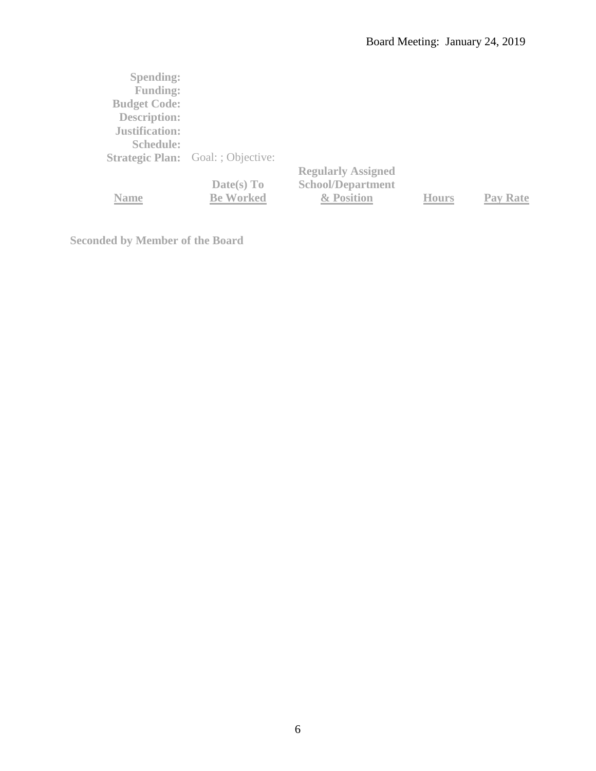| <b>Spending:</b>      |                                           |                           |              |          |
|-----------------------|-------------------------------------------|---------------------------|--------------|----------|
| <b>Funding:</b>       |                                           |                           |              |          |
| <b>Budget Code:</b>   |                                           |                           |              |          |
| <b>Description:</b>   |                                           |                           |              |          |
| <b>Justification:</b> |                                           |                           |              |          |
| <b>Schedule:</b>      |                                           |                           |              |          |
|                       | <b>Strategic Plan:</b> Goal: ; Objective: |                           |              |          |
|                       |                                           | <b>Regularly Assigned</b> |              |          |
|                       | Date(s) To                                | <b>School/Department</b>  |              |          |
| Name                  | <b>Be Worked</b>                          | & Position                | <b>Hours</b> | Pav Rate |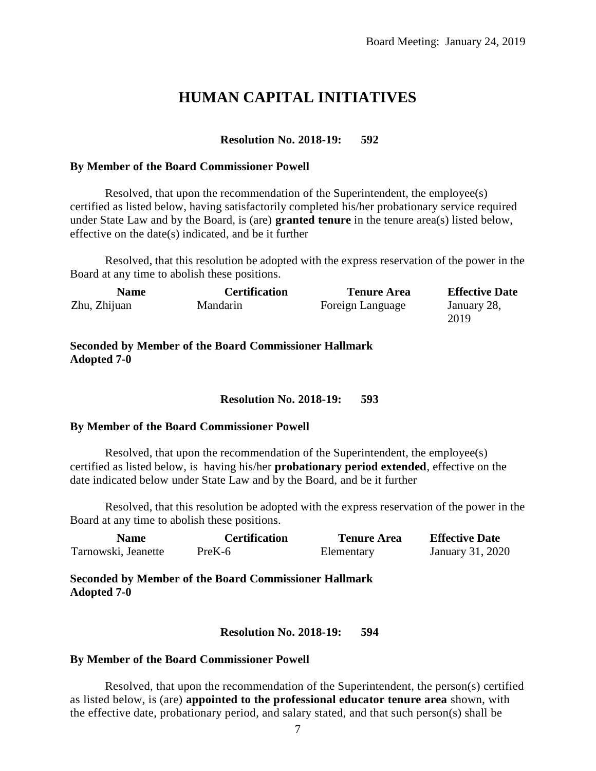# **HUMAN CAPITAL INITIATIVES**

#### **Resolution No. 2018-19: 592**

#### **By Member of the Board Commissioner Powell**

Resolved, that upon the recommendation of the Superintendent, the employee(s) certified as listed below, having satisfactorily completed his/her probationary service required under State Law and by the Board, is (are) **granted tenure** in the tenure area(s) listed below, effective on the date(s) indicated, and be it further

Resolved, that this resolution be adopted with the express reservation of the power in the Board at any time to abolish these positions.

| <b>Certification</b> | <b>Tenure Area</b> | <b>Effective Date</b> |
|----------------------|--------------------|-----------------------|
| Mandarin             | Foreign Language   | January 28,<br>2019   |
|                      |                    |                       |

#### **Seconded by Member of the Board Commissioner Hallmark Adopted 7-0**

#### **Resolution No. 2018-19: 593**

#### **By Member of the Board Commissioner Powell**

Resolved, that upon the recommendation of the Superintendent, the employee(s) certified as listed below, is having his/her **probationary period extended**, effective on the date indicated below under State Law and by the Board, and be it further

Resolved, that this resolution be adopted with the express reservation of the power in the Board at any time to abolish these positions.

| <b>Name</b>         | <b>Certification</b> | <b>Tenure Area</b> | <b>Effective Date</b> |
|---------------------|----------------------|--------------------|-----------------------|
| Tarnowski, Jeanette | PreK-6               | Elementary         | January 31, 2020      |

**Seconded by Member of the Board Commissioner Hallmark Adopted 7-0**

**Resolution No. 2018-19: 594**

#### **By Member of the Board Commissioner Powell**

Resolved, that upon the recommendation of the Superintendent, the person(s) certified as listed below, is (are) **appointed to the professional educator tenure area** shown, with the effective date, probationary period, and salary stated, and that such person(s) shall be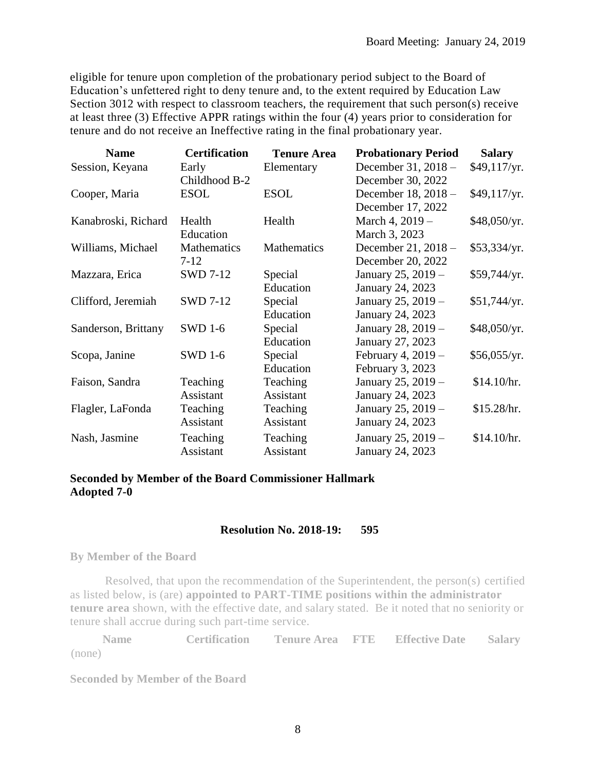eligible for tenure upon completion of the probationary period subject to the Board of Education's unfettered right to deny tenure and, to the extent required by Education Law Section 3012 with respect to classroom teachers, the requirement that such person(s) receive at least three (3) Effective APPR ratings within the four (4) years prior to consideration for tenure and do not receive an Ineffective rating in the final probationary year.

| <b>Name</b>         | <b>Certification</b> | <b>Tenure Area</b> | <b>Probationary Period</b> | <b>Salary</b> |
|---------------------|----------------------|--------------------|----------------------------|---------------|
| Session, Keyana     | Early                | Elementary         | December 31, 2018 -        | \$49,117/yr.  |
|                     | Childhood B-2        |                    | December 30, 2022          |               |
| Cooper, Maria       | <b>ESOL</b>          | <b>ESOL</b>        | December 18, 2018 -        | \$49,117/yr.  |
|                     |                      |                    | December 17, 2022          |               |
| Kanabroski, Richard | Health               | Health             | March 4, 2019 -            | \$48,050/yr.  |
|                     | Education            |                    | March 3, 2023              |               |
| Williams, Michael   | Mathematics          | Mathematics        | December 21, 2018 -        | \$53,334/yr.  |
|                     | $7 - 12$             |                    | December 20, 2022          |               |
| Mazzara, Erica      | <b>SWD 7-12</b>      | Special            | January 25, 2019 -         | \$59,744/yr.  |
|                     |                      | Education          | January 24, 2023           |               |
| Clifford, Jeremiah  | <b>SWD 7-12</b>      | Special            | January 25, 2019 -         | \$51,744/yr.  |
|                     |                      | Education          | January 24, 2023           |               |
| Sanderson, Brittany | <b>SWD 1-6</b>       | Special            | January 28, 2019 -         | \$48,050/yr.  |
|                     |                      | Education          | January 27, 2023           |               |
| Scopa, Janine       | <b>SWD 1-6</b>       | Special            | February 4, 2019 -         | \$56,055/yr.  |
|                     |                      | Education          | February 3, 2023           |               |
| Faison, Sandra      | Teaching             | Teaching           | January 25, 2019 -         | \$14.10/hr.   |
|                     | Assistant            | Assistant          | January 24, 2023           |               |
| Flagler, LaFonda    | Teaching             | Teaching           | January 25, 2019 -         | \$15.28/hr.   |
|                     | Assistant            | Assistant          | January 24, 2023           |               |
| Nash, Jasmine       | Teaching             | Teaching           | January 25, 2019 -         | \$14.10/hr.   |
|                     | Assistant            | Assistant          | January 24, 2023           |               |

# **Seconded by Member of the Board Commissioner Hallmark Adopted 7-0**

# **Resolution No. 2018-19: 595**

#### **By Member of the Board**

Resolved, that upon the recommendation of the Superintendent, the person(s) certified as listed below, is (are) **appointed to PART-TIME positions within the administrator tenure area** shown, with the effective date, and salary stated. Be it noted that no seniority or tenure shall accrue during such part-time service.

**Name Certification Tenure Area FTE Effective Date Salary** (none)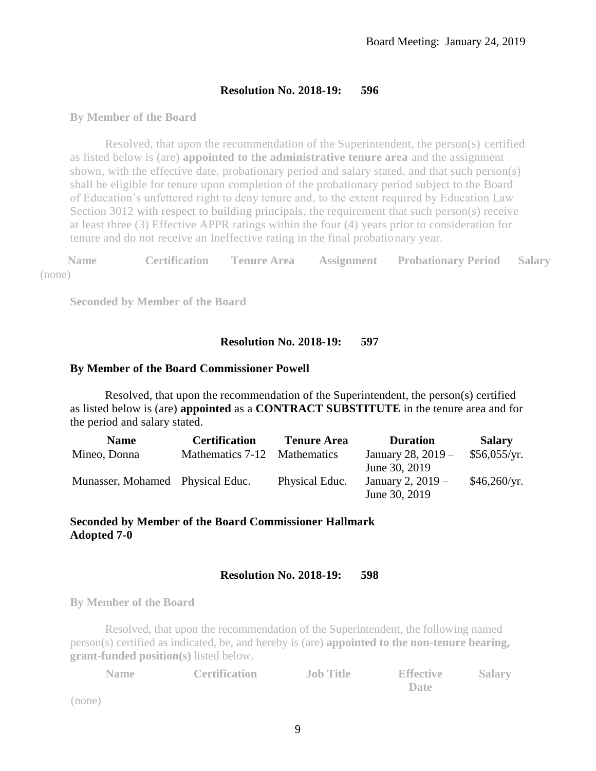#### **By Member of the Board**

Resolved, that upon the recommendation of the Superintendent, the person(s) certified as listed below is (are) **appointed to the administrative tenure area** and the assignment shown, with the effective date, probationary period and salary stated, and that such person(s) shall be eligible for tenure upon completion of the probationary period subject to the Board of Education's unfettered right to deny tenure and, to the extent required by Education Law Section 3012 with respect to building principals, the requirement that such person(s) receive at least three (3) Effective APPR ratings within the four (4) years prior to consideration for tenure and do not receive an Ineffective rating in the final probationary year.

**Name Certification Tenure Area Assignment Probationary Period Salary** (none)

**Seconded by Member of the Board**

#### **Resolution No. 2018-19: 597**

#### **By Member of the Board Commissioner Powell**

Resolved, that upon the recommendation of the Superintendent, the person(s) certified as listed below is (are) **appointed** as a **CONTRACT SUBSTITUTE** in the tenure area and for the period and salary stated.

| <b>Name</b>                      | <b>Certification</b>         | <b>Tenure Area</b> | <b>Duration</b>      | <b>Salary</b> |
|----------------------------------|------------------------------|--------------------|----------------------|---------------|
| Mineo, Donna                     | Mathematics 7-12 Mathematics |                    | January 28, $2019 -$ | \$56,055/yr.  |
|                                  |                              |                    | June 30, 2019        |               |
| Munasser, Mohamed Physical Educ. |                              | Physical Educ.     | January 2, $2019 -$  | \$46,260/yr.  |
|                                  |                              |                    | June 30, 2019        |               |

#### **Seconded by Member of the Board Commissioner Hallmark Adopted 7-0**

#### **Resolution No. 2018-19: 598**

**By Member of the Board**

Resolved, that upon the recommendation of the Superintendent, the following named person(s) certified as indicated, be, and hereby is (are) **appointed to the non-tenure bearing, grant-funded position(s)** listed below.

| <b>Name</b> | <b>Certification</b> | <b>Job Title</b> | <b>Effective</b> | <b>Salary</b> |
|-------------|----------------------|------------------|------------------|---------------|
|             |                      |                  | Date             |               |
|             |                      |                  |                  |               |

(none)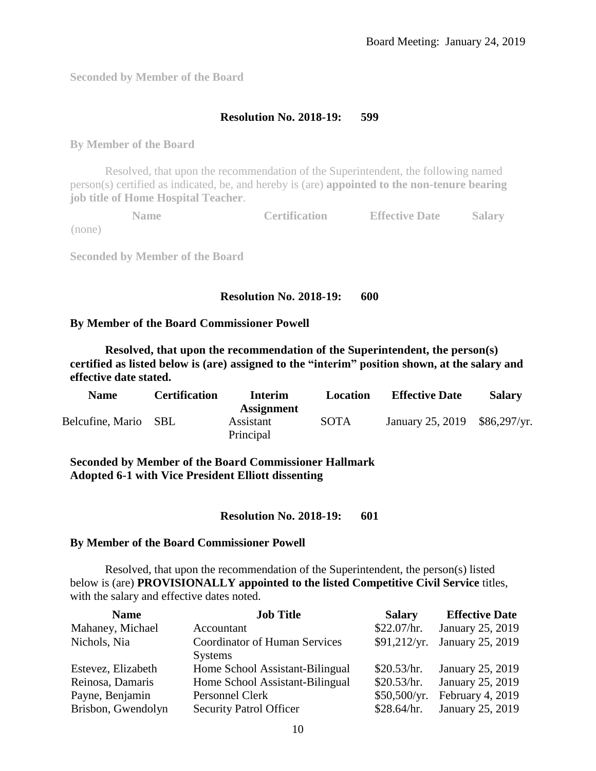**Seconded by Member of the Board**

## **Resolution No. 2018-19: 599**

**By Member of the Board**

Resolved, that upon the recommendation of the Superintendent, the following named person(s) certified as indicated, be, and hereby is (are) **appointed to the non-tenure bearing job title of Home Hospital Teacher**.

**Name Certification Effective Date Salary** (none)

**Seconded by Member of the Board**

#### **Resolution No. 2018-19: 600**

#### **By Member of the Board Commissioner Powell**

**Resolved, that upon the recommendation of the Superintendent, the person(s) certified as listed below is (are) assigned to the "interim" position shown, at the salary and effective date stated.**

| <b>Name</b>      | <b>Certification</b> | Interim                                     | Location    | <b>Effective Date</b> | <b>Salary</b> |
|------------------|----------------------|---------------------------------------------|-------------|-----------------------|---------------|
| Belcufine, Mario | - SBL                | <b>Assignment</b><br>Assistant<br>Principal | <b>SOTA</b> | January 25, 2019      | \$86,297/yr.  |

**Seconded by Member of the Board Commissioner Hallmark Adopted 6-1 with Vice President Elliott dissenting**

**Resolution No. 2018-19: 601**

#### **By Member of the Board Commissioner Powell**

Resolved, that upon the recommendation of the Superintendent, the person(s) listed below is (are) **PROVISIONALLY appointed to the listed Competitive Civil Service** titles, with the salary and effective dates noted.

| <b>Name</b>        | <b>Job Title</b>                                       | <b>Salary</b> | <b>Effective Date</b> |
|--------------------|--------------------------------------------------------|---------------|-----------------------|
| Mahaney, Michael   | Accountant                                             | \$22.07/hr.   | January 25, 2019      |
| Nichols, Nia       | <b>Coordinator of Human Services</b><br><b>Systems</b> | \$91,212/yr.  | January 25, 2019      |
| Estevez, Elizabeth | Home School Assistant-Bilingual                        | \$20.53/hr.   | January 25, 2019      |
| Reinosa, Damaris   | Home School Assistant-Bilingual                        | \$20.53/hr.   | January 25, 2019      |
| Payne, Benjamin    | Personnel Clerk                                        | \$50,500/yr.  | February 4, 2019      |
| Brisbon, Gwendolyn | <b>Security Patrol Officer</b>                         | \$28.64/hr.   | January 25, 2019      |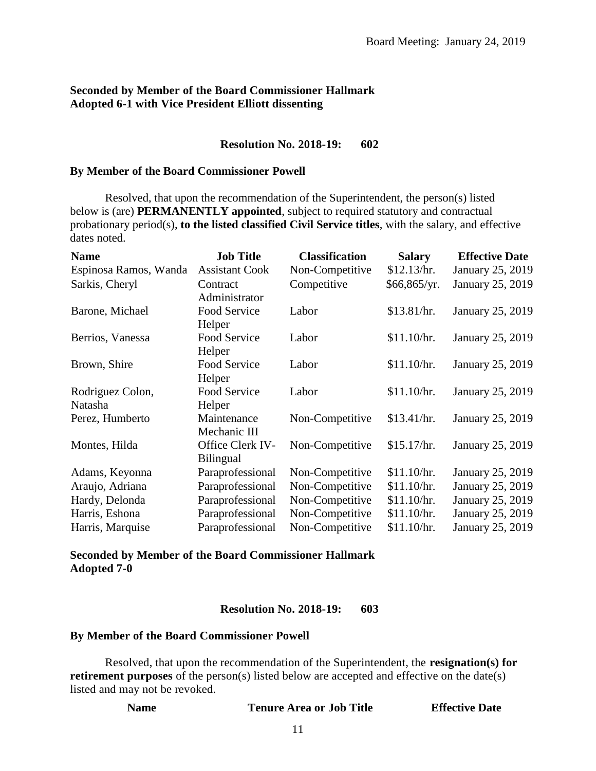# **Seconded by Member of the Board Commissioner Hallmark Adopted 6-1 with Vice President Elliott dissenting**

#### **Resolution No. 2018-19: 602**

#### **By Member of the Board Commissioner Powell**

Resolved, that upon the recommendation of the Superintendent, the person(s) listed below is (are) **PERMANENTLY appointed**, subject to required statutory and contractual probationary period(s), **to the listed classified Civil Service titles**, with the salary, and effective dates noted.

| <b>Name</b>           | <b>Job Title</b>      | <b>Classification</b> | <b>Salary</b> | <b>Effective Date</b> |
|-----------------------|-----------------------|-----------------------|---------------|-----------------------|
| Espinosa Ramos, Wanda | <b>Assistant Cook</b> | Non-Competitive       | \$12.13/hr.   | January 25, 2019      |
| Sarkis, Cheryl        | Contract              | Competitive           | \$66,865/yr.  | January 25, 2019      |
|                       | Administrator         |                       |               |                       |
| Barone, Michael       | Food Service          | Labor                 | \$13.81/hr.   | January 25, 2019      |
|                       | Helper                |                       |               |                       |
| Berrios, Vanessa      | Food Service          | Labor                 | \$11.10/hr.   | January 25, 2019      |
|                       | Helper                |                       |               |                       |
| Brown, Shire          | Food Service          | Labor                 | \$11.10/hr.   | January 25, 2019      |
|                       | Helper                |                       |               |                       |
| Rodriguez Colon,      | Food Service          | Labor                 | \$11.10/hr.   | January 25, 2019      |
| Natasha               | Helper                |                       |               |                       |
| Perez, Humberto       | Maintenance           | Non-Competitive       | \$13.41/hr.   | January 25, 2019      |
|                       | Mechanic III          |                       |               |                       |
| Montes, Hilda         | Office Clerk IV-      | Non-Competitive       | \$15.17/hr.   | January 25, 2019      |
|                       | <b>Bilingual</b>      |                       |               |                       |
| Adams, Keyonna        | Paraprofessional      | Non-Competitive       | \$11.10/hr.   | January 25, 2019      |
| Araujo, Adriana       | Paraprofessional      | Non-Competitive       | \$11.10/hr.   | January 25, 2019      |
| Hardy, Delonda        | Paraprofessional      | Non-Competitive       | \$11.10/hr.   | January 25, 2019      |
| Harris, Eshona        | Paraprofessional      | Non-Competitive       | \$11.10/hr.   | January 25, 2019      |
| Harris, Marquise      | Paraprofessional      | Non-Competitive       | \$11.10/hr.   | January 25, 2019      |

**Seconded by Member of the Board Commissioner Hallmark Adopted 7-0**

#### **Resolution No. 2018-19: 603**

#### **By Member of the Board Commissioner Powell**

Resolved, that upon the recommendation of the Superintendent, the **resignation(s) for retirement purposes** of the person(s) listed below are accepted and effective on the date(s) listed and may not be revoked.

| <b>Name</b> | <b>Tenure Area or Job Title</b> | <b>Effective Date</b> |
|-------------|---------------------------------|-----------------------|
|-------------|---------------------------------|-----------------------|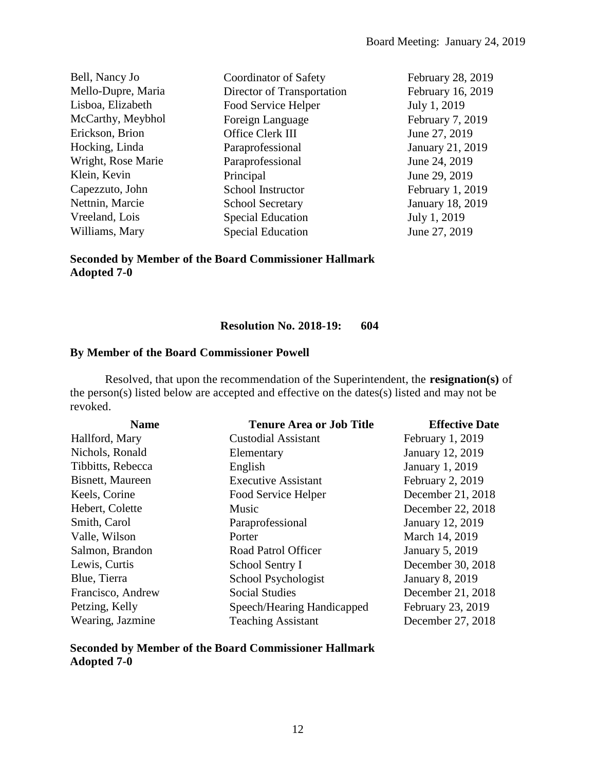| Coordinator of Safety      | February 28, 2019       |
|----------------------------|-------------------------|
| Director of Transportation | February 16, 2019       |
| Food Service Helper        | July 1, 2019            |
| Foreign Language           | February 7, 2019        |
| Office Clerk III           | June 27, 2019           |
| Paraprofessional           | January 21, 2019        |
| Paraprofessional           | June 24, 2019           |
| Principal                  | June 29, 2019           |
| School Instructor          | February 1, 2019        |
| <b>School Secretary</b>    | <b>January 18, 2019</b> |
| <b>Special Education</b>   | July 1, 2019            |
| <b>Special Education</b>   | June 27, 2019           |
|                            |                         |

**Seconded by Member of the Board Commissioner Hallmark Adopted 7-0**

# **Resolution No. 2018-19: 604**

# **By Member of the Board Commissioner Powell**

Resolved, that upon the recommendation of the Superintendent, the **resignation(s)** of the person(s) listed below are accepted and effective on the dates(s) listed and may not be revoked.

| <b>Name</b>       | <b>Tenure Area or Job Title</b> | <b>Effective Date</b>   |
|-------------------|---------------------------------|-------------------------|
| Hallford, Mary    | <b>Custodial Assistant</b>      | February 1, 2019        |
| Nichols, Ronald   | Elementary                      | January 12, 2019        |
| Tibbitts, Rebecca | English                         | <b>January 1, 2019</b>  |
| Bisnett, Maureen  | <b>Executive Assistant</b>      | February 2, 2019        |
| Keels, Corine     | Food Service Helper             | December 21, 2018       |
| Hebert, Colette   | Music                           | December 22, 2018       |
| Smith, Carol      | Paraprofessional                | <b>January 12, 2019</b> |
| Valle, Wilson     | Porter                          | March 14, 2019          |
| Salmon, Brandon   | Road Patrol Officer             | <b>January 5, 2019</b>  |
| Lewis, Curtis     | School Sentry I                 | December 30, 2018       |
| Blue, Tierra      | School Psychologist             | <b>January 8, 2019</b>  |
| Francisco, Andrew | <b>Social Studies</b>           | December 21, 2018       |
| Petzing, Kelly    | Speech/Hearing Handicapped      | February 23, 2019       |
| Wearing, Jazmine  | <b>Teaching Assistant</b>       | December 27, 2018       |

# **Seconded by Member of the Board Commissioner Hallmark Adopted 7-0**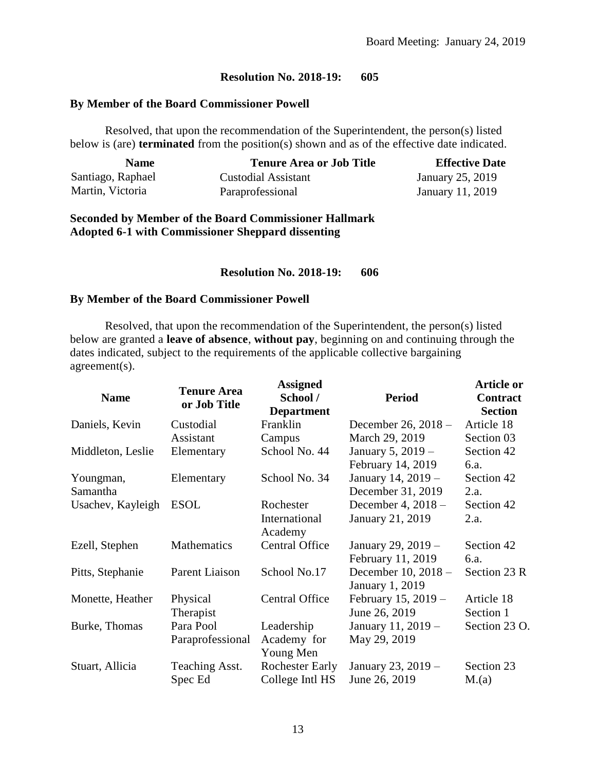#### **By Member of the Board Commissioner Powell**

Resolved, that upon the recommendation of the Superintendent, the person(s) listed below is (are) **terminated** from the position(s) shown and as of the effective date indicated.

| <b>Name</b>       | <b>Tenure Area or Job Title</b> | <b>Effective Date</b> |
|-------------------|---------------------------------|-----------------------|
| Santiago, Raphael | Custodial Assistant             | January 25, 2019      |
| Martin, Victoria  | Paraprofessional                | January 11, 2019      |

#### **Seconded by Member of the Board Commissioner Hallmark Adopted 6-1 with Commissioner Sheppard dissenting**

#### **Resolution No. 2018-19: 606**

#### **By Member of the Board Commissioner Powell**

Resolved, that upon the recommendation of the Superintendent, the person(s) listed below are granted a **leave of absence**, **without pay**, beginning on and continuing through the dates indicated, subject to the requirements of the applicable collective bargaining agreement(s).

| <b>Name</b>       | <b>Tenure Area</b><br>or Job Title | <b>Assigned</b><br>School /<br><b>Department</b> | <b>Period</b>                          | <b>Article or</b><br>Contract<br><b>Section</b> |
|-------------------|------------------------------------|--------------------------------------------------|----------------------------------------|-------------------------------------------------|
| Daniels, Kevin    | Custodial                          | Franklin                                         | December 26, 2018 -                    | Article 18                                      |
|                   | Assistant                          | Campus                                           | March 29, 2019                         | Section 03                                      |
| Middleton, Leslie | Elementary                         | School No. 44                                    | January 5, 2019 -                      | Section 42                                      |
|                   |                                    |                                                  | February 14, 2019                      | 6.a.                                            |
| Youngman,         | Elementary                         | School No. 34                                    | January 14, 2019 -                     | Section 42                                      |
| Samantha          |                                    |                                                  | December 31, 2019                      | 2.a.                                            |
| Usachev, Kayleigh | <b>ESOL</b>                        | Rochester                                        | December 4, $2018 -$                   | Section 42                                      |
|                   |                                    | International<br>Academy                         | January 21, 2019                       | 2.a.                                            |
| Ezell, Stephen    | Mathematics                        | <b>Central Office</b>                            | January 29, 2019 -                     | Section 42                                      |
|                   |                                    |                                                  | February 11, 2019                      | 6.a.                                            |
| Pitts, Stephanie  | Parent Liaison                     | School No.17                                     | December 10, 2018 -<br>January 1, 2019 | Section 23 R                                    |
| Monette, Heather  | Physical                           | <b>Central Office</b>                            | February 15, 2019 -                    | Article 18                                      |
|                   | Therapist                          |                                                  | June 26, 2019                          | Section 1                                       |
| Burke, Thomas     | Para Pool                          | Leadership                                       | January 11, 2019 -                     | Section 23 O.                                   |
|                   | Paraprofessional                   | Academy for                                      | May 29, 2019                           |                                                 |
|                   |                                    | Young Men                                        |                                        |                                                 |
| Stuart, Allicia   | Teaching Asst.                     | <b>Rochester Early</b>                           | January 23, 2019 –                     | Section 23                                      |
|                   | Spec Ed                            | College Intl HS                                  | June 26, 2019                          | M(a)                                            |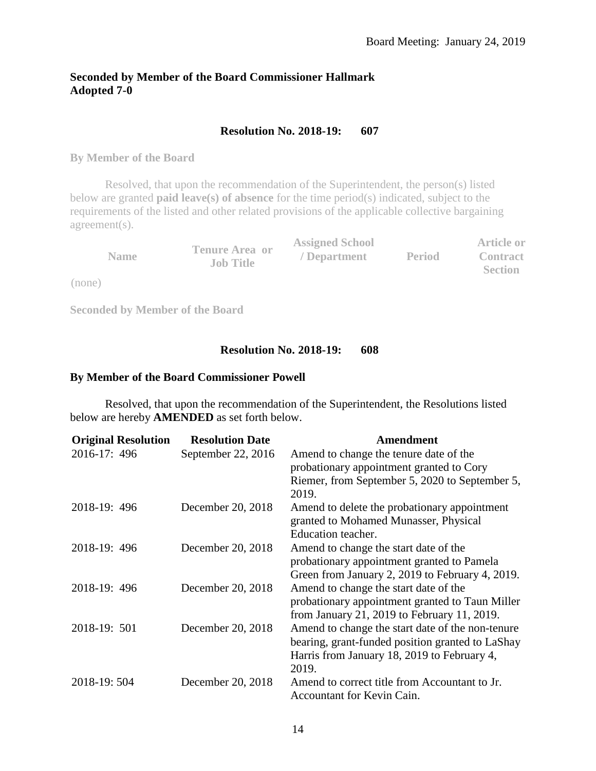# **Seconded by Member of the Board Commissioner Hallmark Adopted 7-0**

# **Resolution No. 2018-19: 607**

**By Member of the Board**

Resolved, that upon the recommendation of the Superintendent, the person(s) listed below are granted **paid leave(s) of absence** for the time period(s) indicated, subject to the requirements of the listed and other related provisions of the applicable collective bargaining agreement(s).

|             |                                           | <b>Assigned School</b> |               | Article or      |
|-------------|-------------------------------------------|------------------------|---------------|-----------------|
| <b>Name</b> | <b>Tenure Area or</b><br><b>Job Title</b> | / Department           | <b>Period</b> | <b>Contract</b> |
|             |                                           |                        |               | <b>Section</b>  |

(none)

**Seconded by Member of the Board**

## **Resolution No. 2018-19: 608**

#### **By Member of the Board Commissioner Powell**

Resolved, that upon the recommendation of the Superintendent, the Resolutions listed below are hereby **AMENDED** as set forth below.

| <b>Original Resolution</b> | <b>Resolution Date</b> | Amendment                                        |
|----------------------------|------------------------|--------------------------------------------------|
| 2016-17: 496               | September 22, 2016     | Amend to change the tenure date of the           |
|                            |                        | probationary appointment granted to Cory         |
|                            |                        | Riemer, from September 5, 2020 to September 5,   |
|                            |                        | 2019.                                            |
| 2018-19: 496               | December 20, 2018      | Amend to delete the probationary appointment     |
|                            |                        | granted to Mohamed Munasser, Physical            |
|                            |                        | Education teacher.                               |
| 2018-19: 496               | December 20, 2018      | Amend to change the start date of the            |
|                            |                        | probationary appointment granted to Pamela       |
|                            |                        | Green from January 2, 2019 to February 4, 2019.  |
| 2018-19: 496               | December 20, 2018      | Amend to change the start date of the            |
|                            |                        | probationary appointment granted to Taun Miller  |
|                            |                        | from January 21, 2019 to February 11, 2019.      |
| 2018-19: 501               | December 20, 2018      | Amend to change the start date of the non-tenure |
|                            |                        | bearing, grant-funded position granted to LaShay |
|                            |                        | Harris from January 18, 2019 to February 4,      |
|                            |                        | 2019.                                            |
| 2018-19:504                | December 20, 2018      | Amend to correct title from Accountant to Jr.    |
|                            |                        | Accountant for Kevin Cain.                       |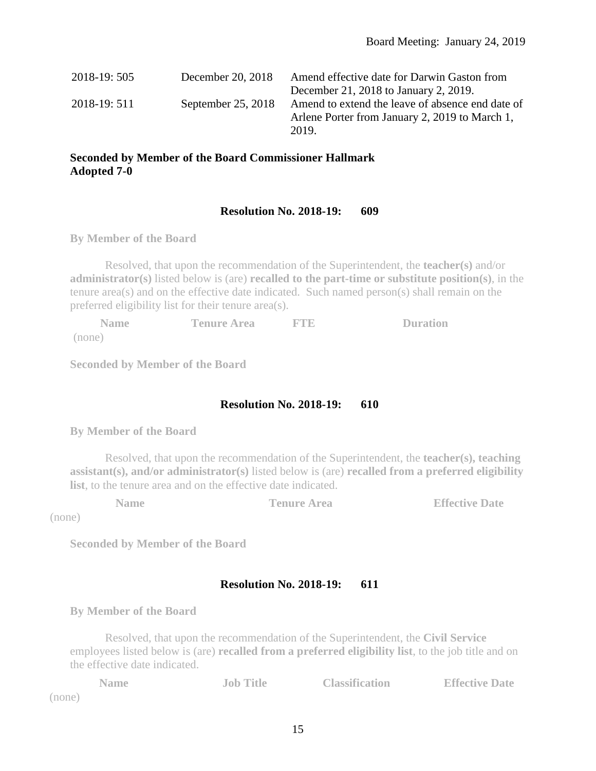| 2018-19:505  | December 20, 2018  | Amend effective date for Darwin Gaston from      |
|--------------|--------------------|--------------------------------------------------|
|              |                    | December 21, 2018 to January 2, 2019.            |
| 2018-19: 511 | September 25, 2018 | Amend to extend the leave of absence end date of |
|              |                    | Arlene Porter from January 2, 2019 to March 1,   |
|              |                    | 2019.                                            |

# **Seconded by Member of the Board Commissioner Hallmark Adopted 7-0**

# **Resolution No. 2018-19: 609**

**By Member of the Board** 

Resolved, that upon the recommendation of the Superintendent, the **teacher(s)** and/or **administrator(s)** listed below is (are) **recalled to the part-time or substitute position(s)**, in the tenure area(s) and on the effective date indicated. Such named person(s) shall remain on the preferred eligibility list for their tenure area(s).

| <b>Name</b> | <b>Tenure Area</b> | <b>ETR</b> | <b>Duration</b> |
|-------------|--------------------|------------|-----------------|
| (none)      |                    |            |                 |

**Seconded by Member of the Board**

# **Resolution No. 2018-19: 610**

**By Member of the Board** 

Resolved, that upon the recommendation of the Superintendent, the **teacher(s), teaching assistant(s), and/or administrator(s)** listed below is (are) **recalled from a preferred eligibility list**, to the tenure area and on the effective date indicated.

**Name Tenure Area Effective Date** 

(none)

**Seconded by Member of the Board**

## **Resolution No. 2018-19: 611**

**By Member of the Board** 

Resolved, that upon the recommendation of the Superintendent, the **Civil Service** employees listed below is (are) **recalled from a preferred eligibility list**, to the job title and on the effective date indicated.

|        | <b>Name</b> | <b>Job Title</b> | <b>Classification</b> | <b>Effective Date</b> |
|--------|-------------|------------------|-----------------------|-----------------------|
| (none) |             |                  |                       |                       |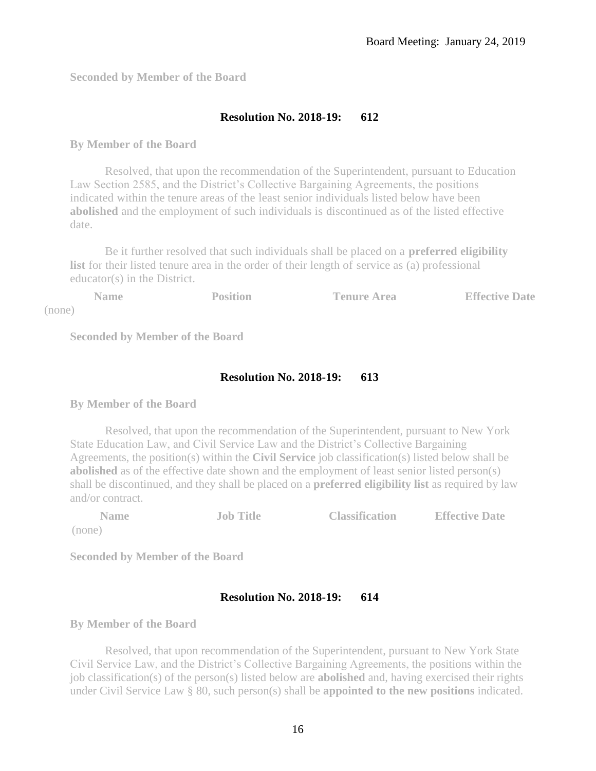**Seconded by Member of the Board**

# **Resolution No. 2018-19: 612**

#### **By Member of the Board**

Resolved, that upon the recommendation of the Superintendent, pursuant to Education Law Section 2585, and the District's Collective Bargaining Agreements, the positions indicated within the tenure areas of the least senior individuals listed below have been **abolished** and the employment of such individuals is discontinued as of the listed effective date.

Be it further resolved that such individuals shall be placed on a **preferred eligibility list** for their listed tenure area in the order of their length of service as (a) professional educator(s) in the District.

|        | Name | Position | <b>Tenure Area</b> | <b>Effective Date</b> |
|--------|------|----------|--------------------|-----------------------|
| (none) |      |          |                    |                       |

**Seconded by Member of the Board**

# **Resolution No. 2018-19: 613**

**By Member of the Board** 

Resolved, that upon the recommendation of the Superintendent, pursuant to New York State Education Law, and Civil Service Law and the District's Collective Bargaining Agreements, the position(s) within the **Civil Service** job classification(s) listed below shall be **abolished** as of the effective date shown and the employment of least senior listed person(s) shall be discontinued, and they shall be placed on a **preferred eligibility list** as required by law and/or contract.

| <b>Name</b> | <b>Job Title</b> | <b>Classification</b> | <b>Effective Date</b> |
|-------------|------------------|-----------------------|-----------------------|
| (none)      |                  |                       |                       |

**Seconded by Member of the Board**

# **Resolution No. 2018-19: 614**

**By Member of the Board** 

Resolved, that upon recommendation of the Superintendent, pursuant to New York State Civil Service Law, and the District's Collective Bargaining Agreements, the positions within the job classification(s) of the person(s) listed below are **abolished** and, having exercised their rights under Civil Service Law § 80, such person(s) shall be **appointed to the new positions** indicated.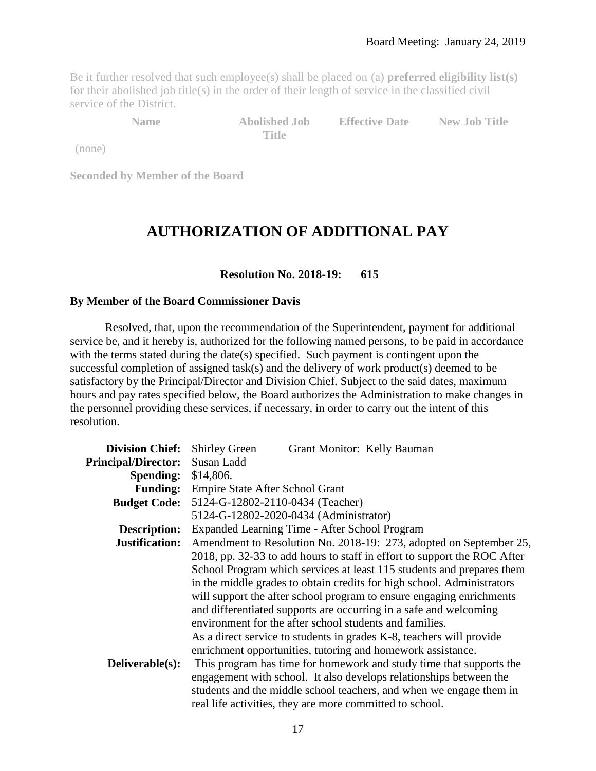Be it further resolved that such employee(s) shall be placed on (a) **preferred eligibility list(s)** for their abolished job title(s) in the order of their length of service in the classified civil service of the District.

**Name Abolished Job** 

**Title**

**Effective Date New Job Title**

(none)

**Seconded by Member of the Board** 

# **AUTHORIZATION OF ADDITIONAL PAY**

## **Resolution No. 2018-19: 615**

#### **By Member of the Board Commissioner Davis**

Resolved, that, upon the recommendation of the Superintendent, payment for additional service be, and it hereby is, authorized for the following named persons, to be paid in accordance with the terms stated during the date(s) specified. Such payment is contingent upon the successful completion of assigned task(s) and the delivery of work product(s) deemed to be satisfactory by the Principal/Director and Division Chief. Subject to the said dates, maximum hours and pay rates specified below, the Board authorizes the Administration to make changes in the personnel providing these services, if necessary, in order to carry out the intent of this resolution.

| <b>Division Chief:</b>     | <b>Shirley Green</b><br>Grant Monitor: Kelly Bauman                      |
|----------------------------|--------------------------------------------------------------------------|
| <b>Principal/Director:</b> | Susan Ladd                                                               |
| <b>Spending:</b>           | \$14,806.                                                                |
| <b>Funding:</b>            | Empire State After School Grant                                          |
| <b>Budget Code:</b>        | 5124-G-12802-2110-0434 (Teacher)                                         |
|                            | 5124-G-12802-2020-0434 (Administrator)                                   |
| Description:               | Expanded Learning Time - After School Program                            |
| Justification:             | Amendment to Resolution No. 2018-19: 273, adopted on September 25,       |
|                            | 2018, pp. 32-33 to add hours to staff in effort to support the ROC After |
|                            | School Program which services at least 115 students and prepares them    |
|                            | in the middle grades to obtain credits for high school. Administrators   |
|                            | will support the after school program to ensure engaging enrichments     |
|                            | and differentiated supports are occurring in a safe and welcoming        |
|                            | environment for the after school students and families.                  |
|                            | As a direct service to students in grades K-8, teachers will provide     |
|                            | enrichment opportunities, tutoring and homework assistance.              |
| Deliverable(s):            | This program has time for homework and study time that supports the      |
|                            | engagement with school. It also develops relationships between the       |
|                            | students and the middle school teachers, and when we engage them in      |
|                            | real life activities, they are more committed to school.                 |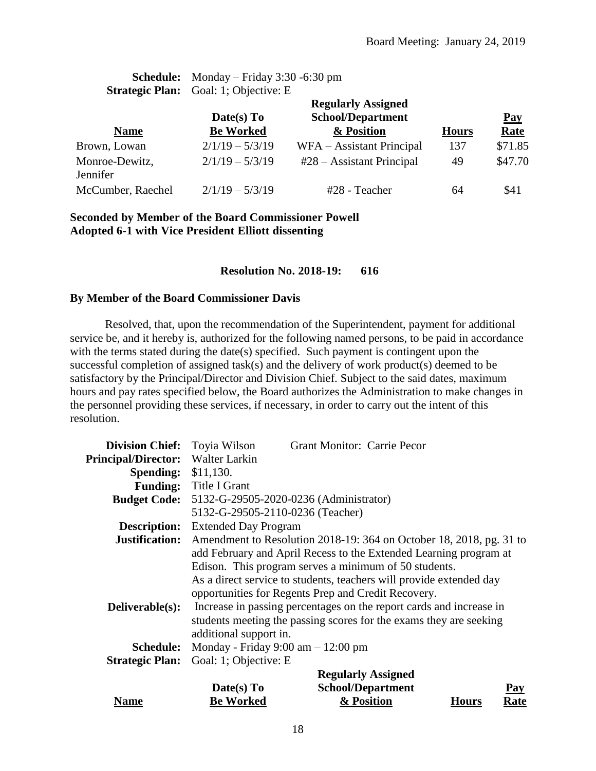| <b>Schedule:</b> Monday – Friday $3:30$ -6:30 pm |
|--------------------------------------------------|
| <b>Strategic Plan:</b> Goal: 1; Objective: E     |

|                            | <b>Regularly Assigned</b> |                                    |              |             |  |
|----------------------------|---------------------------|------------------------------------|--------------|-------------|--|
|                            | Date(s) To                | <b>School/Department</b>           |              | $Pay$       |  |
| <b>Name</b>                | <b>Be Worked</b>          | & Position                         | <b>Hours</b> | <b>Rate</b> |  |
| Brown, Lowan               | $2/1/19 - 5/3/19$         | WFA – Assistant Principal          | 137          | \$71.85     |  |
| Monroe-Dewitz,<br>Jennifer | $2/1/19 - 5/3/19$         | $#28 - \text{Assistant Principal}$ | 49           | \$47.70     |  |
| McCumber, Raechel          | $2/1/19 - 5/3/19$         | #28 - Teacher                      | 64           | \$41        |  |

#### **Seconded by Member of the Board Commissioner Powell Adopted 6-1 with Vice President Elliott dissenting**

#### **Resolution No. 2018-19: 616**

#### **By Member of the Board Commissioner Davis**

Resolved, that, upon the recommendation of the Superintendent, payment for additional service be, and it hereby is, authorized for the following named persons, to be paid in accordance with the terms stated during the date(s) specified. Such payment is contingent upon the successful completion of assigned task(s) and the delivery of work product(s) deemed to be satisfactory by the Principal/Director and Division Chief. Subject to the said dates, maximum hours and pay rates specified below, the Board authorizes the Administration to make changes in the personnel providing these services, if necessary, in order to carry out the intent of this resolution.

| <b>Division Chief:</b> Toyia Wilson |                                                      | <b>Grant Monitor: Carrie Pecor</b>                                  |     |
|-------------------------------------|------------------------------------------------------|---------------------------------------------------------------------|-----|
| Principal/Director: Walter Larkin   |                                                      |                                                                     |     |
| <b>Spending:</b>                    | \$11,130.                                            |                                                                     |     |
|                                     | Funding: Title I Grant                               |                                                                     |     |
| <b>Budget Code:</b>                 |                                                      | 5132-G-29505-2020-0236 (Administrator)                              |     |
|                                     | 5132-G-29505-2110-0236 (Teacher)                     |                                                                     |     |
| <b>Description:</b>                 | <b>Extended Day Program</b>                          |                                                                     |     |
| <b>Justification:</b>               |                                                      | Amendment to Resolution 2018-19: 364 on October 18, 2018, pg. 31 to |     |
|                                     |                                                      | add February and April Recess to the Extended Learning program at   |     |
|                                     |                                                      | Edison. This program serves a minimum of 50 students.               |     |
|                                     |                                                      | As a direct service to students, teachers will provide extended day |     |
|                                     |                                                      | opportunities for Regents Prep and Credit Recovery.                 |     |
| Deliverable(s):                     |                                                      | Increase in passing percentages on the report cards and increase in |     |
|                                     |                                                      | students meeting the passing scores for the exams they are seeking  |     |
|                                     | additional support in.                               |                                                                     |     |
| <b>Schedule:</b>                    | Monday - Friday $9:00 \text{ am} - 12:00 \text{ pm}$ |                                                                     |     |
| <b>Strategic Plan:</b>              | Goal: 1; Objective: E                                |                                                                     |     |
|                                     |                                                      | <b>Regularly Assigned</b>                                           |     |
|                                     | Date(s) To                                           | <b>School/Department</b>                                            | Pay |

**Name**

**Rate**

**Be Worked**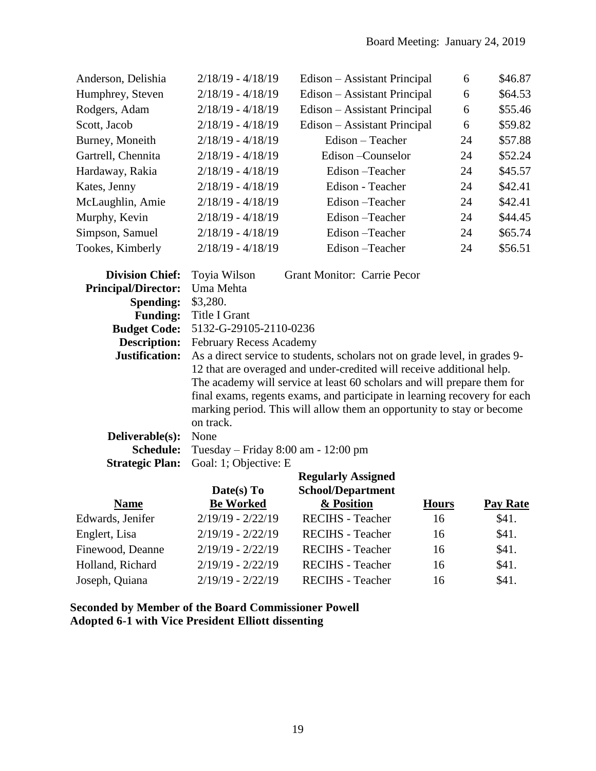| Anderson, Delishia | $2/18/19 - 4/18/19$ | Edison – Assistant Principal | 6  | \$46.87 |
|--------------------|---------------------|------------------------------|----|---------|
| Humphrey, Steven   | $2/18/19 - 4/18/19$ | Edison – Assistant Principal | 6  | \$64.53 |
| Rodgers, Adam      | $2/18/19 - 4/18/19$ | Edison – Assistant Principal | 6  | \$55.46 |
| Scott, Jacob       | $2/18/19 - 4/18/19$ | Edison – Assistant Principal | 6  | \$59.82 |
| Burney, Moneith    | $2/18/19 - 4/18/19$ | $Edison - Teacher$           | 24 | \$57.88 |
| Gartrell, Chennita | $2/18/19 - 4/18/19$ | Edison – Counselor           | 24 | \$52.24 |
| Hardaway, Rakia    | $2/18/19 - 4/18/19$ | Edison – Teacher             | 24 | \$45.57 |
| Kates, Jenny       | $2/18/19 - 4/18/19$ | Edison - Teacher             | 24 | \$42.41 |
| McLaughlin, Amie   | $2/18/19 - 4/18/19$ | Edison-Teacher               | 24 | \$42.41 |
| Murphy, Kevin      | $2/18/19 - 4/18/19$ | Edison – Teacher             | 24 | \$44.45 |
| Simpson, Samuel    | $2/18/19 - 4/18/19$ | Edison – Teacher             | 24 | \$65.74 |
| Tookes, Kimberly   | $2/18/19 - 4/18/19$ | Edison – Teacher             | 24 | \$56.51 |
|                    |                     |                              |    |         |

| <b>Division Chief:</b>     | <b>Grant Monitor: Carrie Pecor</b><br>Toyia Wilson                         |
|----------------------------|----------------------------------------------------------------------------|
| <b>Principal/Director:</b> | Uma Mehta                                                                  |
| <b>Spending:</b>           | \$3,280.                                                                   |
| <b>Funding:</b>            | Title I Grant                                                              |
| <b>Budget Code:</b>        | 5132-G-29105-2110-0236                                                     |
| <b>Description:</b>        | February Recess Academy                                                    |
| Justification:             | As a direct service to students, scholars not on grade level, in grades 9- |
|                            | 12 that are overaged and under-credited will receive additional help.      |
|                            | The academy will service at least 60 scholars and will prepare them for    |
|                            | final exams, regents exams, and participate in learning recovery for each  |
|                            | marking period. This will allow them an opportunity to stay or become      |
|                            | on track.                                                                  |
| Deliverable(s):            | None                                                                       |
| <b>Schedule:</b>           | Tuesday – Friday $8:00$ am - 12:00 pm                                      |
| <b>Strategic Plan:</b>     | Goal: 1; Objective: E                                                      |

|                  |                     | <b>Regularly Assigned</b> |              |                 |
|------------------|---------------------|---------------------------|--------------|-----------------|
|                  | Date(s) $To$        | <b>School/Department</b>  |              |                 |
| <b>Name</b>      | <b>Be Worked</b>    | & Position                | <b>Hours</b> | <b>Pay Rate</b> |
| Edwards, Jenifer | $2/19/19 - 2/22/19$ | <b>RECIHS</b> - Teacher   | 16           | \$41.           |
| Englert, Lisa    | $2/19/19 - 2/22/19$ | <b>RECIHS</b> - Teacher   | 16           | \$41.           |
| Finewood, Deanne | $2/19/19 - 2/22/19$ | <b>RECIHS</b> - Teacher   | 16           | \$41.           |
| Holland, Richard | $2/19/19 - 2/22/19$ | <b>RECIHS</b> - Teacher   | 16           | \$41.           |
| Joseph, Quiana   | $2/19/19 - 2/22/19$ | <b>RECIHS</b> - Teacher   | 16           | \$41.           |

**Seconded by Member of the Board Commissioner Powell Adopted 6-1 with Vice President Elliott dissenting**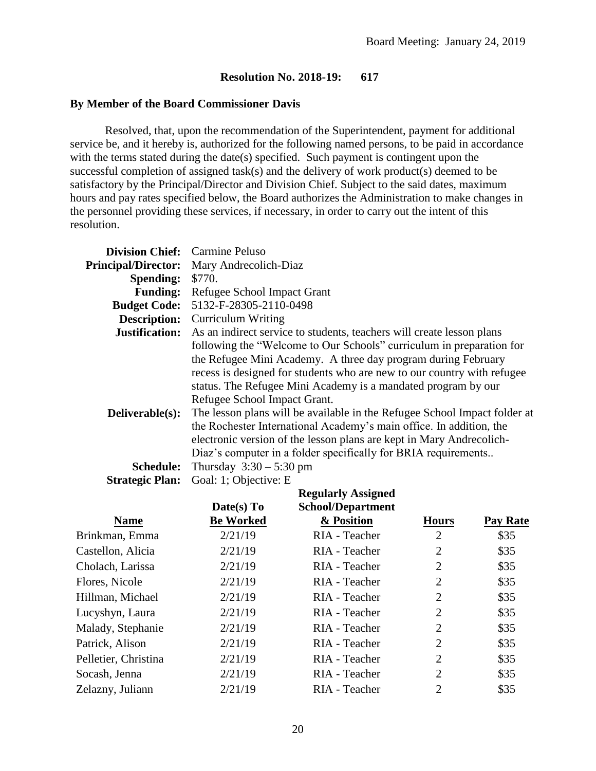#### **By Member of the Board Commissioner Davis**

Resolved, that, upon the recommendation of the Superintendent, payment for additional service be, and it hereby is, authorized for the following named persons, to be paid in accordance with the terms stated during the date(s) specified. Such payment is contingent upon the successful completion of assigned task(s) and the delivery of work product(s) deemed to be satisfactory by the Principal/Director and Division Chief. Subject to the said dates, maximum hours and pay rates specified below, the Board authorizes the Administration to make changes in the personnel providing these services, if necessary, in order to carry out the intent of this resolution.

| <b>Division Chief:</b>     | Carmine Peluso                                                            |  |  |  |
|----------------------------|---------------------------------------------------------------------------|--|--|--|
| <b>Principal/Director:</b> | Mary Andrecolich-Diaz                                                     |  |  |  |
| <b>Spending:</b>           | \$770.                                                                    |  |  |  |
| <b>Funding:</b>            | Refugee School Impact Grant                                               |  |  |  |
| <b>Budget Code:</b>        | 5132-F-28305-2110-0498                                                    |  |  |  |
| <b>Description:</b>        | <b>Curriculum Writing</b>                                                 |  |  |  |
| Justification:             | As an indirect service to students, teachers will create lesson plans     |  |  |  |
|                            | following the "Welcome to Our Schools" curriculum in preparation for      |  |  |  |
|                            | the Refugee Mini Academy. A three day program during February             |  |  |  |
|                            | recess is designed for students who are new to our country with refugee   |  |  |  |
|                            | status. The Refugee Mini Academy is a mandated program by our             |  |  |  |
|                            | Refugee School Impact Grant.                                              |  |  |  |
| Deliverable(s):            | The lesson plans will be available in the Refugee School Impact folder at |  |  |  |
|                            | the Rochester International Academy's main office. In addition, the       |  |  |  |
|                            | electronic version of the lesson plans are kept in Mary Andrecolich-      |  |  |  |
|                            | Diaz's computer in a folder specifically for BRIA requirements            |  |  |  |
| <b>Schedule:</b>           | Thursday $3:30 - 5:30$ pm                                                 |  |  |  |
| <b>Strategic Plan:</b>     | Goal: 1; Objective: E                                                     |  |  |  |

|                      | Date(s) $To$     | <b>Regularly Assigned</b><br><b>School/Department</b> |                |          |
|----------------------|------------------|-------------------------------------------------------|----------------|----------|
| <b>Name</b>          | <b>Be Worked</b> | & Position                                            | <b>Hours</b>   | Pay Rate |
| Brinkman, Emma       | 2/21/19          | RIA - Teacher                                         | $\overline{2}$ | \$35     |
| Castellon, Alicia    | 2/21/19          | RIA - Teacher                                         | $\overline{2}$ | \$35     |
| Cholach, Larissa     | 2/21/19          | RIA - Teacher                                         | $\overline{2}$ | \$35     |
| Flores, Nicole       | 2/21/19          | RIA - Teacher                                         | $\overline{2}$ | \$35     |
| Hillman, Michael     | 2/21/19          | RIA - Teacher                                         | $\overline{2}$ | \$35     |
| Lucyshyn, Laura      | 2/21/19          | RIA - Teacher                                         | $\overline{2}$ | \$35     |
| Malady, Stephanie    | 2/21/19          | RIA - Teacher                                         | $\overline{2}$ | \$35     |
| Patrick, Alison      | 2/21/19          | RIA - Teacher                                         | $\overline{2}$ | \$35     |
| Pelletier, Christina | 2/21/19          | RIA - Teacher                                         | $\overline{2}$ | \$35     |
| Socash, Jenna        | 2/21/19          | RIA - Teacher                                         | $\overline{2}$ | \$35     |
| Zelazny, Juliann     | 2/21/19          | RIA - Teacher                                         | $\overline{2}$ | \$35     |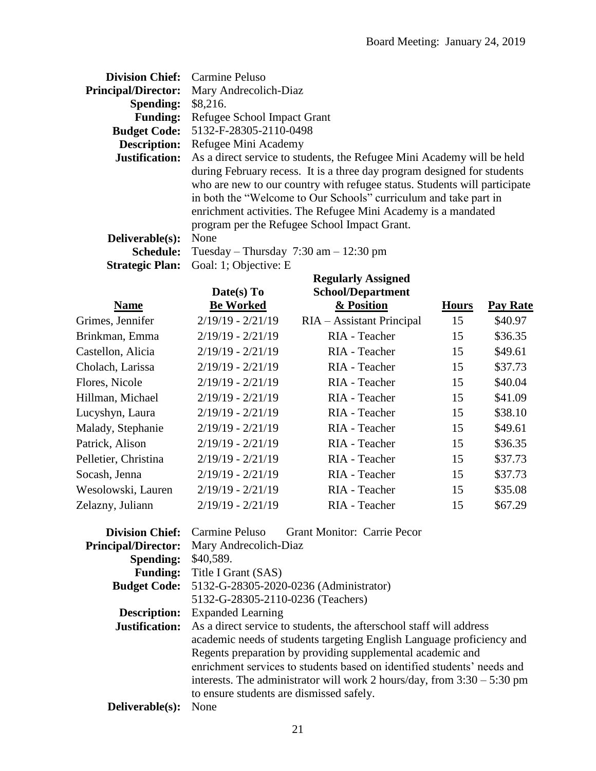| <b>Division Chief:</b> Carmine Peluso |                                                                                                                                                                                                                                                                                                                                           |
|---------------------------------------|-------------------------------------------------------------------------------------------------------------------------------------------------------------------------------------------------------------------------------------------------------------------------------------------------------------------------------------------|
| <b>Principal/Director:</b>            | Mary Andrecolich-Diaz                                                                                                                                                                                                                                                                                                                     |
| Spending:                             | \$8,216.                                                                                                                                                                                                                                                                                                                                  |
| <b>Funding:</b>                       | Refugee School Impact Grant                                                                                                                                                                                                                                                                                                               |
| <b>Budget Code:</b>                   | 5132-F-28305-2110-0498                                                                                                                                                                                                                                                                                                                    |
| <b>Description:</b>                   | Refugee Mini Academy                                                                                                                                                                                                                                                                                                                      |
| Justification:                        | As a direct service to students, the Refugee Mini Academy will be held                                                                                                                                                                                                                                                                    |
|                                       | during February recess. It is a three day program designed for students<br>who are new to our country with refugee status. Students will participate<br>in both the "Welcome to Our Schools" curriculum and take part in<br>enrichment activities. The Refugee Mini Academy is a mandated<br>program per the Refugee School Impact Grant. |
| Deliverable(s):                       | None                                                                                                                                                                                                                                                                                                                                      |
| <b>Schedule:</b>                      | Tuesday – Thursday $7:30 \text{ am} - 12:30 \text{ pm}$                                                                                                                                                                                                                                                                                   |
| <b>Strategic Plan:</b>                | Goal: 1; Objective: E                                                                                                                                                                                                                                                                                                                     |
|                                       | <b>Regularly Assigned</b>                                                                                                                                                                                                                                                                                                                 |

| Date(s) To          | <b>School/Department</b>  |              |                 |
|---------------------|---------------------------|--------------|-----------------|
| <b>Be Worked</b>    | & Position                | <b>Hours</b> | <b>Pay Rate</b> |
| $2/19/19 - 2/21/19$ | RIA – Assistant Principal | 15           | \$40.97         |
| $2/19/19 - 2/21/19$ | RIA - Teacher             | 15           | \$36.35         |
| $2/19/19 - 2/21/19$ | RIA - Teacher             | 15           | \$49.61         |
| $2/19/19 - 2/21/19$ | RIA - Teacher             | 15           | \$37.73         |
| $2/19/19 - 2/21/19$ | RIA - Teacher             | 15           | \$40.04         |
| $2/19/19 - 2/21/19$ | RIA - Teacher             | 15           | \$41.09         |
| $2/19/19 - 2/21/19$ | RIA - Teacher             | 15           | \$38.10         |
| $2/19/19 - 2/21/19$ | RIA - Teacher             | 15           | \$49.61         |
| $2/19/19 - 2/21/19$ | RIA - Teacher             | 15           | \$36.35         |
| $2/19/19 - 2/21/19$ | RIA - Teacher             | 15           | \$37.73         |
| $2/19/19 - 2/21/19$ | RIA - Teacher             | 15           | \$37.73         |
| $2/19/19 - 2/21/19$ | RIA - Teacher             | 15           | \$35.08         |
| $2/19/19 - 2/21/19$ | RIA - Teacher             | 15           | \$67.29         |
|                     |                           |              |                 |

|                            | <b>Division Chief:</b> Carmine Peluso Grant Monitor: Carrie Pecor         |
|----------------------------|---------------------------------------------------------------------------|
| <b>Principal/Director:</b> | Mary Andrecolich-Diaz                                                     |
| <b>Spending:</b>           | \$40,589.                                                                 |
| <b>Funding:</b>            | Title I Grant (SAS)                                                       |
| <b>Budget Code:</b>        | 5132-G-28305-2020-0236 (Administrator)                                    |
|                            | 5132-G-28305-2110-0236 (Teachers)                                         |
| <b>Description:</b>        | <b>Expanded Learning</b>                                                  |
| Justification:             | As a direct service to students, the afterschool staff will address       |
|                            | academic needs of students targeting English Language proficiency and     |
|                            | Regents preparation by providing supplemental academic and                |
|                            | enrichment services to students based on identified students' needs and   |
|                            | interests. The administrator will work 2 hours/day, from $3:30 - 5:30$ pm |
|                            | to ensure students are dismissed safely.                                  |
| Deliverable(s):            | None                                                                      |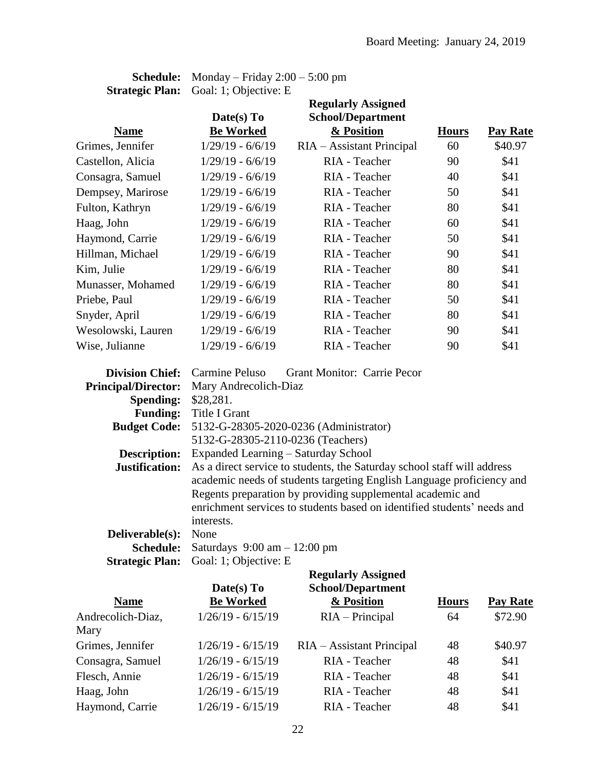| <b>Schedule:</b>       | Monday – Friday $2:00 - 5:00$ pm |                           |              |                 |
|------------------------|----------------------------------|---------------------------|--------------|-----------------|
| <b>Strategic Plan:</b> | Goal: 1; Objective: E            |                           |              |                 |
|                        |                                  | <b>Regularly Assigned</b> |              |                 |
|                        | Date(s) To                       | <b>School/Department</b>  |              |                 |
| <b>Name</b>            | <b>Be Worked</b>                 | & Position                | <b>Hours</b> | <b>Pay Rate</b> |
| Grimes, Jennifer       | $1/29/19 - 6/6/19$               | RIA - Assistant Principal | 60           | \$40.97         |
| Castellon, Alicia      | $1/29/19 - 6/6/19$               | RIA - Teacher             | 90           | \$41            |
| Consagra, Samuel       | $1/29/19 - 6/6/19$               | RIA - Teacher             | 40           | \$41            |
| Dempsey, Marirose      | $1/29/19 - 6/6/19$               | RIA - Teacher             | 50           | \$41            |
| Fulton, Kathryn        | $1/29/19 - 6/6/19$               | RIA - Teacher             | 80           | \$41            |
| Haag, John             | $1/29/19 - 6/6/19$               | RIA - Teacher             | 60           | \$41            |
| Haymond, Carrie        | $1/29/19 - 6/6/19$               | RIA - Teacher             | 50           | \$41            |
| Hillman, Michael       | $1/29/19 - 6/6/19$               | RIA - Teacher             | 90           | \$41            |
| Kim, Julie             | $1/29/19 - 6/6/19$               | RIA - Teacher             | 80           | \$41            |
| Munasser, Mohamed      | $1/29/19 - 6/6/19$               | RIA - Teacher             | 80           | \$41            |
| Priebe, Paul           | $1/29/19 - 6/6/19$               | RIA - Teacher             | 50           | \$41            |
| Snyder, April          | $1/29/19 - 6/6/19$               | RIA - Teacher             | 80           | \$41            |
| Wesolowski, Lauren     | $1/29/19 - 6/6/19$               | RIA - Teacher             | 90           | \$41            |
| Wise, Julianne         | $1/29/19 - 6/6/19$               | RIA - Teacher             | 90           | \$41            |
|                        |                                  |                           |              |                 |

|                            | <b>Division Chief:</b> Carmine Peluso<br><b>Grant Monitor: Carrie Pecor</b> |  |  |  |  |
|----------------------------|-----------------------------------------------------------------------------|--|--|--|--|
| <b>Principal/Director:</b> | Mary Andrecolich-Diaz                                                       |  |  |  |  |
| <b>Spending:</b>           | \$28,281.                                                                   |  |  |  |  |
|                            | Funding: Title I Grant                                                      |  |  |  |  |
|                            | <b>Budget Code:</b> 5132-G-28305-2020-0236 (Administrator)                  |  |  |  |  |
|                            | 5132-G-28305-2110-0236 (Teachers)                                           |  |  |  |  |
| <b>Description:</b>        | Expanded Learning – Saturday School                                         |  |  |  |  |
| Justification:             | As a direct service to students, the Saturday school staff will address     |  |  |  |  |
|                            | academic needs of students targeting English Language proficiency and       |  |  |  |  |
|                            | Regents preparation by providing supplemental academic and                  |  |  |  |  |
|                            | enrichment services to students based on identified students' needs and     |  |  |  |  |
|                            | interests.                                                                  |  |  |  |  |
| Deliverable(s):            | None                                                                        |  |  |  |  |
| <b>Schedule:</b>           | Saturdays $9:00 \text{ am} - 12:00 \text{ pm}$                              |  |  |  |  |
|                            |                                                                             |  |  |  |  |

**Strategic Plan:** Goal: 1; Objective: E

| <b>Regularly Assigned</b><br><b>School/Department</b><br>Date(s) To |                           |              |                 |
|---------------------------------------------------------------------|---------------------------|--------------|-----------------|
| <b>Be Worked</b>                                                    | & Position                | <b>Hours</b> | <b>Pay Rate</b> |
| $1/26/19 - 6/15/19$                                                 | $RIA - Principal$         | 64           | \$72.90         |
|                                                                     |                           |              |                 |
| $1/26/19 - 6/15/19$                                                 | RIA – Assistant Principal | 48           | \$40.97         |
| $1/26/19 - 6/15/19$                                                 | RIA - Teacher             | 48           | \$41            |
| $1/26/19 - 6/15/19$                                                 | RIA - Teacher             | 48           | \$41            |
| $1/26/19 - 6/15/19$                                                 | RIA - Teacher             | 48           | \$41            |
| $1/26/19 - 6/15/19$                                                 | RIA - Teacher             | 48           | \$41            |
|                                                                     |                           |              |                 |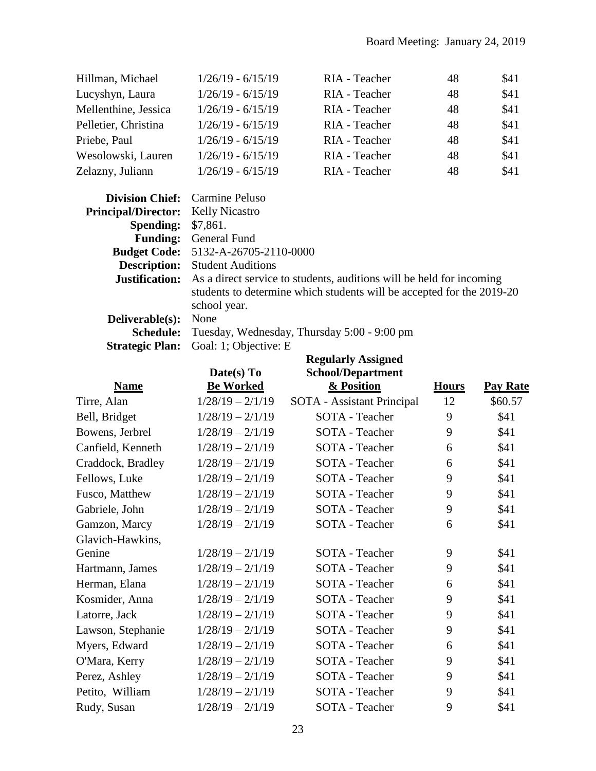| Hillman, Michael     | $1/26/19 - 6/15/19$ | RIA - Teacher | 48 | \$41 |
|----------------------|---------------------|---------------|----|------|
| Lucyshyn, Laura      | $1/26/19 - 6/15/19$ | RIA - Teacher | 48 | \$41 |
| Mellenthine, Jessica | $1/26/19 - 6/15/19$ | RIA - Teacher | 48 | \$41 |
| Pelletier, Christina | $1/26/19 - 6/15/19$ | RIA - Teacher | 48 | \$41 |
| Priebe, Paul         | $1/26/19 - 6/15/19$ | RIA - Teacher | 48 | \$41 |
| Wesolowski, Lauren   | $1/26/19 - 6/15/19$ | RIA - Teacher | 48 | \$41 |
| Zelazny, Juliann     | $1/26/19 - 6/15/19$ | RIA - Teacher | 48 | \$41 |

|                                           | <b>Division Chief:</b> Carmine Peluso                                                      |
|-------------------------------------------|--------------------------------------------------------------------------------------------|
| <b>Principal/Director:</b> Kelly Nicastro |                                                                                            |
| <b>Spending: \$7,861.</b>                 |                                                                                            |
|                                           | <b>Funding:</b> General Fund                                                               |
|                                           | <b>Budget Code:</b> 5132-A-26705-2110-0000                                                 |
|                                           | <b>Description:</b> Student Auditions                                                      |
|                                           | <b>Justification:</b> As a direct service to students, auditions will be held for incoming |
|                                           | students to determine which students will be accepted for the 2019-20                      |
|                                           | school year.                                                                               |
| <b>Deliverable(s):</b> None               |                                                                                            |
|                                           | <b>Schedule:</b> Tuesday, Wednesday, Thursday 5:00 - 9:00 pm                               |
|                                           | <b>Strategic Plan:</b> Goal: 1; Objective: E                                               |
|                                           |                                                                                            |

|                   |                    | <b>Regularly Assigned</b>  |              |                 |
|-------------------|--------------------|----------------------------|--------------|-----------------|
|                   | Date(s) To         | School/Department          |              |                 |
| <b>Name</b>       | <b>Be Worked</b>   | & Position                 | <b>Hours</b> | <b>Pay Rate</b> |
| Tirre, Alan       | $1/28/19 - 2/1/19$ | SOTA - Assistant Principal | 12           | \$60.57         |
| Bell, Bridget     | $1/28/19 - 2/1/19$ | SOTA - Teacher             | 9            | \$41            |
| Bowens, Jerbrel   | $1/28/19 - 2/1/19$ | SOTA - Teacher             | 9            | \$41            |
| Canfield, Kenneth | $1/28/19 - 2/1/19$ | <b>SOTA</b> - Teacher      | 6            | \$41            |
| Craddock, Bradley | $1/28/19 - 2/1/19$ | SOTA - Teacher             | 6            | \$41            |
| Fellows, Luke     | $1/28/19 - 2/1/19$ | SOTA - Teacher             | 9            | \$41            |
| Fusco, Matthew    | $1/28/19 - 2/1/19$ | SOTA - Teacher             | 9            | \$41            |
| Gabriele, John    | $1/28/19 - 2/1/19$ | SOTA - Teacher             | 9            | \$41            |
| Gamzon, Marcy     | $1/28/19 - 2/1/19$ | SOTA - Teacher             | 6            | \$41            |
| Glavich-Hawkins,  |                    |                            |              |                 |
| Genine            | $1/28/19 - 2/1/19$ | SOTA - Teacher             | 9            | \$41            |
| Hartmann, James   | $1/28/19 - 2/1/19$ | SOTA - Teacher             | 9            | \$41            |
| Herman, Elana     | $1/28/19 - 2/1/19$ | <b>SOTA</b> - Teacher      | 6            | \$41            |
| Kosmider, Anna    | $1/28/19 - 2/1/19$ | SOTA - Teacher             | 9            | \$41            |
| Latorre, Jack     | $1/28/19 - 2/1/19$ | SOTA - Teacher             | 9            | \$41            |
| Lawson, Stephanie | $1/28/19 - 2/1/19$ | SOTA - Teacher             | 9            | \$41            |
| Myers, Edward     | $1/28/19 - 2/1/19$ | SOTA - Teacher             | 6            | \$41            |
| O'Mara, Kerry     | $1/28/19 - 2/1/19$ | SOTA - Teacher             | 9            | \$41            |
| Perez, Ashley     | $1/28/19 - 2/1/19$ | <b>SOTA</b> - Teacher      | 9            | \$41            |
| Petito, William   | $1/28/19 - 2/1/19$ | SOTA - Teacher             | 9            | \$41            |
| Rudy, Susan       | $1/28/19 - 2/1/19$ | SOTA - Teacher             | 9            | \$41            |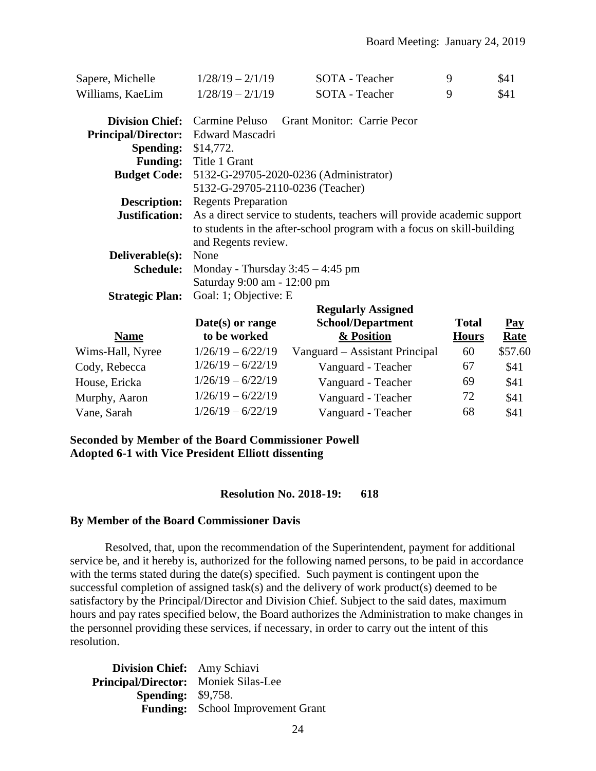| Sapere, Michelle           | $1/28/19 - 2/1/19$                                                     | SOTA - Teacher                                                          | 9            | \$41           |  |
|----------------------------|------------------------------------------------------------------------|-------------------------------------------------------------------------|--------------|----------------|--|
| Williams, KaeLim           | $1/28/19 - 2/1/19$                                                     | SOTA - Teacher                                                          | 9            | \$41           |  |
| <b>Division Chief:</b>     | Carmine Peluso                                                         | <b>Grant Monitor: Carrie Pecor</b>                                      |              |                |  |
| <b>Principal/Director:</b> | Edward Mascadri                                                        |                                                                         |              |                |  |
| <b>Spending:</b>           | \$14,772.                                                              |                                                                         |              |                |  |
| <b>Funding:</b>            | Title 1 Grant                                                          |                                                                         |              |                |  |
| <b>Budget Code:</b>        |                                                                        | 5132-G-29705-2020-0236 (Administrator)                                  |              |                |  |
|                            | 5132-G-29705-2110-0236 (Teacher)                                       |                                                                         |              |                |  |
| <b>Description:</b>        | <b>Regents Preparation</b>                                             |                                                                         |              |                |  |
| Justification:             |                                                                        | As a direct service to students, teachers will provide academic support |              |                |  |
|                            | to students in the after-school program with a focus on skill-building |                                                                         |              |                |  |
|                            | and Regents review.                                                    |                                                                         |              |                |  |
| Deliverable(s):            | None                                                                   |                                                                         |              |                |  |
| <b>Schedule:</b>           | Monday - Thursday $3:45 - 4:45$ pm                                     |                                                                         |              |                |  |
|                            | Saturday 9:00 am - 12:00 pm                                            |                                                                         |              |                |  |
| <b>Strategic Plan:</b>     | Goal: 1; Objective: E                                                  |                                                                         |              |                |  |
|                            |                                                                        | <b>Regularly Assigned</b>                                               |              |                |  |
|                            | Date(s) or range                                                       | <b>School/Department</b>                                                | <b>Total</b> | $\mathbf{Pay}$ |  |
| <b>Name</b>                | to be worked                                                           | & Position                                                              | <b>Hours</b> | <b>Rate</b>    |  |
| Wims-Hall, Nyree           | $1/26/19 - 6/22/19$                                                    | Vanguard – Assistant Principal                                          | 60           | \$57.60        |  |
| Cody, Rebecca              | $1/26/19 - 6/22/19$                                                    | Vanguard - Teacher                                                      | 67           | \$41           |  |
| House, Ericka              | $1/26/19 - 6/22/19$                                                    | Vanguard - Teacher                                                      | 69           | \$41           |  |
| Murphy, Aaron              | $1/26/19 - 6/22/19$                                                    | Vanguard - Teacher                                                      | 72           | \$41           |  |
| Vane, Sarah                | $1/26/19 - 6/22/19$                                                    | Vanguard - Teacher                                                      | 68           | \$41           |  |

#### **Seconded by Member of the Board Commissioner Powell Adopted 6-1 with Vice President Elliott dissenting**

#### **Resolution No. 2018-19: 618**

#### **By Member of the Board Commissioner Davis**

Resolved, that, upon the recommendation of the Superintendent, payment for additional service be, and it hereby is, authorized for the following named persons, to be paid in accordance with the terms stated during the date(s) specified. Such payment is contingent upon the successful completion of assigned task(s) and the delivery of work product(s) deemed to be satisfactory by the Principal/Director and Division Chief. Subject to the said dates, maximum hours and pay rates specified below, the Board authorizes the Administration to make changes in the personnel providing these services, if necessary, in order to carry out the intent of this resolution.

**Division Chief:** Amy Schiavi **Principal/Director:** Moniek Silas-Lee **Spending:** \$9,758. **Funding:** School Improvement Grant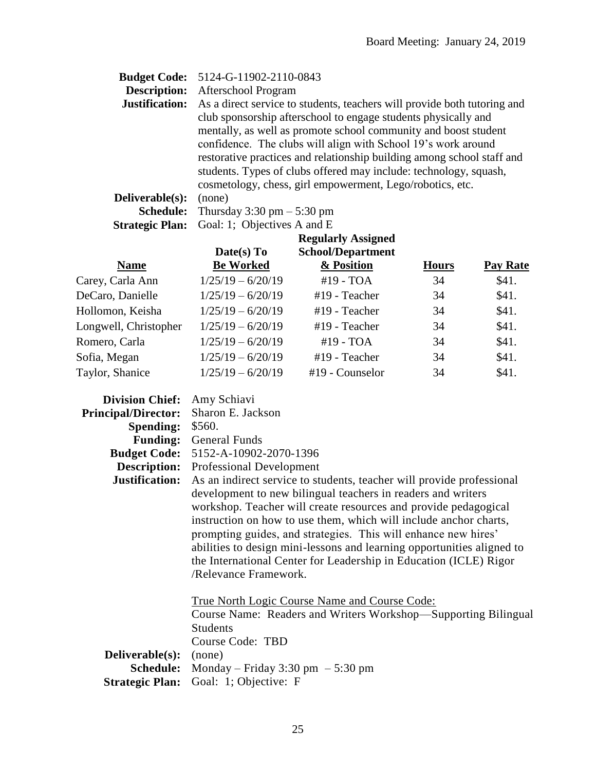|                        | <b>Budget Code:</b> 5124-G-11902-2110-0843                               |
|------------------------|--------------------------------------------------------------------------|
| <b>Description:</b>    | Afterschool Program                                                      |
| <b>Justification:</b>  | As a direct service to students, teachers will provide both tutoring and |
|                        | club sponsorship afterschool to engage students physically and           |
|                        | mentally, as well as promote school community and boost student          |
|                        | confidence. The clubs will align with School 19's work around            |
|                        | restorative practices and relationship building among school staff and   |
|                        | students. Types of clubs offered may include: technology, squash,        |
|                        | cosmetology, chess, girl empowerment, Lego/robotics, etc.                |
| Deliverable(s):        | (none)                                                                   |
| <b>Schedule:</b>       | Thursday 3:30 pm $-$ 5:30 pm                                             |
| <b>Strategic Plan:</b> | Goal: 1; Objectives A and E                                              |

|                       | Date(s) To          | <b>Regularly Assigned</b><br><b>School/Department</b> |              |                 |
|-----------------------|---------------------|-------------------------------------------------------|--------------|-----------------|
| <b>Name</b>           | <b>Be Worked</b>    | & Position                                            | <b>Hours</b> | <b>Pay Rate</b> |
| Carey, Carla Ann      | $1/25/19 - 6/20/19$ | #19 - TOA                                             | 34           | \$41.           |
| DeCaro, Danielle      | $1/25/19 - 6/20/19$ | #19 - Teacher                                         | 34           | \$41.           |
| Hollomon, Keisha      | $1/25/19 - 6/20/19$ | #19 - Teacher                                         | 34           | \$41.           |
| Longwell, Christopher | $1/25/19 - 6/20/19$ | #19 - Teacher                                         | 34           | \$41.           |
| Romero, Carla         | $1/25/19 - 6/20/19$ | #19 - TOA                                             | 34           | \$41.           |
| Sofia, Megan          | $1/25/19 - 6/20/19$ | #19 - Teacher                                         | 34           | \$41.           |
| Taylor, Shanice       | $1/25/19 - 6/20/19$ | #19 - Counselor                                       | 34           | \$41.           |

| Division Chief: Amy Schiavi                             |                                                                                                                                                                                                                                                                                                                                                                                                                                                                                                                         |
|---------------------------------------------------------|-------------------------------------------------------------------------------------------------------------------------------------------------------------------------------------------------------------------------------------------------------------------------------------------------------------------------------------------------------------------------------------------------------------------------------------------------------------------------------------------------------------------------|
| <b>Principal/Director:</b>                              | Sharon E. Jackson                                                                                                                                                                                                                                                                                                                                                                                                                                                                                                       |
| <b>Spending:</b>                                        | \$560.                                                                                                                                                                                                                                                                                                                                                                                                                                                                                                                  |
|                                                         | <b>Funding:</b> General Funds                                                                                                                                                                                                                                                                                                                                                                                                                                                                                           |
|                                                         | <b>Budget Code:</b> 5152-A-10902-2070-1396                                                                                                                                                                                                                                                                                                                                                                                                                                                                              |
|                                                         | <b>Description:</b> Professional Development                                                                                                                                                                                                                                                                                                                                                                                                                                                                            |
| Justification:                                          | As an indirect service to students, teacher will provide professional<br>development to new bilingual teachers in readers and writers<br>workshop. Teacher will create resources and provide pedagogical<br>instruction on how to use them, which will include anchor charts,<br>prompting guides, and strategies. This will enhance new hires'<br>abilities to design mini-lessons and learning opportunities aligned to<br>the International Center for Leadership in Education (ICLE) Rigor<br>/Relevance Framework. |
| <b>Deliverable(s):</b> (none)<br><b>Strategic Plan:</b> | <u>True North Logic Course Name and Course Code:</u><br>Course Name: Readers and Writers Workshop—Supporting Bilingual<br><b>Students</b><br><b>Course Code: TBD</b><br><b>Schedule:</b> Monday – Friday 3:30 pm – 5:30 pm<br>Goal: 1; Objective: F                                                                                                                                                                                                                                                                     |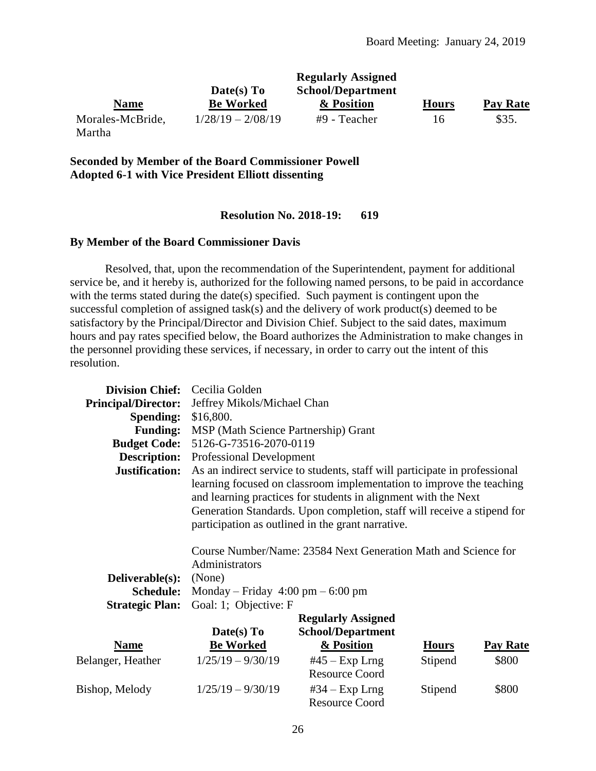|                  |                     | <b>Regularly Assigned</b> |              |          |
|------------------|---------------------|---------------------------|--------------|----------|
|                  | Date(s) To          | <b>School/Department</b>  |              |          |
| <b>Name</b>      | <b>Be Worked</b>    | & Position                | <b>Hours</b> | Pay Rate |
| Morales-McBride, | $1/28/19 - 2/08/19$ | #9 - Teacher              | 16           | \$35.    |
| Martha           |                     |                           |              |          |

**Seconded by Member of the Board Commissioner Powell Adopted 6-1 with Vice President Elliott dissenting**

#### **Resolution No. 2018-19: 619**

#### **By Member of the Board Commissioner Davis**

Resolved, that, upon the recommendation of the Superintendent, payment for additional service be, and it hereby is, authorized for the following named persons, to be paid in accordance with the terms stated during the date(s) specified. Such payment is contingent upon the successful completion of assigned task(s) and the delivery of work product(s) deemed to be satisfactory by the Principal/Director and Division Chief. Subject to the said dates, maximum hours and pay rates specified below, the Board authorizes the Administration to make changes in the personnel providing these services, if necessary, in order to carry out the intent of this resolution.

| <b>Division Chief:</b>     | Cecilia Golden                                      |                                                                                                                                                                                                                                                                        |              |                 |
|----------------------------|-----------------------------------------------------|------------------------------------------------------------------------------------------------------------------------------------------------------------------------------------------------------------------------------------------------------------------------|--------------|-----------------|
| <b>Principal/Director:</b> | Jeffrey Mikols/Michael Chan                         |                                                                                                                                                                                                                                                                        |              |                 |
| <b>Spending:</b>           | \$16,800.                                           |                                                                                                                                                                                                                                                                        |              |                 |
| <b>Funding:</b>            | MSP (Math Science Partnership) Grant                |                                                                                                                                                                                                                                                                        |              |                 |
| <b>Budget Code:</b>        | 5126-G-73516-2070-0119                              |                                                                                                                                                                                                                                                                        |              |                 |
| <b>Description:</b>        | <b>Professional Development</b>                     |                                                                                                                                                                                                                                                                        |              |                 |
| <b>Justification:</b>      |                                                     | As an indirect service to students, staff will participate in professional                                                                                                                                                                                             |              |                 |
|                            |                                                     | learning focused on classroom implementation to improve the teaching<br>and learning practices for students in alignment with the Next<br>Generation Standards. Upon completion, staff will receive a stipend for<br>participation as outlined in the grant narrative. |              |                 |
|                            | Administrators                                      | Course Number/Name: 23584 Next Generation Math and Science for                                                                                                                                                                                                         |              |                 |
| Deliverable(s):            | (None)                                              |                                                                                                                                                                                                                                                                        |              |                 |
| <b>Schedule:</b>           | Monday – Friday $4:00 \text{ pm} - 6:00 \text{ pm}$ |                                                                                                                                                                                                                                                                        |              |                 |
| <b>Strategic Plan:</b>     | Goal: 1; Objective: F                               |                                                                                                                                                                                                                                                                        |              |                 |
|                            |                                                     | <b>Regularly Assigned</b>                                                                                                                                                                                                                                              |              |                 |
|                            | Date(s) To                                          | <b>School/Department</b>                                                                                                                                                                                                                                               |              |                 |
| <b>Name</b>                | <b>Be Worked</b>                                    | & Position                                                                                                                                                                                                                                                             | <b>Hours</b> | <b>Pay Rate</b> |
| Belanger, Heather          | $1/25/19 - 9/30/19$                                 | $#45 - Exp$ Lrng<br><b>Resource Coord</b>                                                                                                                                                                                                                              | Stipend      | \$800           |
| Bishop, Melody             | $1/25/19 - 9/30/19$                                 | $#34 - Exp$ Lrng<br><b>Resource Coord</b>                                                                                                                                                                                                                              | Stipend      | \$800           |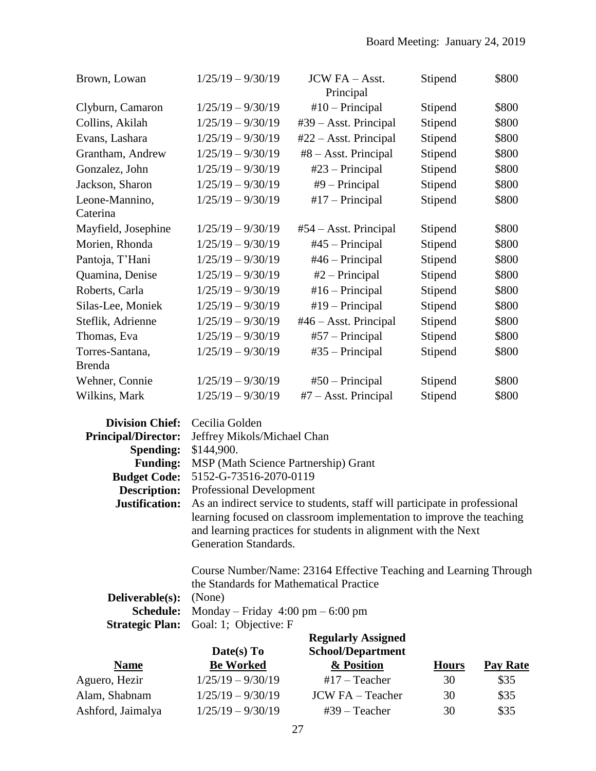| Brown, Lowan        | $1/25/19 - 9/30/19$ | JCW FA - Asst.<br>Principal   | Stipend | \$800 |
|---------------------|---------------------|-------------------------------|---------|-------|
| Clyburn, Camaron    | $1/25/19 - 9/30/19$ | $#10$ – Principal             | Stipend | \$800 |
| Collins, Akilah     | $1/25/19 - 9/30/19$ | #39 - Asst. Principal         | Stipend | \$800 |
| Evans, Lashara      | $1/25/19 - 9/30/19$ | $#22 - Asst. Principal$       | Stipend | \$800 |
| Grantham, Andrew    | $1/25/19 - 9/30/19$ | #8 – Asst. Principal          | Stipend | \$800 |
| Gonzalez, John      | $1/25/19 - 9/30/19$ | $#23$ – Principal             | Stipend | \$800 |
| Jackson, Sharon     | $1/25/19 - 9/30/19$ | $#9$ – Principal              | Stipend | \$800 |
| Leone-Mannino,      | $1/25/19 - 9/30/19$ | $#17$ – Principal             | Stipend | \$800 |
| Caterina            |                     |                               |         |       |
| Mayfield, Josephine | $1/25/19 - 9/30/19$ | $#54 - Asst. Principal$       | Stipend | \$800 |
| Morien, Rhonda      | $1/25/19 - 9/30/19$ | $#45$ – Principal             | Stipend | \$800 |
| Pantoja, T'Hani     | $1/25/19 - 9/30/19$ | $#46 - Principal$             | Stipend | \$800 |
| Quamina, Denise     | $1/25/19 - 9/30/19$ | $#2$ – Principal              | Stipend | \$800 |
| Roberts, Carla      | $1/25/19 - 9/30/19$ | $#16 - Principal$             | Stipend | \$800 |
| Silas-Lee, Moniek   | $1/25/19 - 9/30/19$ | $#19$ – Principal             | Stipend | \$800 |
| Steflik, Adrienne   | $1/25/19 - 9/30/19$ | $#46 - Asst. Principal$       | Stipend | \$800 |
| Thomas, Eva         | $1/25/19 - 9/30/19$ | $#57$ – Principal             | Stipend | \$800 |
| Torres-Santana,     | $1/25/19 - 9/30/19$ | $#35$ – Principal             | Stipend | \$800 |
| <b>Brenda</b>       |                     |                               |         |       |
| Wehner, Connie      | $1/25/19 - 9/30/19$ | $#50$ – Principal             | Stipend | \$800 |
| Wilkins, Mark       | $1/25/19 - 9/30/19$ | $#7 - \text{Asst. Principal}$ | Stipend | \$800 |

| Division Chief: Cecilia Golden |                                                                                                  |
|--------------------------------|--------------------------------------------------------------------------------------------------|
|                                | Principal/Director: Jeffrey Mikols/Michael Chan                                                  |
| <b>Spending:</b> \$144,900.    |                                                                                                  |
|                                | <b>Funding:</b> MSP (Math Science Partnership) Grant                                             |
|                                | <b>Budget Code:</b> 5152-G-73516-2070-0119                                                       |
|                                | <b>Description:</b> Professional Development                                                     |
|                                | <b>Justification:</b> As an indirect service to students, staff will participate in professional |
|                                | learning focused on classroom implementation to improve the teaching                             |
|                                | and learning practices for students in alignment with the Next                                   |
|                                | Generation Standards.                                                                            |

Course Number/Name: 23164 Effective Teaching and Learning Through the Standards for Mathematical Practice

| <b>Deliverable(s):</b> (None) |                                                                      |
|-------------------------------|----------------------------------------------------------------------|
|                               | <b>Schedule:</b> Monday – Friday $4:00 \text{ pm} - 6:00 \text{ pm}$ |
|                               | <b>Strategic Plan:</b> Goal: 1; Objective: F                         |
|                               | <b>Regularly Assigned</b>                                            |

| Date(s) $To$        | <b>School/Department</b> |              |                 |
|---------------------|--------------------------|--------------|-----------------|
| <b>Be Worked</b>    | & Position               | <b>Hours</b> | <b>Pay Rate</b> |
| $1/25/19 - 9/30/19$ | $#17 - Teacher$          | 30           | \$35            |
| $1/25/19 - 9/30/19$ | <b>JCW FA</b> – Teacher  | 30           | \$35            |
| $1/25/19 - 9/30/19$ | $#39 - Teacher$          | 30           | \$35            |
|                     |                          |              |                 |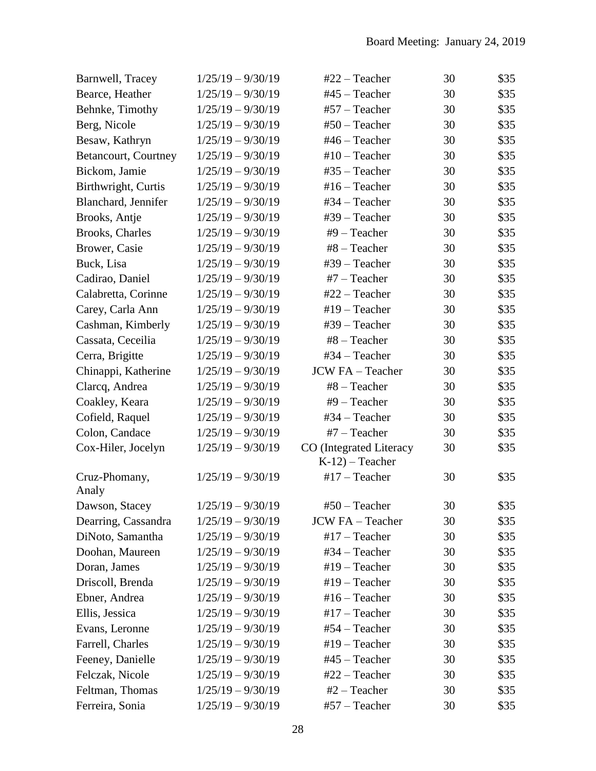| Barnwell, Tracey        | $1/25/19 - 9/30/19$ | $#22 - Teacher$                             | 30 | \$35 |
|-------------------------|---------------------|---------------------------------------------|----|------|
| Bearce, Heather         | $1/25/19 - 9/30/19$ | $#45 - Teacher$                             | 30 | \$35 |
| Behnke, Timothy         | $1/25/19 - 9/30/19$ | #57 - Teacher                               | 30 | \$35 |
| Berg, Nicole            | $1/25/19 - 9/30/19$ | $#50$ – Teacher                             | 30 | \$35 |
| Besaw, Kathryn          | $1/25/19 - 9/30/19$ | #46 - Teacher                               | 30 | \$35 |
| Betancourt, Courtney    | $1/25/19 - 9/30/19$ | $#10$ – Teacher                             | 30 | \$35 |
| Bickom, Jamie           | $1/25/19 - 9/30/19$ | $#35 - Teacher$                             | 30 | \$35 |
| Birthwright, Curtis     | $1/25/19 - 9/30/19$ | $#16 - Teacher$                             | 30 | \$35 |
| Blanchard, Jennifer     | $1/25/19 - 9/30/19$ | #34 - Teacher                               | 30 | \$35 |
| Brooks, Antje           | $1/25/19 - 9/30/19$ | #39 - Teacher                               | 30 | \$35 |
| <b>Brooks</b> , Charles | $1/25/19 - 9/30/19$ | $#9$ – Teacher                              | 30 | \$35 |
| Brower, Casie           | $1/25/19 - 9/30/19$ | #8 - Teacher                                | 30 | \$35 |
| Buck, Lisa              | $1/25/19 - 9/30/19$ | #39 - Teacher                               | 30 | \$35 |
| Cadirao, Daniel         | $1/25/19 - 9/30/19$ | $#7 - Teacher$                              | 30 | \$35 |
| Calabretta, Corinne     | $1/25/19 - 9/30/19$ | #22 - Teacher                               | 30 | \$35 |
| Carey, Carla Ann        | $1/25/19 - 9/30/19$ | #19 - Teacher                               | 30 | \$35 |
| Cashman, Kimberly       | $1/25/19 - 9/30/19$ | #39 - Teacher                               | 30 | \$35 |
| Cassata, Ceceilia       | $1/25/19 - 9/30/19$ | $#8 - Teacher$                              | 30 | \$35 |
| Cerra, Brigitte         | $1/25/19 - 9/30/19$ | #34 - Teacher                               | 30 | \$35 |
| Chinappi, Katherine     | $1/25/19 - 9/30/19$ | <b>JCW FA - Teacher</b>                     | 30 | \$35 |
| Clarcq, Andrea          | $1/25/19 - 9/30/19$ | #8 - Teacher                                | 30 | \$35 |
| Coakley, Keara          | $1/25/19 - 9/30/19$ | #9 - Teacher                                | 30 | \$35 |
| Cofield, Raquel         | $1/25/19 - 9/30/19$ | #34 - Teacher                               | 30 | \$35 |
| Colon, Candace          | $1/25/19 - 9/30/19$ | $#7 - Teacher$                              | 30 | \$35 |
| Cox-Hiler, Jocelyn      | $1/25/19 - 9/30/19$ | CO (Integrated Literacy<br>$K-12$ – Teacher | 30 | \$35 |
| Cruz-Phomany,<br>Analy  | $1/25/19 - 9/30/19$ | $#17 - Teacher$                             | 30 | \$35 |
| Dawson, Stacey          | $1/25/19 - 9/30/19$ | $#50$ – Teacher                             | 30 | \$35 |
| Dearring, Cassandra     | $1/25/19 - 9/30/19$ | <b>JCW FA - Teacher</b>                     | 30 | \$35 |
| DiNoto, Samantha        | $1/25/19 - 9/30/19$ | $#17 - Teacher$                             | 30 | \$35 |
| Doohan, Maureen         | $1/25/19 - 9/30/19$ | #34 - Teacher                               | 30 | \$35 |
| Doran, James            | $1/25/19 - 9/30/19$ | #19 - Teacher                               | 30 | \$35 |
| Driscoll, Brenda        | $1/25/19 - 9/30/19$ | $#19$ – Teacher                             | 30 | \$35 |
| Ebner, Andrea           | $1/25/19 - 9/30/19$ | # $16$ – Teacher                            | 30 | \$35 |
| Ellis, Jessica          | $1/25/19 - 9/30/19$ | $#17$ – Teacher                             | 30 | \$35 |
| Evans, Leronne          | $1/25/19 - 9/30/19$ | $#54 - Teacher$                             | 30 | \$35 |
| Farrell, Charles        | $1/25/19 - 9/30/19$ | #19 - Teacher                               | 30 | \$35 |
| Feeney, Danielle        | $1/25/19 - 9/30/19$ | #45 - Teacher                               | 30 | \$35 |
| Felczak, Nicole         | $1/25/19 - 9/30/19$ | $#22 - Teacher$                             | 30 | \$35 |
| Feltman, Thomas         | $1/25/19 - 9/30/19$ | $#2 - Teacher$                              | 30 | \$35 |
| Ferreira, Sonia         | $1/25/19 - 9/30/19$ | #57 - Teacher                               | 30 | \$35 |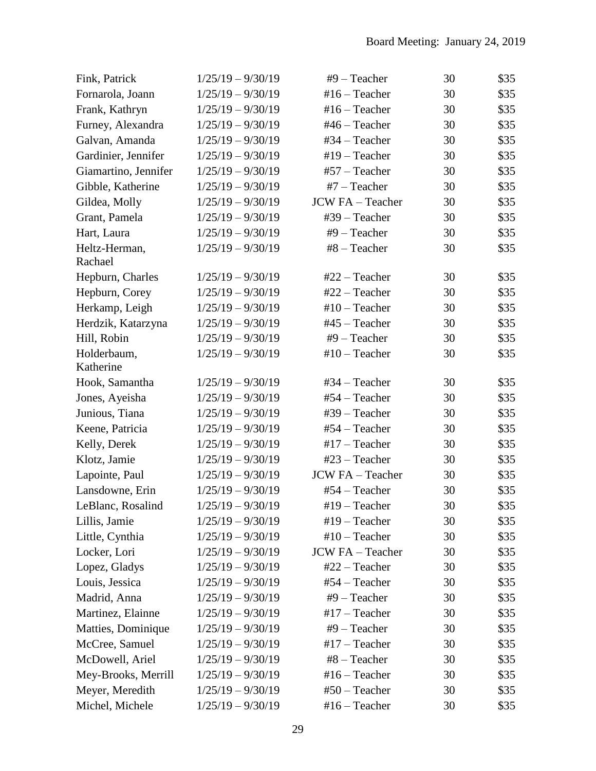| Fink, Patrick            | $1/25/19 - 9/30/19$ | $#9$ – Teacher          | 30 | \$35 |
|--------------------------|---------------------|-------------------------|----|------|
| Fornarola, Joann         | $1/25/19 - 9/30/19$ | $#16 - Teacher$         | 30 | \$35 |
| Frank, Kathryn           | $1/25/19 - 9/30/19$ | $#16 - Teacher$         | 30 | \$35 |
| Furney, Alexandra        | $1/25/19 - 9/30/19$ | $#46 - Teacher$         | 30 | \$35 |
| Galvan, Amanda           | $1/25/19 - 9/30/19$ | $#34 - Teacher$         | 30 | \$35 |
| Gardinier, Jennifer      | $1/25/19 - 9/30/19$ | #19 - Teacher           | 30 | \$35 |
| Giamartino, Jennifer     | $1/25/19 - 9/30/19$ | $#57 - Teacher$         | 30 | \$35 |
| Gibble, Katherine        | $1/25/19 - 9/30/19$ | #7 - Teacher            | 30 | \$35 |
| Gildea, Molly            | $1/25/19 - 9/30/19$ | <b>JCW FA - Teacher</b> | 30 | \$35 |
| Grant, Pamela            | $1/25/19 - 9/30/19$ | #39 - Teacher           | 30 | \$35 |
| Hart, Laura              | $1/25/19 - 9/30/19$ | $#9$ – Teacher          | 30 | \$35 |
| Heltz-Herman,<br>Rachael | $1/25/19 - 9/30/19$ | #8 - Teacher            | 30 | \$35 |
| Hepburn, Charles         | $1/25/19 - 9/30/19$ | $#22 - Teacher$         | 30 | \$35 |
| Hepburn, Corey           | $1/25/19 - 9/30/19$ | #22 - Teacher           | 30 | \$35 |
| Herkamp, Leigh           | $1/25/19 - 9/30/19$ | $#10$ – Teacher         | 30 | \$35 |
| Herdzik, Katarzyna       | $1/25/19 - 9/30/19$ | #45 - Teacher           | 30 | \$35 |
| Hill, Robin              | $1/25/19 - 9/30/19$ | $#9$ – Teacher          | 30 | \$35 |
| Holderbaum,<br>Katherine | $1/25/19 - 9/30/19$ | $#10$ – Teacher         | 30 | \$35 |
| Hook, Samantha           | $1/25/19 - 9/30/19$ | #34 - Teacher           | 30 | \$35 |
| Jones, Ayeisha           | $1/25/19 - 9/30/19$ | #54 - Teacher           | 30 | \$35 |
| Junious, Tiana           | $1/25/19 - 9/30/19$ | #39 - Teacher           | 30 | \$35 |
| Keene, Patricia          | $1/25/19 - 9/30/19$ | #54 - Teacher           | 30 | \$35 |
| Kelly, Derek             | $1/25/19 - 9/30/19$ | $#17 - Teacher$         | 30 | \$35 |
| Klotz, Jamie             | $1/25/19 - 9/30/19$ | #23 - Teacher           | 30 | \$35 |
| Lapointe, Paul           | $1/25/19 - 9/30/19$ | JCW FA - Teacher        | 30 | \$35 |
| Lansdowne, Erin          | $1/25/19 - 9/30/19$ | #54 - Teacher           | 30 | \$35 |
| LeBlanc, Rosalind        | $1/25/19 - 9/30/19$ | $#19$ – Teacher         | 30 | \$35 |
| Lillis, Jamie            | $1/25/19 - 9/30/19$ | $#19$ – Teacher         | 30 | \$35 |
| Little, Cynthia          | $1/25/19 - 9/30/19$ | $#10$ – Teacher         | 30 | \$35 |
| Locker, Lori             | $1/25/19 - 9/30/19$ | <b>JCW FA - Teacher</b> | 30 | \$35 |
| Lopez, Gladys            | $1/25/19 - 9/30/19$ | $#22 - Teacher$         | 30 | \$35 |
| Louis, Jessica           | $1/25/19 - 9/30/19$ | #54 - Teacher           | 30 | \$35 |
| Madrid, Anna             | $1/25/19 - 9/30/19$ | $#9$ – Teacher          | 30 | \$35 |
| Martinez, Elainne        | $1/25/19 - 9/30/19$ | $#17 - Teacher$         | 30 | \$35 |
| Matties, Dominique       | $1/25/19 - 9/30/19$ | $#9$ – Teacher          | 30 | \$35 |
| McCree, Samuel           | $1/25/19 - 9/30/19$ | $#17 - Teacher$         | 30 | \$35 |
| McDowell, Ariel          | $1/25/19 - 9/30/19$ | $#8 - Teacher$          | 30 | \$35 |
| Mey-Brooks, Merrill      | $1/25/19 - 9/30/19$ | $#16 - Teacher$         | 30 | \$35 |
| Meyer, Meredith          | $1/25/19 - 9/30/19$ | $#50$ – Teacher         | 30 | \$35 |
| Michel, Michele          | $1/25/19 - 9/30/19$ | $#16 - Teacher$         | 30 | \$35 |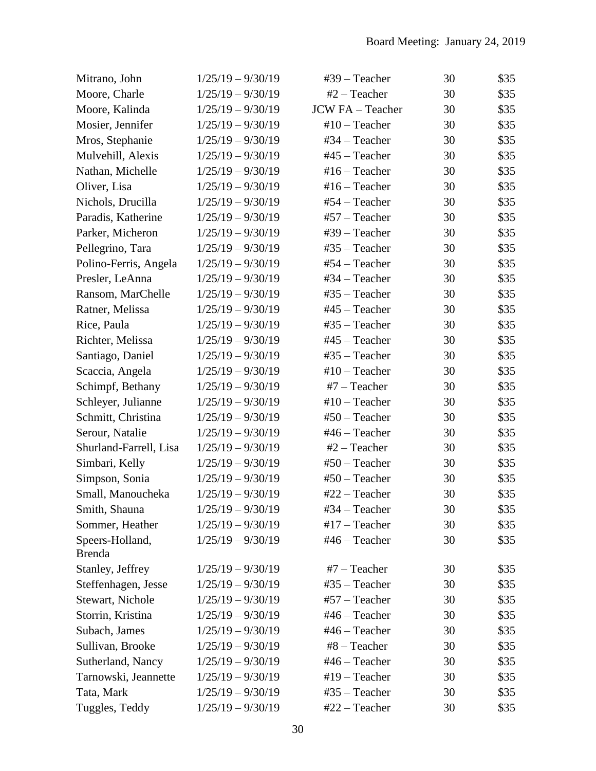| Mitrano, John                    | $1/25/19 - 9/30/19$ | $#39$ – Teacher         | 30 | \$35 |
|----------------------------------|---------------------|-------------------------|----|------|
| Moore, Charle                    | $1/25/19 - 9/30/19$ | $#2 - Teacher$          | 30 | \$35 |
| Moore, Kalinda                   | $1/25/19 - 9/30/19$ | <b>JCW FA - Teacher</b> | 30 | \$35 |
| Mosier, Jennifer                 | $1/25/19 - 9/30/19$ | $#10$ – Teacher         | 30 | \$35 |
| Mros, Stephanie                  | $1/25/19 - 9/30/19$ | #34 - Teacher           | 30 | \$35 |
| Mulvehill, Alexis                | $1/25/19 - 9/30/19$ | #45 - Teacher           | 30 | \$35 |
| Nathan, Michelle                 | $1/25/19 - 9/30/19$ | # $16$ – Teacher        | 30 | \$35 |
| Oliver, Lisa                     | $1/25/19 - 9/30/19$ | $#16 - Teacher$         | 30 | \$35 |
| Nichols, Drucilla                | $1/25/19 - 9/30/19$ | #54 - Teacher           | 30 | \$35 |
| Paradis, Katherine               | $1/25/19 - 9/30/19$ | $#57 - Teacher$         | 30 | \$35 |
| Parker, Micheron                 | $1/25/19 - 9/30/19$ | #39 - Teacher           | 30 | \$35 |
| Pellegrino, Tara                 | $1/25/19 - 9/30/19$ | #35 - Teacher           | 30 | \$35 |
| Polino-Ferris, Angela            | $1/25/19 - 9/30/19$ | #54 - Teacher           | 30 | \$35 |
| Presler, LeAnna                  | $1/25/19 - 9/30/19$ | #34 - Teacher           | 30 | \$35 |
| Ransom, MarChelle                | $1/25/19 - 9/30/19$ | #35 - Teacher           | 30 | \$35 |
| Ratner, Melissa                  | $1/25/19 - 9/30/19$ | $#45 - Teacher$         | 30 | \$35 |
| Rice, Paula                      | $1/25/19 - 9/30/19$ | $#35 - Teacher$         | 30 | \$35 |
| Richter, Melissa                 | $1/25/19 - 9/30/19$ | #45 - Teacher           | 30 | \$35 |
| Santiago, Daniel                 | $1/25/19 - 9/30/19$ | #35 - Teacher           | 30 | \$35 |
| Scaccia, Angela                  | $1/25/19 - 9/30/19$ | $#10$ – Teacher         | 30 | \$35 |
| Schimpf, Bethany                 | $1/25/19 - 9/30/19$ | $#7$ – Teacher          | 30 | \$35 |
| Schleyer, Julianne               | $1/25/19 - 9/30/19$ | $#10$ – Teacher         | 30 | \$35 |
| Schmitt, Christina               | $1/25/19 - 9/30/19$ | $#50 - Teacher$         | 30 | \$35 |
| Serour, Natalie                  | $1/25/19 - 9/30/19$ | $#46 - Teacher$         | 30 | \$35 |
| Shurland-Farrell, Lisa           | $1/25/19 - 9/30/19$ | $#2 - Teacher$          | 30 | \$35 |
| Simbari, Kelly                   | $1/25/19 - 9/30/19$ | $#50$ – Teacher         | 30 | \$35 |
| Simpson, Sonia                   | $1/25/19 - 9/30/19$ | $#50 - Teacher$         | 30 | \$35 |
| Small, Manoucheka                | $1/25/19 - 9/30/19$ | #22 - Teacher           | 30 | \$35 |
| Smith, Shauna                    | $1/25/19 - 9/30/19$ | #34 – Teacher           | 30 | \$35 |
| Sommer, Heather                  | $1/25/19 - 9/30/19$ | $#17$ – Teacher         | 30 | \$35 |
| Speers-Holland,<br><b>Brenda</b> | $1/25/19 - 9/30/19$ | $#46 - Teacher$         | 30 | \$35 |
| Stanley, Jeffrey                 | $1/25/19 - 9/30/19$ | $#7$ – Teacher          | 30 | \$35 |
| Steffenhagen, Jesse              | $1/25/19 - 9/30/19$ | $#35 - Teacher$         | 30 | \$35 |
| Stewart, Nichole                 | $1/25/19 - 9/30/19$ | $#57 - Teacher$         | 30 | \$35 |
| Storrin, Kristina                | $1/25/19 - 9/30/19$ | $#46 - Teacher$         | 30 | \$35 |
| Subach, James                    | $1/25/19 - 9/30/19$ | #46 - Teacher           | 30 | \$35 |
| Sullivan, Brooke                 | $1/25/19 - 9/30/19$ | $#8 - Teacher$          | 30 | \$35 |
| Sutherland, Nancy                | $1/25/19 - 9/30/19$ | #46 - Teacher           | 30 | \$35 |
| Tarnowski, Jeannette             | $1/25/19 - 9/30/19$ | #19 - Teacher           | 30 | \$35 |
| Tata, Mark                       | $1/25/19 - 9/30/19$ | $#35 - Teacher$         | 30 | \$35 |
| Tuggles, Teddy                   | $1/25/19 - 9/30/19$ | #22 - Teacher           | 30 | \$35 |
|                                  |                     |                         |    |      |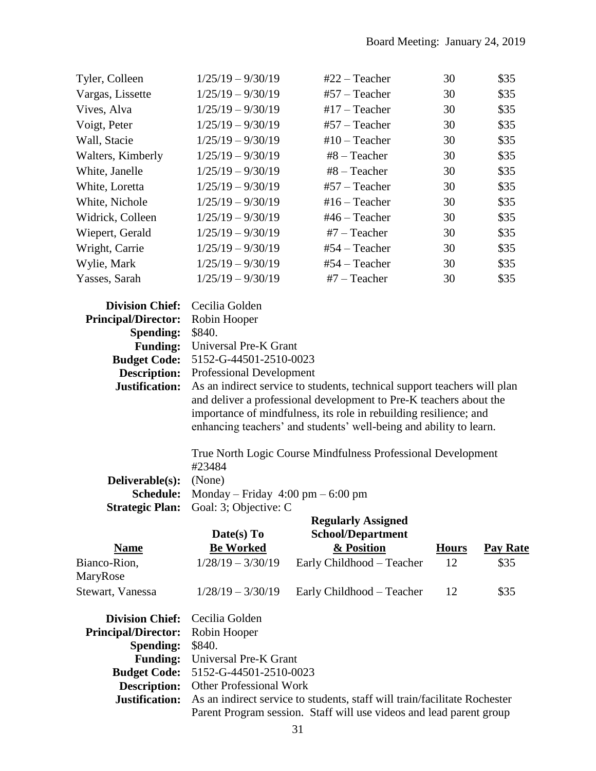| Tyler, Colleen                                                                                                                                              | $1/25/19 - 9/30/19$                                                                                                            | #22 - Teacher                                                                                                                                                                                                                                                                             | 30           | \$35            |
|-------------------------------------------------------------------------------------------------------------------------------------------------------------|--------------------------------------------------------------------------------------------------------------------------------|-------------------------------------------------------------------------------------------------------------------------------------------------------------------------------------------------------------------------------------------------------------------------------------------|--------------|-----------------|
| Vargas, Lissette                                                                                                                                            | $1/25/19 - 9/30/19$                                                                                                            | #57 - Teacher                                                                                                                                                                                                                                                                             | 30           | \$35            |
| Vives, Alva                                                                                                                                                 | $1/25/19 - 9/30/19$                                                                                                            | #17 $-$ Teacher                                                                                                                                                                                                                                                                           | 30           | \$35            |
| Voigt, Peter                                                                                                                                                | $1/25/19 - 9/30/19$                                                                                                            | #57 - Teacher                                                                                                                                                                                                                                                                             | 30           | \$35            |
| Wall, Stacie                                                                                                                                                | $1/25/19 - 9/30/19$                                                                                                            | $#10$ – Teacher                                                                                                                                                                                                                                                                           | 30           | \$35            |
| Walters, Kimberly                                                                                                                                           | $1/25/19 - 9/30/19$                                                                                                            | #8 - Teacher                                                                                                                                                                                                                                                                              | 30           | \$35            |
| White, Janelle                                                                                                                                              | $1/25/19 - 9/30/19$                                                                                                            | #8 - Teacher                                                                                                                                                                                                                                                                              | 30           | \$35            |
| White, Loretta                                                                                                                                              | $1/25/19 - 9/30/19$                                                                                                            | #57 - Teacher                                                                                                                                                                                                                                                                             | 30           | \$35            |
| White, Nichole                                                                                                                                              | $1/25/19 - 9/30/19$                                                                                                            | $#16 - Teacher$                                                                                                                                                                                                                                                                           | 30           | \$35            |
| Widrick, Colleen                                                                                                                                            | $1/25/19 - 9/30/19$                                                                                                            | $#46 - Teacher$                                                                                                                                                                                                                                                                           | 30           | \$35            |
| Wiepert, Gerald                                                                                                                                             | $1/25/19 - 9/30/19$                                                                                                            | $#7$ – Teacher                                                                                                                                                                                                                                                                            | 30           | \$35            |
| Wright, Carrie                                                                                                                                              | $1/25/19 - 9/30/19$                                                                                                            | #54 - Teacher                                                                                                                                                                                                                                                                             | 30           | \$35            |
| Wylie, Mark                                                                                                                                                 | $1/25/19 - 9/30/19$                                                                                                            | #54 - Teacher                                                                                                                                                                                                                                                                             | 30           | \$35            |
| Yasses, Sarah                                                                                                                                               | $1/25/19 - 9/30/19$                                                                                                            | $#7 - Teacher$                                                                                                                                                                                                                                                                            | 30           | \$35            |
| <b>Division Chief:</b><br><b>Principal/Director:</b><br><b>Spending:</b><br><b>Funding:</b><br><b>Budget Code:</b><br><b>Description:</b><br>Justification: | Cecilia Golden<br>Robin Hooper<br>\$840.<br>Universal Pre-K Grant<br>5152-G-44501-2510-0023<br><b>Professional Development</b> | As an indirect service to students, technical support teachers will plan<br>and deliver a professional development to Pre-K teachers about the<br>importance of mindfulness, its role in rebuilding resilience; and<br>enhancing teachers' and students' well-being and ability to learn. |              |                 |
|                                                                                                                                                             | #23484                                                                                                                         | True North Logic Course Mindfulness Professional Development                                                                                                                                                                                                                              |              |                 |
| Deliverable(s):                                                                                                                                             | (None)                                                                                                                         |                                                                                                                                                                                                                                                                                           |              |                 |
| Schedule:                                                                                                                                                   | Monday – Friday $4:00 \text{ pm} - 6:00 \text{ pm}$                                                                            |                                                                                                                                                                                                                                                                                           |              |                 |
| <b>Strategic Plan:</b>                                                                                                                                      | Goal: 3; Objective: C<br>Date(s) To                                                                                            | <b>Regularly Assigned</b><br><b>School/Department</b>                                                                                                                                                                                                                                     |              |                 |
| <b>Name</b>                                                                                                                                                 | <b>Be Worked</b>                                                                                                               | & Position                                                                                                                                                                                                                                                                                | <b>Hours</b> | <b>Pay Rate</b> |
| Bianco-Rion,<br>MaryRose                                                                                                                                    | $1/28/19 - 3/30/19$                                                                                                            | Early Childhood - Teacher                                                                                                                                                                                                                                                                 | 12           | \$35            |
| Stewart, Vanessa                                                                                                                                            | $1/28/19 - 3/30/19$                                                                                                            | Early Childhood - Teacher                                                                                                                                                                                                                                                                 | 12           | \$35            |
| <b>Division Chief:</b><br><b>Principal/Director:</b><br><b>Spending:</b><br><b>Funding:</b><br><b>Budget Code:</b><br><b>Description:</b><br>Justification: | Cecilia Golden<br>Robin Hooper<br>\$840.<br>Universal Pre-K Grant<br>5152-G-44501-2510-0023<br><b>Other Professional Work</b>  | As an indirect service to students, staff will train/facilitate Rochester                                                                                                                                                                                                                 |              |                 |
|                                                                                                                                                             |                                                                                                                                | Parent Program session. Staff will use videos and lead parent group                                                                                                                                                                                                                       |              |                 |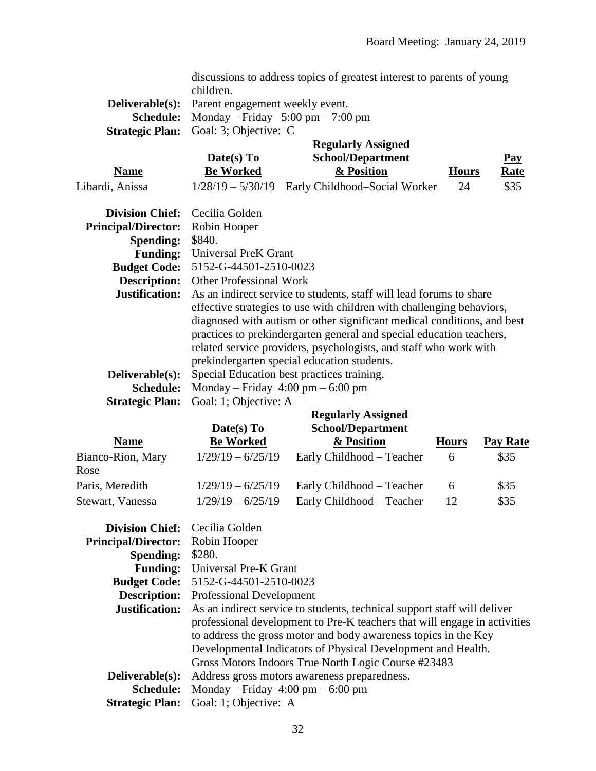|                            | discussions to address topics of greatest interest to parents of young  |  |
|----------------------------|-------------------------------------------------------------------------|--|
|                            | children.                                                               |  |
| Deliverable(s):            | Parent engagement weekly event.                                         |  |
| <b>Schedule:</b>           | Monday – Friday 5:00 pm – 7:00 pm                                       |  |
| <b>Strategic Plan:</b>     | Goal: 3; Objective: C                                                   |  |
|                            | <b>Regularly Assigned</b>                                               |  |
|                            | Date(s) To<br><b>School/Department</b><br>$\overline{\text{Pay}}$       |  |
| <b>Name</b>                | <b>Be Worked</b><br>& Position<br><b>Hours</b><br><b>Rate</b>           |  |
| Libardi, Anissa            | \$35<br>$1/28/19 - 5/30/19$ Early Childhood-Social Worker<br>24         |  |
| <b>Division Chief:</b>     | Cecilia Golden                                                          |  |
| <b>Principal/Director:</b> | Robin Hooper                                                            |  |
| <b>Spending:</b>           | \$840.                                                                  |  |
| <b>Funding:</b>            | Universal PreK Grant                                                    |  |
| <b>Budget Code:</b>        | 5152-G-44501-2510-0023                                                  |  |
| <b>Description:</b>        | <b>Other Professional Work</b>                                          |  |
| Justification:             | As an indirect service to students, staff will lead forums to share     |  |
|                            | effective strategies to use with children with challenging behaviors,   |  |
|                            | diagnosed with autism or other significant medical conditions, and best |  |
|                            | practices to prekindergarten general and special education teachers,    |  |
|                            | related service providers, psychologists, and staff who work with       |  |
|                            | prekindergarten special education students.                             |  |
| Deliverable(s):            | Special Education best practices training.                              |  |
| <b>Schedule:</b>           | Monday – Friday $4:00 \text{ pm} - 6:00 \text{ pm}$                     |  |
| <b>Strategic Plan:</b>     | Goal: 1; Objective: A                                                   |  |
|                            | <b>Regularly Assigned</b>                                               |  |

| <b>Name</b>                         | Date(s) To<br><b>Be Worked</b>             | <b>School/Department</b><br>& Position                 | <b>Hours</b>  | Pay Rate     |
|-------------------------------------|--------------------------------------------|--------------------------------------------------------|---------------|--------------|
| Bianco-Rion, Mary<br>Rose           | $1/29/19 - 6/25/19$                        | Early Childhood – Teacher                              | $\mathfrak b$ | \$35         |
| Paris, Meredith<br>Stewart, Vanessa | $1/29/19 - 6/25/19$<br>$1/29/19 - 6/25/19$ | Early Childhood – Teacher<br>Early Childhood – Teacher | 6<br>12       | \$35<br>\$35 |
|                                     |                                            |                                                        |               |              |

| <b>Division Chief:</b> Cecilia Golden |                                                                           |
|---------------------------------------|---------------------------------------------------------------------------|
| <b>Principal/Director:</b>            | Robin Hooper                                                              |
| <b>Spending:</b>                      | \$280.                                                                    |
|                                       | Funding: Universal Pre-K Grant                                            |
| <b>Budget Code:</b>                   | 5152-G-44501-2510-0023                                                    |
| <b>Description:</b>                   | <b>Professional Development</b>                                           |
| Justification:                        | As an indirect service to students, technical support staff will deliver  |
|                                       | professional development to Pre-K teachers that will engage in activities |
|                                       | to address the gross motor and body awareness topics in the Key           |
|                                       | Developmental Indicators of Physical Development and Health.              |
|                                       | Gross Motors Indoors True North Logic Course #23483                       |
| Deliverable(s):                       | Address gross motors awareness preparedness.                              |
| <b>Schedule:</b>                      | Monday – Friday $4:00 \text{ pm} - 6:00 \text{ pm}$                       |
| <b>Strategic Plan:</b>                | Goal: 1; Objective: A                                                     |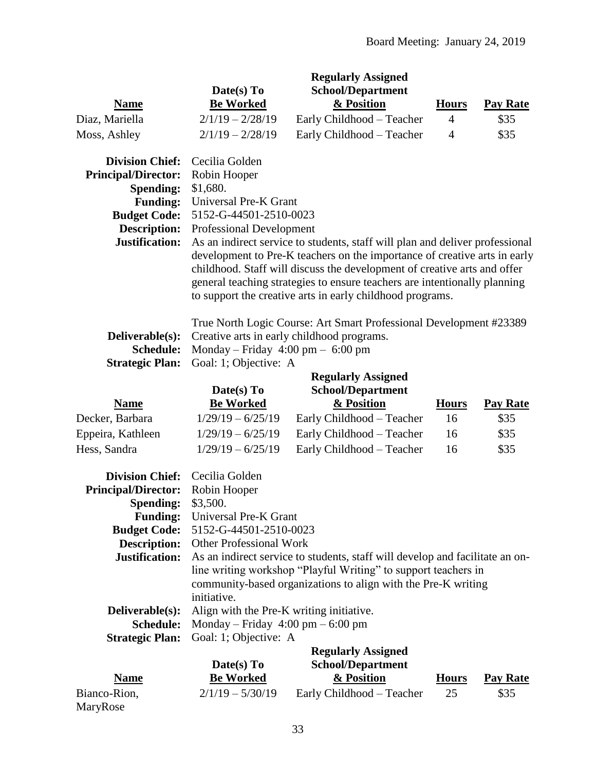|                                                                                                                                                      |                                                                                                                                  | <b>Regularly Assigned</b>                                                                                                                                                                                                                                                                                                                                                       |                |                 |
|------------------------------------------------------------------------------------------------------------------------------------------------------|----------------------------------------------------------------------------------------------------------------------------------|---------------------------------------------------------------------------------------------------------------------------------------------------------------------------------------------------------------------------------------------------------------------------------------------------------------------------------------------------------------------------------|----------------|-----------------|
|                                                                                                                                                      | Date(s) To                                                                                                                       | <b>School/Department</b>                                                                                                                                                                                                                                                                                                                                                        |                |                 |
| <b>Name</b>                                                                                                                                          | <b>Be Worked</b>                                                                                                                 | & Position                                                                                                                                                                                                                                                                                                                                                                      | <b>Hours</b>   | <b>Pay Rate</b> |
| Diaz, Mariella                                                                                                                                       | $2/1/19 - 2/28/19$                                                                                                               | Early Childhood - Teacher                                                                                                                                                                                                                                                                                                                                                       | $\overline{4}$ | \$35            |
| Moss, Ashley                                                                                                                                         | $2/1/19 - 2/28/19$                                                                                                               | Early Childhood - Teacher                                                                                                                                                                                                                                                                                                                                                       | $\overline{4}$ | \$35            |
| <b>Division Chief:</b><br><b>Principal/Director:</b><br>Spending:<br><b>Funding:</b><br><b>Budget Code:</b><br><b>Description:</b><br>Justification: | Cecilia Golden<br>Robin Hooper<br>\$1,680.<br>Universal Pre-K Grant<br>5152-G-44501-2510-0023<br><b>Professional Development</b> | As an indirect service to students, staff will plan and deliver professional<br>development to Pre-K teachers on the importance of creative arts in early<br>childhood. Staff will discuss the development of creative arts and offer<br>general teaching strategies to ensure teachers are intentionally planning<br>to support the creative arts in early childhood programs. |                |                 |
| Deliverable(s):<br>Schedule:<br><b>Strategic Plan:</b>                                                                                               | Monday – Friday $4:00 \text{ pm} - 6:00 \text{ pm}$<br>Goal: 1; Objective: A                                                     | True North Logic Course: Art Smart Professional Development #23389<br>Creative arts in early childhood programs.                                                                                                                                                                                                                                                                |                |                 |
|                                                                                                                                                      | <b>Regularly Assigned</b>                                                                                                        |                                                                                                                                                                                                                                                                                                                                                                                 |                |                 |
|                                                                                                                                                      | Date(s) To                                                                                                                       | <b>School/Department</b>                                                                                                                                                                                                                                                                                                                                                        |                |                 |
| <b>Name</b>                                                                                                                                          | <b>Be Worked</b>                                                                                                                 | & Position                                                                                                                                                                                                                                                                                                                                                                      | <b>Hours</b>   | <b>Pay Rate</b> |
| Decker, Barbara                                                                                                                                      | $1/29/19 - 6/25/19$                                                                                                              | Early Childhood - Teacher                                                                                                                                                                                                                                                                                                                                                       | 16             | \$35            |
| Eppeira, Kathleen                                                                                                                                    | $1/29/19 - 6/25/19$                                                                                                              | Early Childhood - Teacher                                                                                                                                                                                                                                                                                                                                                       | 16             | \$35            |
| Hess, Sandra                                                                                                                                         | $1/29/19 - 6/25/19$                                                                                                              | Early Childhood - Teacher                                                                                                                                                                                                                                                                                                                                                       | 16             | \$35            |
| <b>Division Chief:</b><br><b>Principal/Director:</b><br>Spending:<br><b>Funding:</b><br><b>Budget Code:</b><br><b>Description:</b><br>Justification: | Cecilia Golden<br>Robin Hooper<br>\$3,500.<br>Universal Pre-K Grant<br>5152-G-44501-2510-0023<br><b>Other Professional Work</b>  | As an indirect service to students, staff will develop and facilitate an on-<br>line writing workshop "Playful Writing" to support teachers in<br>community-based organizations to align with the Pre-K writing                                                                                                                                                                 |                |                 |
|                                                                                                                                                      | initiative.                                                                                                                      |                                                                                                                                                                                                                                                                                                                                                                                 |                |                 |
| Deliverable(s):<br>Schedule:                                                                                                                         | Align with the Pre-K writing initiative.<br>Monday – Friday $4:00 \text{ pm} - 6:00 \text{ pm}$                                  |                                                                                                                                                                                                                                                                                                                                                                                 |                |                 |
| <b>Strategic Plan:</b>                                                                                                                               | Goal: 1; Objective: A                                                                                                            |                                                                                                                                                                                                                                                                                                                                                                                 |                |                 |
|                                                                                                                                                      |                                                                                                                                  | <b>Regularly Assigned</b>                                                                                                                                                                                                                                                                                                                                                       |                |                 |
|                                                                                                                                                      | Date(s) To                                                                                                                       | <b>School/Department</b>                                                                                                                                                                                                                                                                                                                                                        |                |                 |
| <b>Name</b>                                                                                                                                          | <b>Be Worked</b>                                                                                                                 | & Position                                                                                                                                                                                                                                                                                                                                                                      | <b>Hours</b>   | <b>Pay Rate</b> |
| Bianco-Rion,                                                                                                                                         | $2/1/19 - 5/30/19$                                                                                                               | Early Childhood - Teacher                                                                                                                                                                                                                                                                                                                                                       | 25             | \$35            |
| MaryRose                                                                                                                                             |                                                                                                                                  |                                                                                                                                                                                                                                                                                                                                                                                 |                |                 |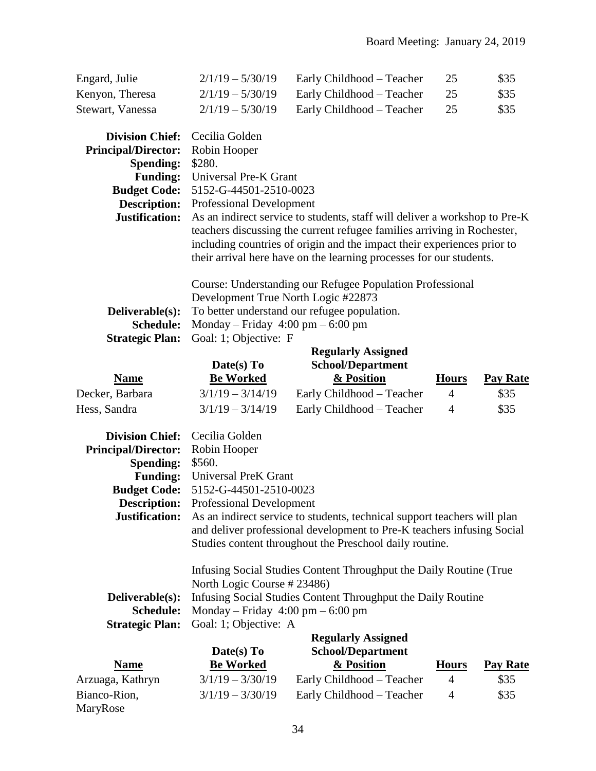| Engard, Julie<br>Kenyon, Theresa<br>Stewart, Vanessa                                                                                                        | $2/1/19 - 5/30/19$<br>$2/1/19 - 5/30/19$<br>$2/1/19 - 5/30/19$                                                                       | Early Childhood - Teacher<br>Early Childhood - Teacher<br>Early Childhood - Teacher                                                                                                                                                                                                                     | 25<br>25<br>25 | \$35<br>\$35<br>\$35 |
|-------------------------------------------------------------------------------------------------------------------------------------------------------------|--------------------------------------------------------------------------------------------------------------------------------------|---------------------------------------------------------------------------------------------------------------------------------------------------------------------------------------------------------------------------------------------------------------------------------------------------------|----------------|----------------------|
| <b>Division Chief:</b><br><b>Principal/Director:</b><br>Spending:<br><b>Funding:</b><br><b>Budget Code:</b><br><b>Description:</b><br>Justification:        | Cecilia Golden<br>Robin Hooper<br>\$280.<br>Universal Pre-K Grant<br>5152-G-44501-2510-0023<br><b>Professional Development</b>       | As an indirect service to students, staff will deliver a workshop to Pre-K<br>teachers discussing the current refugee families arriving in Rochester,<br>including countries of origin and the impact their experiences prior to<br>their arrival here have on the learning processes for our students. |                |                      |
| Deliverable(s):<br><b>Schedule:</b><br><b>Strategic Plan:</b>                                                                                               | Development True North Logic #22873<br>Monday – Friday $4:00 \text{ pm} - 6:00 \text{ pm}$<br>Goal: 1; Objective: F                  | Course: Understanding our Refugee Population Professional<br>To better understand our refugee population.                                                                                                                                                                                               |                |                      |
|                                                                                                                                                             |                                                                                                                                      | <b>Regularly Assigned</b><br><b>School/Department</b>                                                                                                                                                                                                                                                   |                |                      |
| <b>Name</b>                                                                                                                                                 | Date(s) To<br><b>Be Worked</b>                                                                                                       | & Position                                                                                                                                                                                                                                                                                              | <b>Hours</b>   | <b>Pay Rate</b>      |
| Decker, Barbara                                                                                                                                             | $3/1/19 - 3/14/19$                                                                                                                   | Early Childhood - Teacher                                                                                                                                                                                                                                                                               | $\overline{4}$ | \$35                 |
| Hess, Sandra                                                                                                                                                | $3/1/19 - 3/14/19$                                                                                                                   | Early Childhood - Teacher                                                                                                                                                                                                                                                                               | $\overline{4}$ | \$35                 |
| <b>Division Chief:</b><br><b>Principal/Director:</b><br><b>Spending:</b><br><b>Funding:</b><br><b>Budget Code:</b><br><b>Description:</b><br>Justification: | Cecilia Golden<br>Robin Hooper<br>\$560.<br><b>Universal PreK Grant</b><br>5152-G-44501-2510-0023<br><b>Professional Development</b> | As an indirect service to students, technical support teachers will plan<br>and deliver professional development to Pre-K teachers infusing Social<br>Studies content throughout the Preschool daily routine.                                                                                           |                |                      |
| Deliverable(s):<br>Schedule:<br><b>Strategic Plan:</b>                                                                                                      | North Logic Course # 23486)<br>Monday – Friday $4:00 \text{ pm} - 6:00 \text{ pm}$<br>Goal: 1; Objective: A<br>Date(s) To            | Infusing Social Studies Content Throughput the Daily Routine (True<br>Infusing Social Studies Content Throughput the Daily Routine<br><b>Regularly Assigned</b><br><b>School/Department</b>                                                                                                             |                |                      |
| <b>Name</b>                                                                                                                                                 | <b>Be Worked</b>                                                                                                                     | & Position                                                                                                                                                                                                                                                                                              | <b>Hours</b>   | <b>Pay Rate</b>      |
| Arzuaga, Kathryn                                                                                                                                            | $3/1/19 - 3/30/19$                                                                                                                   | Early Childhood - Teacher                                                                                                                                                                                                                                                                               | 4              | \$35                 |
| Bianco-Rion,<br>MaryRose                                                                                                                                    | $3/1/19 - 3/30/19$                                                                                                                   | Early Childhood - Teacher                                                                                                                                                                                                                                                                               | $\overline{4}$ | \$35                 |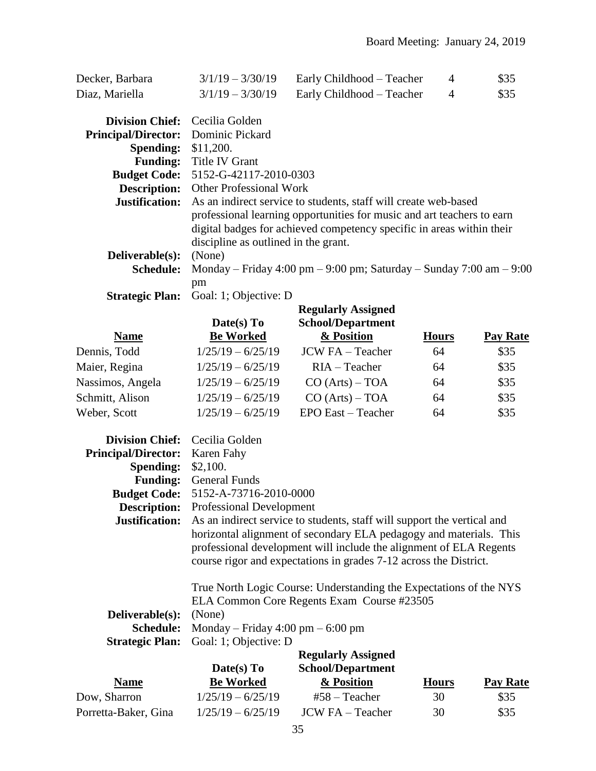| Decker, Barbara | $3/1/19 - 3/30/19$ | Early Childhood – Teacher | \$35 |
|-----------------|--------------------|---------------------------|------|
| Diaz, Mariella  | $3/1/19 - 3/30/19$ | Early Childhood – Teacher | \$35 |

| <b>Division Chief:</b> Cecilia Golden |                                                                        |
|---------------------------------------|------------------------------------------------------------------------|
| Principal/Director: Dominic Pickard   |                                                                        |
| <b>Spending:</b> \$11,200.            |                                                                        |
|                                       | <b>Funding:</b> Title IV Grant                                         |
|                                       | <b>Budget Code: 5152-G-42117-2010-0303</b>                             |
| <b>Description:</b>                   | <b>Other Professional Work</b>                                         |
| Justification:                        | As an indirect service to students, staff will create web-based        |
|                                       | professional learning opportunities for music and art teachers to earn |
|                                       | digital badges for achieved competency specific in areas within their  |
|                                       | discipline as outlined in the grant.                                   |
| Deliverable(s):                       | (None)                                                                 |
| <b>Schedule:</b>                      | Monday – Friday 4:00 pm – 9:00 pm; Saturday – Sunday 7:00 am – 9:00    |
|                                       | pm                                                                     |
|                                       | <b>Strategic Plan:</b> Goal: 1; Objective: D                           |
|                                       |                                                                        |

|                  | O(1.4)                         |                                        |              |                 |
|------------------|--------------------------------|----------------------------------------|--------------|-----------------|
|                  |                                | <b>Regularly Assigned</b>              |              | <b>Pay Rate</b> |
|                  | Date(s) To<br><b>Be Worked</b> | <b>School/Department</b><br>& Position |              |                 |
| <b>Name</b>      |                                |                                        | <b>Hours</b> |                 |
| Dennis, Todd     | $1/25/19 - 6/25/19$            | <b>JCW FA</b> – Teacher                | 64           | \$35            |
| Maier, Regina    | $1/25/19 - 6/25/19$            | $RIA - Teacher$                        | 64           | \$35            |
| Nassimos, Angela | $1/25/19 - 6/25/19$            | CO (Arts) – TOA                        | 64           | \$35            |
| Schmitt, Alison  | $1/25/19 - 6/25/19$            | CO (Arts) – TOA                        | 64           | \$35            |
| Weber, Scott     | $1/25/19 - 6/25/19$            | EPO East - Teacher                     | 64           | \$35            |

| <b>Division Chief:</b> Cecilia Golden |                                                                                                                                                                                                               |
|---------------------------------------|---------------------------------------------------------------------------------------------------------------------------------------------------------------------------------------------------------------|
| <b>Principal/Director:</b>            | Karen Fahy                                                                                                                                                                                                    |
| <b>Spending:</b>                      | \$2,100.                                                                                                                                                                                                      |
|                                       | <b>Funding:</b> General Funds                                                                                                                                                                                 |
|                                       | <b>Budget Code:</b> 5152-A-73716-2010-0000                                                                                                                                                                    |
| <b>Description:</b>                   | <b>Professional Development</b>                                                                                                                                                                               |
| Justification:                        | As an indirect service to students, staff will support the vertical and                                                                                                                                       |
|                                       | horizontal alignment of secondary ELA pedagogy and materials. This<br>professional development will include the alignment of ELA Regents<br>course rigor and expectations in grades 7-12 across the District. |
|                                       | True North Logic Course: Understanding the Expectations of the NYS                                                                                                                                            |
|                                       | ELA Common Core Regents Exam Course #23505                                                                                                                                                                    |
| Deliverable(s):                       | (None)                                                                                                                                                                                                        |
| <b>Schedule:</b>                      | Monday – Friday 4:00 pm – 6:00 pm                                                                                                                                                                             |
| <b>Strategic Plan:</b>                | Goal: 1; Objective: D                                                                                                                                                                                         |
|                                       | <b>Regularly Assigned</b>                                                                                                                                                                                     |

|                      | Date(s) $To$        | <b>School/Department</b> |              |                 |
|----------------------|---------------------|--------------------------|--------------|-----------------|
| <b>Name</b>          | <b>Be Worked</b>    | & Position               | <b>Hours</b> | <b>Pay Rate</b> |
| Dow, Sharron         | $1/25/19 - 6/25/19$ | $#58 - Teacher$          | 30           | \$35            |
| Porretta-Baker, Gina | $1/25/19 - 6/25/19$ | $JCWFA - Teacher$        | 30           | \$35            |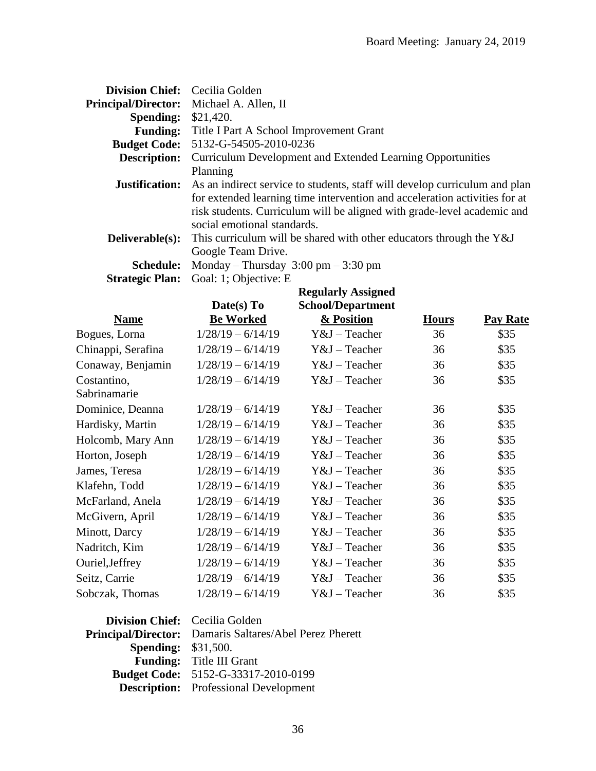| Division Chief: Cecilia Golden                                                         |
|----------------------------------------------------------------------------------------|
| Michael A. Allen, II                                                                   |
| <b>Spending:</b><br>\$21,420.                                                          |
| Title I Part A School Improvement Grant                                                |
| 5132-G-54505-2010-0236                                                                 |
| Curriculum Development and Extended Learning Opportunities                             |
| Planning                                                                               |
| As an indirect service to students, staff will develop curriculum and plan             |
| for extended learning time intervention and acceleration activities for at             |
| risk students. Curriculum will be aligned with grade-level academic and                |
| social emotional standards.                                                            |
| Deliverable(s):<br>This curriculum will be shared with other educators through the Y&J |
| Google Team Drive.                                                                     |
| Monday – Thursday $3:00 \text{ pm} - 3:30 \text{ pm}$                                  |
| Goal: 1; Objective: E                                                                  |
| <b>Regularly Assigned</b>                                                              |
|                                                                                        |

|                    | Date(s) To          | School/Department |              |          |
|--------------------|---------------------|-------------------|--------------|----------|
| <b>Name</b>        | <b>Be Worked</b>    | & Position        | <b>Hours</b> | Pay Rate |
| Bogues, Lorna      | $1/28/19 - 6/14/19$ | $Y&J$ – Teacher   | 36           | \$35     |
| Chinappi, Serafina | $1/28/19 - 6/14/19$ | $Y&J$ – Teacher   | 36           | \$35     |
| Conaway, Benjamin  | $1/28/19 - 6/14/19$ | $Y&J$ – Teacher   | 36           | \$35     |
| Costantino,        | $1/28/19 - 6/14/19$ | Y&J – Teacher     | 36           | \$35     |
| Sabrinamarie       |                     |                   |              |          |
| Dominice, Deanna   | $1/28/19 - 6/14/19$ | $Y&J$ – Teacher   | 36           | \$35     |
| Hardisky, Martin   | $1/28/19 - 6/14/19$ | Y&J – Teacher     | 36           | \$35     |
| Holcomb, Mary Ann  | $1/28/19 - 6/14/19$ | Y&J – Teacher     | 36           | \$35     |
| Horton, Joseph     | $1/28/19 - 6/14/19$ | Y&J – Teacher     | 36           | \$35     |
| James, Teresa      | $1/28/19 - 6/14/19$ | $Y&J$ – Teacher   | 36           | \$35     |
| Klafehn, Todd      | $1/28/19 - 6/14/19$ | $Y&J$ – Teacher   | 36           | \$35     |
| McFarland, Anela   | $1/28/19 - 6/14/19$ | $Y&J$ – Teacher   | 36           | \$35     |
| McGivern, April    | $1/28/19 - 6/14/19$ | $Y&J$ – Teacher   | 36           | \$35     |
| Minott, Darcy      | $1/28/19 - 6/14/19$ | $Y&J$ – Teacher   | 36           | \$35     |
| Nadritch, Kim      | $1/28/19 - 6/14/19$ | Y&J - Teacher     | 36           | \$35     |
| Ouriel, Jeffrey    | $1/28/19 - 6/14/19$ | $Y&J$ – Teacher   | 36           | \$35     |
| Seitz, Carrie      | $1/28/19 - 6/14/19$ | Y&J - Teacher     | 36           | \$35     |
| Sobczak, Thomas    | $1/28/19 - 6/14/19$ | Y&J – Teacher     | 36           | \$35     |

| <b>Division Chief:</b> Cecilia Golden |                                                                |
|---------------------------------------|----------------------------------------------------------------|
|                                       | <b>Principal/Director:</b> Damaris Saltares/Abel Perez Pherett |
| <b>Spending: \$31,500.</b>            |                                                                |
|                                       | <b>Funding:</b> Title III Grant                                |
|                                       | <b>Budget Code:</b> 5152-G-33317-2010-0199                     |
|                                       | <b>Description:</b> Professional Development                   |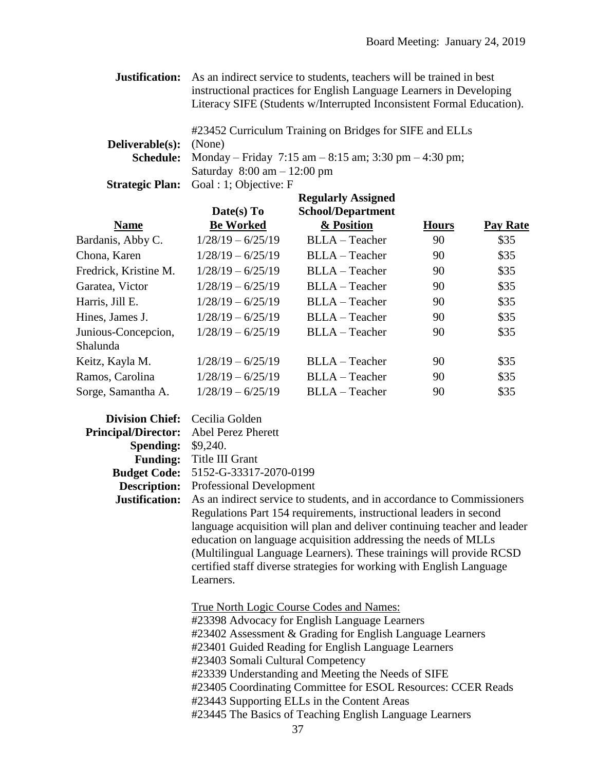| Justification:   | As an indirect service to students, teachers will be trained in best  |  |  |  |
|------------------|-----------------------------------------------------------------------|--|--|--|
|                  | instructional practices for English Language Learners in Developing   |  |  |  |
|                  | Literacy SIFE (Students w/Interrupted Inconsistent Formal Education). |  |  |  |
|                  |                                                                       |  |  |  |
|                  | #23452 Curriculum Training on Bridges for SIFE and ELLs               |  |  |  |
| Deliverable(s):  | (None)                                                                |  |  |  |
| <b>Schedule:</b> | Monday – Friday 7:15 am – 8:15 am; 3:30 pm – 4:30 pm;                 |  |  |  |
|                  | Saturday $8:00 \text{ am} - 12:00 \text{ pm}$                         |  |  |  |
|                  | <b>Strategic Plan:</b> Goal : 1; Objective: F                         |  |  |  |

|                                 | <b>Regularly Assigned</b> |                          |              |                 |
|---------------------------------|---------------------------|--------------------------|--------------|-----------------|
|                                 | Date(s) To                | <b>School/Department</b> |              |                 |
| <b>Name</b>                     | <b>Be Worked</b>          | & Position               | <b>Hours</b> | <b>Pay Rate</b> |
| Bardanis, Abby C.               | $1/28/19 - 6/25/19$       | BLLA - Teacher           | 90           | \$35            |
| Chona, Karen                    | $1/28/19 - 6/25/19$       | BLLA - Teacher           | 90           | \$35            |
| Fredrick, Kristine M.           | $1/28/19 - 6/25/19$       | BLLA - Teacher           | 90           | \$35            |
| Garatea, Victor                 | $1/28/19 - 6/25/19$       | $BLLA - Teacher$         | 90           | \$35            |
| Harris, Jill E.                 | $1/28/19 - 6/25/19$       | $BLLA - Teacher$         | 90           | \$35            |
| Hines, James J.                 | $1/28/19 - 6/25/19$       | BLLA - Teacher           | 90           | \$35            |
| Junious-Concepcion,<br>Shalunda | $1/28/19 - 6/25/19$       | BLLA - Teacher           | 90           | \$35            |
| Keitz, Kayla M.                 | $1/28/19 - 6/25/19$       | BLLA - Teacher           | 90           | \$35            |
| Ramos, Carolina                 | $1/28/19 - 6/25/19$       | BLLA - Teacher           | 90           | \$35            |
| Sorge, Samantha A.              | $1/28/19 - 6/25/19$       | BLLA - Teacher           | 90           | \$35            |

| Division Chief: Cecilia Golden |                                                                          |
|--------------------------------|--------------------------------------------------------------------------|
| <b>Principal/Director:</b>     | <b>Abel Perez Pherett</b>                                                |
| <b>Spending: \$9,240.</b>      |                                                                          |
|                                | Funding: Title III Grant                                                 |
|                                | <b>Budget Code: 5152-G-33317-2070-0199</b>                               |
|                                | <b>Description:</b> Professional Development                             |
| Justification:                 | As an indirect service to students, and in accordance to Commissioners   |
|                                | Regulations Part 154 requirements, instructional leaders in second       |
|                                | language acquisition will plan and deliver continuing teacher and leader |
|                                | education on language acquisition addressing the needs of MLLs           |
|                                | (Multilingual Language Learners). These trainings will provide RCSD      |
|                                | certified staff diverse strategies for working with English Language     |
|                                | Learners.                                                                |
|                                |                                                                          |
|                                | <b>True North Logic Course Codes and Names:</b>                          |
|                                | #23398 Advocacy for English Language Learners                            |
|                                | #23402 Assessment & Grading for English Language Learners                |
|                                | #23401 Guided Reading for English Language Learners                      |
|                                | #23403 Somali Cultural Competency                                        |
|                                | #23339 Understanding and Meeting the Needs of SIFE                       |
|                                | #23405 Coordinating Committee for ESOL Resources: CCER Reads             |
|                                | #23443 Supporting ELLs in the Content Areas                              |
|                                | #23445 The Basics of Teaching English Language Learners                  |
|                                | 37                                                                       |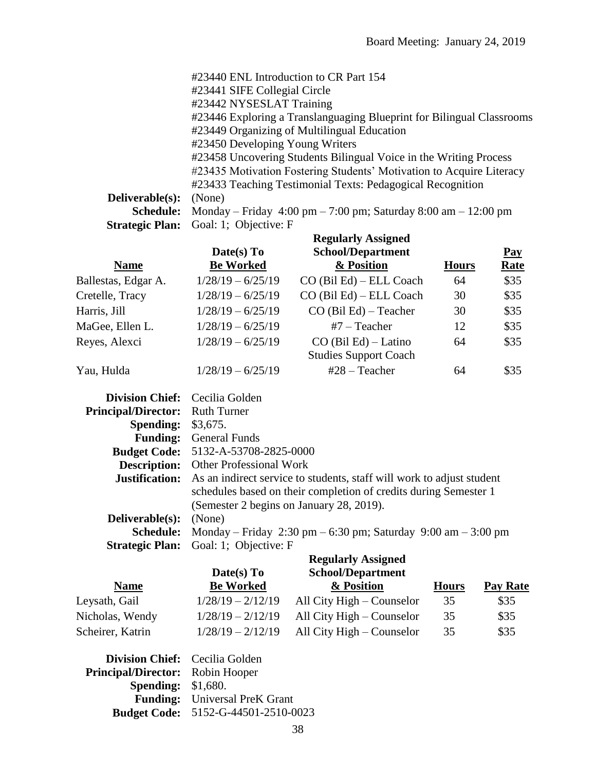|                        | #23440 ENL Introduction to CR Part 154                                                              |
|------------------------|-----------------------------------------------------------------------------------------------------|
|                        | #23441 SIFE Collegial Circle                                                                        |
|                        | #23442 NYSESLAT Training                                                                            |
|                        | #23446 Exploring a Translanguaging Blueprint for Bilingual Classrooms                               |
|                        | #23449 Organizing of Multilingual Education                                                         |
|                        | #23450 Developing Young Writers                                                                     |
|                        | #23458 Uncovering Students Bilingual Voice in the Writing Process                                   |
|                        | #23435 Motivation Fostering Students' Motivation to Acquire Literacy                                |
|                        | #23433 Teaching Testimonial Texts: Pedagogical Recognition                                          |
| <b>Deliverable(s):</b> | (None)                                                                                              |
| <b>Schedule:</b>       | Monday – Friday $4:00 \text{ pm} - 7:00 \text{ pm}$ ; Saturday $8:00 \text{ am} - 12:00 \text{ pm}$ |
|                        |                                                                                                     |

Strategic Plan: Goal: 1; Objective: F

|                     | <b>Regularly Assigned</b>      |                                        |              |                           |
|---------------------|--------------------------------|----------------------------------------|--------------|---------------------------|
| <b>Name</b>         | Date(s) To<br><b>Be Worked</b> | <b>School/Department</b><br>& Position | <b>Hours</b> | <u>Pay</u><br><u>Rate</u> |
| Ballestas, Edgar A. | $1/28/19 - 6/25/19$            | CO (Bil Ed) – ELL Coach                | 64           | \$35                      |
| Cretelle, Tracy     | $1/28/19 - 6/25/19$            | CO (Bil Ed) - ELL Coach                | 30           | \$35                      |
| Harris, Jill        | $1/28/19 - 6/25/19$            | $CO$ (Bil Ed) – Teacher                | 30           | \$35                      |
| MaGee, Ellen L.     | $1/28/19 - 6/25/19$            | $#7$ – Teacher                         | 12           | \$35                      |
| Reyes, Alexci       | $1/28/19 - 6/25/19$            | $CO$ (Bil Ed) – Latino                 | 64           | \$35                      |
|                     |                                | <b>Studies Support Coach</b>           |              |                           |
| Yau, Hulda          | $1/28/19 - 6/25/19$            | $#28 - Teacher$                        | 64           | \$35                      |

| <b>Division Chief:</b> Cecilia Golden  |                                                                                             |
|----------------------------------------|---------------------------------------------------------------------------------------------|
| <b>Principal/Director:</b> Ruth Turner |                                                                                             |
| <b>Spending:</b>                       | \$3,675.                                                                                    |
|                                        | <b>Funding:</b> General Funds                                                               |
|                                        | <b>Budget Code:</b> 5132-A-53708-2825-0000                                                  |
|                                        | <b>Description:</b> Other Professional Work                                                 |
|                                        | <b>Justification:</b> As an indirect service to students, staff will work to adjust student |
|                                        | schedules based on their completion of credits during Semester 1                            |
|                                        | (Semester 2 begins on January 28, 2019).                                                    |
| Deliverable(s):                        | (None)                                                                                      |
| Schedule:                              | Monday – Friday 2:30 pm – 6:30 pm; Saturday 9:00 am – 3:00 pm                               |
|                                        | <b>Strategic Plan:</b> Goal: 1; Objective: F                                                |
|                                        | Regularly Assigned                                                                          |

| <b>Name</b>      | Date(s) To          | <b>School/Department</b>  |              | <b>Pay Rate</b> |
|------------------|---------------------|---------------------------|--------------|-----------------|
|                  | <b>Be Worked</b>    | & Position                | <b>Hours</b> |                 |
| Leysath, Gail    | $1/28/19 - 2/12/19$ | All City High – Counselor | 35           | \$35            |
| Nicholas, Wendy  | $1/28/19 - 2/12/19$ | All City High – Counselor | 35           | \$35            |
| Scheirer, Katrin | $1/28/19 - 2/12/19$ | All City High – Counselor | 35           | \$35            |

| <b>Division Chief:</b> Cecilia Golden   |                                            |
|-----------------------------------------|--------------------------------------------|
| <b>Principal/Director:</b> Robin Hooper |                                            |
| <b>Spending:</b> \$1,680.               |                                            |
|                                         | <b>Funding:</b> Universal PreK Grant       |
|                                         | <b>Budget Code:</b> 5152-G-44501-2510-0023 |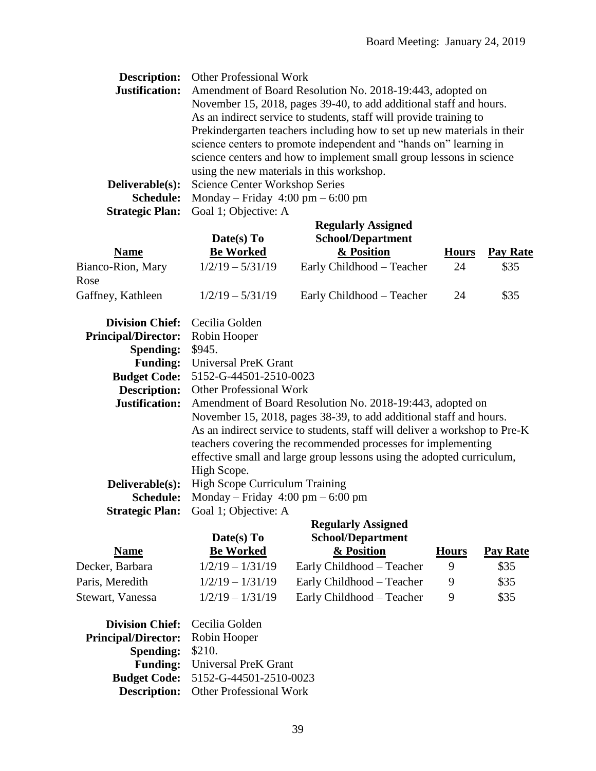| <b>Description:</b>    | <b>Other Professional Work</b>                                          |
|------------------------|-------------------------------------------------------------------------|
| Justification:         | Amendment of Board Resolution No. 2018-19:443, adopted on               |
|                        | November 15, 2018, pages 39-40, to add additional staff and hours.      |
|                        | As an indirect service to students, staff will provide training to      |
|                        | Prekindergarten teachers including how to set up new materials in their |
|                        | science centers to promote independent and "hands on" learning in       |
|                        | science centers and how to implement small group lessons in science     |
|                        | using the new materials in this workshop.                               |
| <b>Deliverable(s):</b> | <b>Science Center Workshop Series</b>                                   |
| <b>Schedule:</b>       | Monday – Friday $4:00 \text{ pm} - 6:00 \text{ pm}$                     |
| ~ <del>~</del>         | $\sim$ 11 $\sim$ 1 $\sim$ 1                                             |

**Strategic Plan:** Goal 1; Objective: A

|                            | Date(s) To                                                                                                                                                                                                                         | <b>Regularly Assigned</b><br><b>School/Department</b>     |              |                 |  |  |
|----------------------------|------------------------------------------------------------------------------------------------------------------------------------------------------------------------------------------------------------------------------------|-----------------------------------------------------------|--------------|-----------------|--|--|
| <b>Name</b>                | <b>Be Worked</b>                                                                                                                                                                                                                   | & Position                                                | <b>Hours</b> | <b>Pay Rate</b> |  |  |
| Bianco-Rion, Mary<br>Rose  | $1/2/19 - 5/31/19$                                                                                                                                                                                                                 | Early Childhood - Teacher                                 | 24           | \$35            |  |  |
| Gaffney, Kathleen          | $1/2/19 - 5/31/19$                                                                                                                                                                                                                 | Early Childhood – Teacher                                 | 24           | \$35            |  |  |
| <b>Division Chief:</b>     | Cecilia Golden                                                                                                                                                                                                                     |                                                           |              |                 |  |  |
| <b>Principal/Director:</b> | Robin Hooper                                                                                                                                                                                                                       |                                                           |              |                 |  |  |
| <b>Spending:</b>           | \$945.                                                                                                                                                                                                                             |                                                           |              |                 |  |  |
| <b>Funding:</b>            | Universal PreK Grant                                                                                                                                                                                                               |                                                           |              |                 |  |  |
| <b>Budget Code:</b>        |                                                                                                                                                                                                                                    | 5152-G-44501-2510-0023                                    |              |                 |  |  |
| <b>Description:</b>        | <b>Other Professional Work</b>                                                                                                                                                                                                     |                                                           |              |                 |  |  |
| Justification:             |                                                                                                                                                                                                                                    | Amendment of Board Resolution No. 2018-19:443, adopted on |              |                 |  |  |
|                            | November 15, 2018, pages 38-39, to add additional staff and hours.                                                                                                                                                                 |                                                           |              |                 |  |  |
|                            | As an indirect service to students, staff will deliver a workshop to Pre-K<br>teachers covering the recommended processes for implementing<br>effective small and large group lessons using the adopted curriculum,<br>High Scope. |                                                           |              |                 |  |  |
|                            |                                                                                                                                                                                                                                    |                                                           |              |                 |  |  |
|                            |                                                                                                                                                                                                                                    |                                                           |              |                 |  |  |
| Deliverable(s):            | <b>High Scope Curriculum Training</b>                                                                                                                                                                                              |                                                           |              |                 |  |  |
| <b>Schedule:</b>           | Monday – Friday $4:00 \text{ pm} - 6:00 \text{ pm}$                                                                                                                                                                                |                                                           |              |                 |  |  |
| <b>Strategic Plan:</b>     | Goal 1; Objective: A                                                                                                                                                                                                               |                                                           |              |                 |  |  |
|                            |                                                                                                                                                                                                                                    | <b>Regularly Assigned</b>                                 |              |                 |  |  |

|                                         |                                      | WE GUID TO THE TIME       |              |                 |
|-----------------------------------------|--------------------------------------|---------------------------|--------------|-----------------|
|                                         | Date(s) $To$                         | <b>School/Department</b>  |              |                 |
| <b>Name</b>                             | <b>Be Worked</b>                     | & Position                | <b>Hours</b> | <b>Pay Rate</b> |
| Decker, Barbara                         | $1/2/19 - 1/31/19$                   | Early Childhood – Teacher | 9            | \$35            |
| Paris, Meredith                         | $1/2/19 - 1/31/19$                   | Early Childhood - Teacher | 9            | \$35            |
| Stewart, Vanessa                        | $1/2/19 - 1/31/19$                   | Early Childhood - Teacher | 9            | \$35            |
| <b>Division Chief:</b> Cecilia Golden   |                                      |                           |              |                 |
| <b>Principal/Director:</b> Robin Hooper |                                      |                           |              |                 |
| <b>Spending:</b>                        | \$210.                               |                           |              |                 |
|                                         | <b>Funding:</b> Universal PreK Grant |                           |              |                 |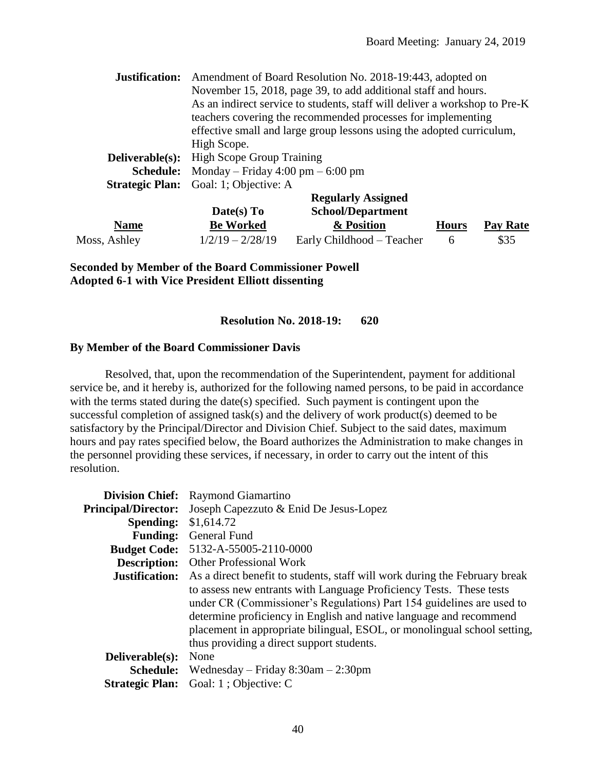| Justification:   | Amendment of Board Resolution No. 2018-19:443, adopted on<br>November 15, 2018, page 39, to add additional staff and hours. |                                                                       |              |          |  |
|------------------|-----------------------------------------------------------------------------------------------------------------------------|-----------------------------------------------------------------------|--------------|----------|--|
|                  |                                                                                                                             |                                                                       |              |          |  |
|                  | As an indirect service to students, staff will deliver a workshop to Pre-K                                                  |                                                                       |              |          |  |
|                  |                                                                                                                             | teachers covering the recommended processes for implementing          |              |          |  |
|                  |                                                                                                                             | effective small and large group lessons using the adopted curriculum, |              |          |  |
|                  | High Scope.                                                                                                                 |                                                                       |              |          |  |
| Deliverable(s):  | <b>High Scope Group Training</b>                                                                                            |                                                                       |              |          |  |
| <b>Schedule:</b> | Monday – Friday 4:00 pm – 6:00 pm                                                                                           |                                                                       |              |          |  |
|                  | <b>Strategic Plan:</b> Goal: 1; Objective: A                                                                                |                                                                       |              |          |  |
|                  | <b>Regularly Assigned</b>                                                                                                   |                                                                       |              |          |  |
|                  | Date(s) To                                                                                                                  | <b>School/Department</b>                                              |              |          |  |
| <b>Name</b>      | <b>Be Worked</b>                                                                                                            | & Position                                                            | <b>Hours</b> | Pay Rate |  |
| Moss, Ashley     | $1/2/19 - 2/28/19$                                                                                                          | Early Childhood – Teacher                                             | 6            | \$35     |  |

**Seconded by Member of the Board Commissioner Powell Adopted 6-1 with Vice President Elliott dissenting**

#### **Resolution No. 2018-19: 620**

#### **By Member of the Board Commissioner Davis**

Resolved, that, upon the recommendation of the Superintendent, payment for additional service be, and it hereby is, authorized for the following named persons, to be paid in accordance with the terms stated during the date(s) specified. Such payment is contingent upon the successful completion of assigned task(s) and the delivery of work product(s) deemed to be satisfactory by the Principal/Director and Division Chief. Subject to the said dates, maximum hours and pay rates specified below, the Board authorizes the Administration to make changes in the personnel providing these services, if necessary, in order to carry out the intent of this resolution.

|                            | <b>Division Chief:</b> Raymond Giamartino                                  |
|----------------------------|----------------------------------------------------------------------------|
| <b>Principal/Director:</b> | Joseph Capezzuto & Enid De Jesus-Lopez                                     |
| <b>Spending:</b>           | \$1,614.72                                                                 |
| <b>Funding:</b>            | General Fund                                                               |
| <b>Budget Code:</b>        | 5132-A-55005-2110-0000                                                     |
| <b>Description:</b>        | <b>Other Professional Work</b>                                             |
| Justification:             | As a direct benefit to students, staff will work during the February break |
|                            | to assess new entrants with Language Proficiency Tests. These tests        |
|                            | under CR (Commissioner's Regulations) Part 154 guidelines are used to      |
|                            | determine proficiency in English and native language and recommend         |
|                            | placement in appropriate bilingual, ESOL, or monolingual school setting,   |
|                            | thus providing a direct support students.                                  |
| Deliverable(s):            | None                                                                       |
| <b>Schedule:</b>           | Wednesday – Friday $8:30$ am – 2:30pm                                      |
| <b>Strategic Plan:</b>     | Goal: 1; Objective: C                                                      |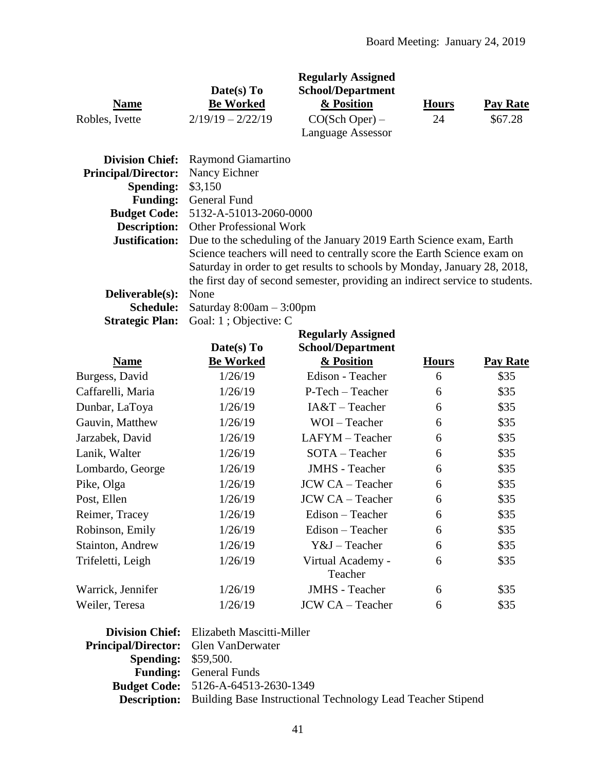|                            |                                            | <b>Regularly Assigned</b>                                                    |              |          |  |  |  |
|----------------------------|--------------------------------------------|------------------------------------------------------------------------------|--------------|----------|--|--|--|
|                            | Date(s) To                                 | <b>School/Department</b>                                                     |              |          |  |  |  |
| <b>Name</b>                | <b>Be Worked</b>                           | & Position                                                                   | <b>Hours</b> | Pay Rate |  |  |  |
| Robles, Ivette             | $2/19/19 - 2/22/19$                        | $CO(Sch$ Oper) –                                                             | 24           | \$67.28  |  |  |  |
|                            |                                            | <b>Language Assessor</b>                                                     |              |          |  |  |  |
| <b>Division Chief:</b>     | Raymond Giamartino                         |                                                                              |              |          |  |  |  |
| <b>Principal/Director:</b> | Nancy Eichner                              |                                                                              |              |          |  |  |  |
| <b>Spending:</b>           | \$3,150                                    |                                                                              |              |          |  |  |  |
|                            | <b>Funding:</b> General Fund               |                                                                              |              |          |  |  |  |
|                            | <b>Budget Code:</b> 5132-A-51013-2060-0000 |                                                                              |              |          |  |  |  |
| <b>Description:</b>        | <b>Other Professional Work</b>             |                                                                              |              |          |  |  |  |
| Justification:             |                                            | Due to the scheduling of the January 2019 Earth Science exam, Earth          |              |          |  |  |  |
|                            |                                            | Science teachers will need to centrally score the Earth Science exam on      |              |          |  |  |  |
|                            |                                            | Saturday in order to get results to schools by Monday, January 28, 2018,     |              |          |  |  |  |
|                            |                                            | the first day of second semester, providing an indirect service to students. |              |          |  |  |  |
| Deliverable(s):            | None                                       |                                                                              |              |          |  |  |  |
| <b>Schedule:</b>           | Saturday $8:00am - 3:00pm$                 |                                                                              |              |          |  |  |  |
| <b>Strategic Plan:</b>     | Goal: 1; Objective: C                      |                                                                              |              |          |  |  |  |

|                   | Date(s) $To$     | <b>Regularly Assigned</b><br>School/Department |              |                 |
|-------------------|------------------|------------------------------------------------|--------------|-----------------|
| <b>Name</b>       | <b>Be Worked</b> | & Position                                     | <b>Hours</b> | <b>Pay Rate</b> |
| Burgess, David    | 1/26/19          | Edison - Teacher                               | 6            | \$35            |
| Caffarelli, Maria | 1/26/19          | P-Tech – Teacher                               | 6            | \$35            |
| Dunbar, LaToya    | 1/26/19          | $IA&T$ – Teacher                               | 6            | \$35            |
| Gauvin, Matthew   | 1/26/19          | WOI-Teacher                                    | 6            | \$35            |
| Jarzabek, David   | 1/26/19          | $LAFYM - Teacher$                              | 6            | \$35            |
| Lanik, Walter     | 1/26/19          | $SOTA - Teacher$                               | 6            | \$35            |
| Lombardo, George  | 1/26/19          | <b>JMHS</b> - Teacher                          | 6            | \$35            |
| Pike, Olga        | 1/26/19          | <b>JCW CA - Teacher</b>                        | 6            | \$35            |
| Post, Ellen       | 1/26/19          | <b>JCW CA – Teacher</b>                        | 6            | \$35            |
| Reimer, Tracey    | 1/26/19          | Edison - Teacher                               | 6            | \$35            |
| Robinson, Emily   | 1/26/19          | Edison - Teacher                               | 6            | \$35            |
| Stainton, Andrew  | 1/26/19          | $Y&J$ – Teacher                                | 6            | \$35            |
| Trifeletti, Leigh | 1/26/19          | Virtual Academy -<br>Teacher                   | 6            | \$35            |
| Warrick, Jennifer | 1/26/19          | <b>JMHS</b> - Teacher                          | 6            | \$35            |
| Weiler, Teresa    | 1/26/19          | <b>JCW CA – Teacher</b>                        | 6            | \$35            |

|                                             | Division Chief: Elizabeth Mascitti-Miller                                       |
|---------------------------------------------|---------------------------------------------------------------------------------|
| <b>Principal/Director:</b> Glen VanDerwater |                                                                                 |
| <b>Spending: \$59,500.</b>                  |                                                                                 |
|                                             | <b>Funding:</b> General Funds                                                   |
|                                             | <b>Budget Code:</b> 5126-A-64513-2630-1349                                      |
|                                             | <b>Description:</b> Building Base Instructional Technology Lead Teacher Stipend |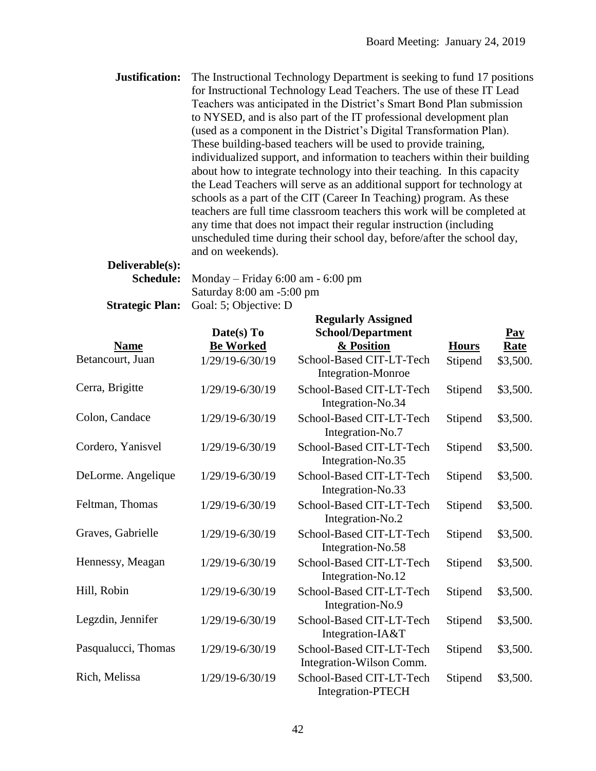**Justification:** The Instructional Technology Department is seeking to fund 17 positions for Instructional Technology Lead Teachers. The use of these IT Lead Teachers was anticipated in the District's Smart Bond Plan submission to NYSED, and is also part of the IT professional development plan (used as a component in the District's Digital Transformation Plan). These building-based teachers will be used to provide training, individualized support, and information to teachers within their building about how to integrate technology into their teaching. In this capacity the Lead Teachers will serve as an additional support for technology at schools as a part of the CIT (Career In Teaching) program. As these teachers are full time classroom teachers this work will be completed at any time that does not impact their regular instruction (including unscheduled time during their school day, before/after the school day, and on weekends).

# **Deliverable(s):**

**Schedule:** Monday – Friday 6:00 am - 6:00 pm Saturday 8:00 am -5:00 pm **Strategic Plan:** Goal: 5; Objective: D

|                     | <b>Regularly Assigned</b> |                                                      |              |             |
|---------------------|---------------------------|------------------------------------------------------|--------------|-------------|
|                     | Date(s) To                | <b>School/Department</b>                             |              | Pay         |
| <b>Name</b>         | <b>Be Worked</b>          | & Position                                           | <b>Hours</b> | <b>Rate</b> |
| Betancourt, Juan    | 1/29/19-6/30/19           | School-Based CIT-LT-Tech<br>Integration-Monroe       | Stipend      | \$3,500.    |
| Cerra, Brigitte     | 1/29/19-6/30/19           | School-Based CIT-LT-Tech<br>Integration-No.34        | Stipend      | \$3,500.    |
| Colon, Candace      | 1/29/19-6/30/19           | School-Based CIT-LT-Tech<br>Integration-No.7         | Stipend      | \$3,500.    |
| Cordero, Yanisvel   | 1/29/19-6/30/19           | School-Based CIT-LT-Tech<br>Integration-No.35        | Stipend      | \$3,500.    |
| DeLorme. Angelique  | 1/29/19-6/30/19           | School-Based CIT-LT-Tech<br>Integration-No.33        | Stipend      | \$3,500.    |
| Feltman, Thomas     | 1/29/19-6/30/19           | School-Based CIT-LT-Tech<br>Integration-No.2         | Stipend      | \$3,500.    |
| Graves, Gabrielle   | 1/29/19-6/30/19           | School-Based CIT-LT-Tech<br>Integration-No.58        | Stipend      | \$3,500.    |
| Hennessy, Meagan    | 1/29/19-6/30/19           | School-Based CIT-LT-Tech<br>Integration-No.12        | Stipend      | \$3,500.    |
| Hill, Robin         | 1/29/19-6/30/19           | School-Based CIT-LT-Tech<br>Integration-No.9         | Stipend      | \$3,500.    |
| Legzdin, Jennifer   | 1/29/19-6/30/19           | School-Based CIT-LT-Tech<br>Integration-IA&T         | Stipend      | \$3,500.    |
| Pasqualucci, Thomas | 1/29/19-6/30/19           | School-Based CIT-LT-Tech<br>Integration-Wilson Comm. | Stipend      | \$3,500.    |
| Rich, Melissa       | 1/29/19-6/30/19           | School-Based CIT-LT-Tech<br><b>Integration-PTECH</b> | Stipend      | \$3,500.    |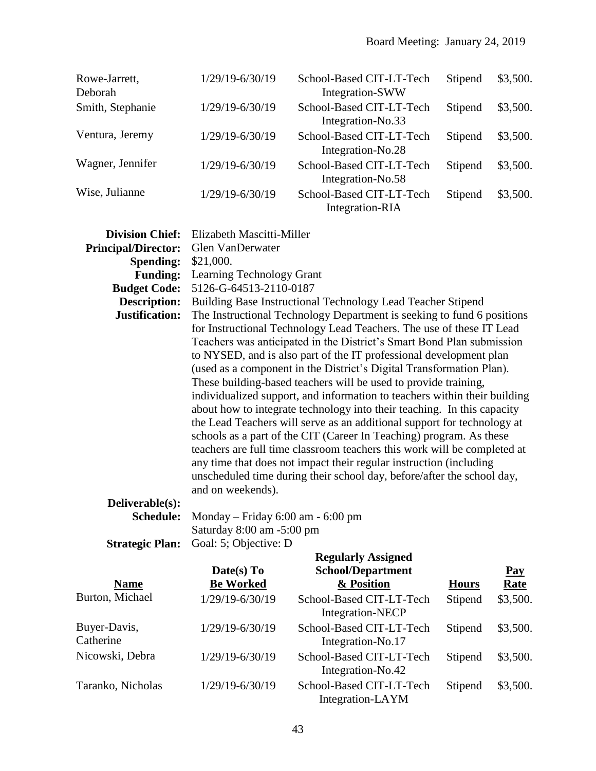| Rowe-Jarrett,<br>Deborah | 1/29/19-6/30/19 | School-Based CIT-LT-Tech<br>Integration-SWW   | Stipend | \$3,500. |
|--------------------------|-----------------|-----------------------------------------------|---------|----------|
| Smith, Stephanie         | 1/29/19-6/30/19 | School-Based CIT-LT-Tech<br>Integration-No.33 | Stipend | \$3,500. |
| Ventura, Jeremy          | 1/29/19-6/30/19 | School-Based CIT-LT-Tech<br>Integration-No.28 | Stipend | \$3,500. |
| Wagner, Jennifer         | 1/29/19-6/30/19 | School-Based CIT-LT-Tech<br>Integration-No.58 | Stipend | \$3,500. |
| Wise, Julianne           | 1/29/19-6/30/19 | School-Based CIT-LT-Tech<br>Integration-RIA   | Stipend | \$3,500. |

| <b>Division Chief:</b>     | Elizabeth Mascitti-Miller             |                                                                           |              |             |
|----------------------------|---------------------------------------|---------------------------------------------------------------------------|--------------|-------------|
| <b>Principal/Director:</b> | Glen VanDerwater                      |                                                                           |              |             |
| <b>Spending:</b>           | \$21,000.                             |                                                                           |              |             |
| <b>Funding:</b>            | Learning Technology Grant             |                                                                           |              |             |
| <b>Budget Code:</b>        | 5126-G-64513-2110-0187                |                                                                           |              |             |
| <b>Description:</b>        |                                       | Building Base Instructional Technology Lead Teacher Stipend               |              |             |
| Justification:             |                                       | The Instructional Technology Department is seeking to fund 6 positions    |              |             |
|                            |                                       | for Instructional Technology Lead Teachers. The use of these IT Lead      |              |             |
|                            |                                       | Teachers was anticipated in the District's Smart Bond Plan submission     |              |             |
|                            |                                       | to NYSED, and is also part of the IT professional development plan        |              |             |
|                            |                                       | (used as a component in the District's Digital Transformation Plan).      |              |             |
|                            |                                       | These building-based teachers will be used to provide training,           |              |             |
|                            |                                       | individualized support, and information to teachers within their building |              |             |
|                            |                                       | about how to integrate technology into their teaching. In this capacity   |              |             |
|                            |                                       | the Lead Teachers will serve as an additional support for technology at   |              |             |
|                            |                                       | schools as a part of the CIT (Career In Teaching) program. As these       |              |             |
|                            |                                       | teachers are full time classroom teachers this work will be completed at  |              |             |
|                            |                                       | any time that does not impact their regular instruction (including        |              |             |
|                            |                                       | unscheduled time during their school day, before/after the school day,    |              |             |
|                            | and on weekends).                     |                                                                           |              |             |
| Deliverable(s):            |                                       |                                                                           |              |             |
| <b>Schedule:</b>           | Monday – Friday $6:00$ am - $6:00$ pm |                                                                           |              |             |
|                            | Saturday 8:00 am -5:00 pm             |                                                                           |              |             |
| <b>Strategic Plan:</b>     | Goal: 5; Objective: D                 |                                                                           |              |             |
|                            |                                       | <b>Regularly Assigned</b>                                                 |              |             |
|                            | Date(s) To                            | <b>School/Department</b>                                                  |              | <b>Pay</b>  |
| <b>Name</b>                | <b>Be Worked</b>                      | & Position                                                                | <b>Hours</b> | <b>Rate</b> |
| Burton, Michael            | 1/29/19-6/30/19                       | School-Based CIT-LT-Tech                                                  | Stipend      | \$3,500.    |
|                            |                                       | <b>Integration-NECP</b>                                                   |              |             |
| Buyer-Davis,               | 1/29/19-6/30/19                       | School-Based CIT-LT-Tech                                                  | Stipend      | \$3,500.    |

**Catherine** Integration-No.17 Nicowski, Debra 1/29/19-6/30/19 School-Based CIT-LT-Tech Integration-No.42 Stipend \$3,500. Taranko, Nicholas 1/29/19-6/30/19 School-Based CIT-LT-Tech Integration-LAYM Stipend \$3,500.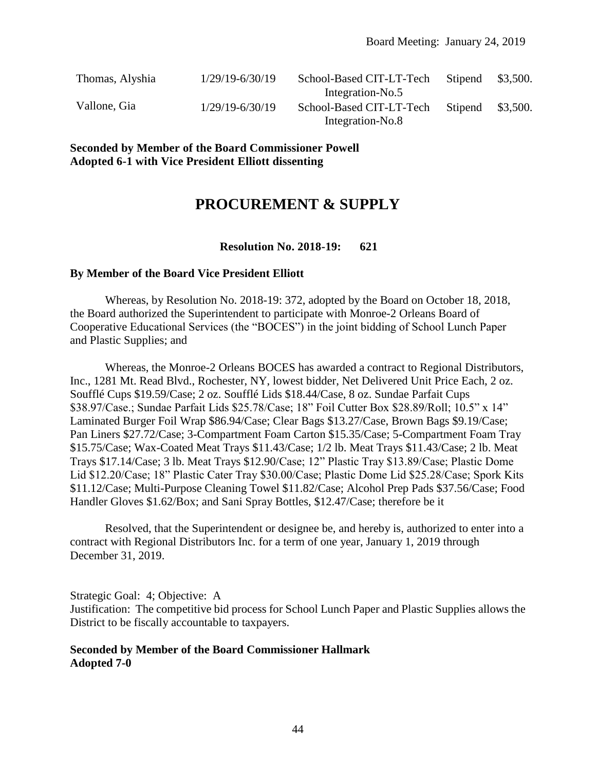| Thomas, Alyshia | $1/29/19 - 6/30/19$ | School-Based CIT-LT-Tech<br>Integration-No.5 | Stipend | \$3,500. |
|-----------------|---------------------|----------------------------------------------|---------|----------|
| Vallone, Gia    | $1/29/19 - 6/30/19$ | School-Based CIT-LT-Tech<br>Integration-No.8 | Stipend | \$3,500. |

**Seconded by Member of the Board Commissioner Powell Adopted 6-1 with Vice President Elliott dissenting**

# **PROCUREMENT & SUPPLY**

# **Resolution No. 2018-19: 621**

#### **By Member of the Board Vice President Elliott**

Whereas, by Resolution No. 2018-19: 372, adopted by the Board on October 18, 2018, the Board authorized the Superintendent to participate with Monroe-2 Orleans Board of Cooperative Educational Services (the "BOCES") in the joint bidding of School Lunch Paper and Plastic Supplies; and

Whereas, the Monroe-2 Orleans BOCES has awarded a contract to Regional Distributors, Inc., 1281 Mt. Read Blvd., Rochester, NY, lowest bidder, Net Delivered Unit Price Each, 2 oz. Soufflé Cups \$19.59/Case; 2 oz. Soufflé Lids \$18.44/Case, 8 oz. Sundae Parfait Cups \$38.97/Case.; Sundae Parfait Lids \$25.78/Case; 18" Foil Cutter Box \$28.89/Roll; 10.5" x 14" Laminated Burger Foil Wrap \$86.94/Case; Clear Bags \$13.27/Case, Brown Bags \$9.19/Case; Pan Liners \$27.72/Case; 3-Compartment Foam Carton \$15.35/Case; 5-Compartment Foam Tray \$15.75/Case; Wax-Coated Meat Trays \$11.43/Case; 1/2 lb. Meat Trays \$11.43/Case; 2 lb. Meat Trays \$17.14/Case; 3 lb. Meat Trays \$12.90/Case; 12" Plastic Tray \$13.89/Case; Plastic Dome Lid \$12.20/Case; 18" Plastic Cater Tray \$30.00/Case; Plastic Dome Lid \$25.28/Case; Spork Kits \$11.12/Case; Multi-Purpose Cleaning Towel \$11.82/Case; Alcohol Prep Pads \$37.56/Case; Food Handler Gloves \$1.62/Box; and Sani Spray Bottles, \$12.47/Case; therefore be it

Resolved, that the Superintendent or designee be, and hereby is, authorized to enter into a contract with Regional Distributors Inc. for a term of one year, January 1, 2019 through December 31, 2019.

Strategic Goal: 4; Objective: A Justification: The competitive bid process for School Lunch Paper and Plastic Supplies allows the District to be fiscally accountable to taxpayers.

# **Seconded by Member of the Board Commissioner Hallmark Adopted 7-0**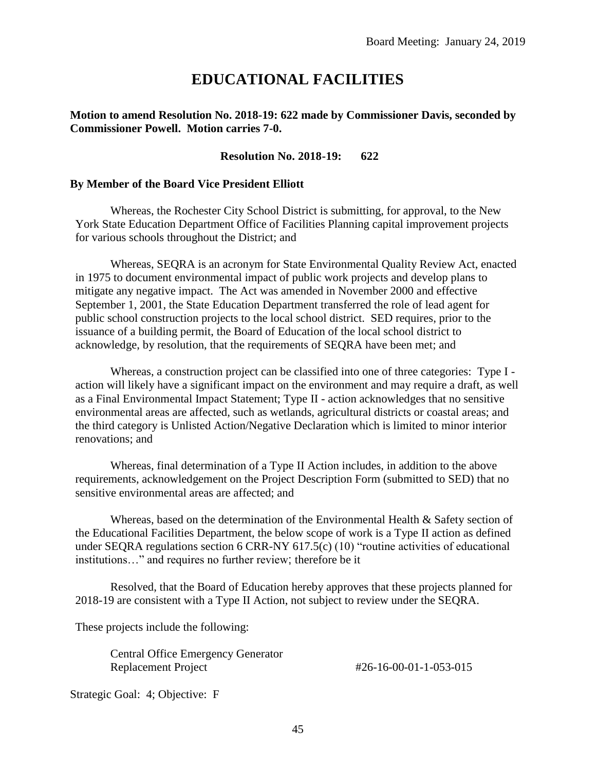# **EDUCATIONAL FACILITIES**

#### **Motion to amend Resolution No. 2018-19: 622 made by Commissioner Davis, seconded by Commissioner Powell. Motion carries 7-0.**

#### **Resolution No. 2018-19: 622**

#### **By Member of the Board Vice President Elliott**

Whereas, the Rochester City School District is submitting, for approval, to the New York State Education Department Office of Facilities Planning capital improvement projects for various schools throughout the District; and

Whereas, SEQRA is an acronym for State Environmental Quality Review Act, enacted in 1975 to document environmental impact of public work projects and develop plans to mitigate any negative impact. The Act was amended in November 2000 and effective September 1, 2001, the State Education Department transferred the role of lead agent for public school construction projects to the local school district. SED requires, prior to the issuance of a building permit, the Board of Education of the local school district to acknowledge, by resolution, that the requirements of SEQRA have been met; and

Whereas, a construction project can be classified into one of three categories: Type I action will likely have a significant impact on the environment and may require a draft, as well as a Final Environmental Impact Statement; Type II - action acknowledges that no sensitive environmental areas are affected, such as wetlands, agricultural districts or coastal areas; and the third category is Unlisted Action/Negative Declaration which is limited to minor interior renovations; and

Whereas, final determination of a Type II Action includes, in addition to the above requirements, acknowledgement on the Project Description Form (submitted to SED) that no sensitive environmental areas are affected; and

Whereas, based on the determination of the Environmental Health & Safety section of the Educational Facilities Department, the below scope of work is a Type II action as defined under SEQRA regulations section 6 CRR-NY 617.5(c) (10) "routine activities of educational institutions…" and requires no further review; therefore be it

Resolved, that the Board of Education hereby approves that these projects planned for 2018-19 are consistent with a Type II Action, not subject to review under the SEQRA.

These projects include the following:

Central Office Emergency Generator Replacement Project #26-16-00-01-1-053-015

Strategic Goal: 4; Objective: F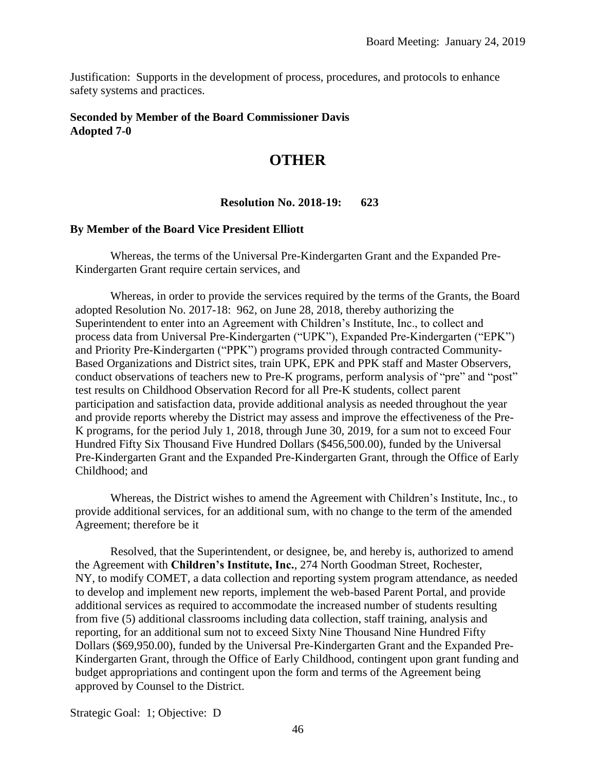Justification: Supports in the development of process, procedures, and protocols to enhance safety systems and practices.

#### **Seconded by Member of the Board Commissioner Davis Adopted 7-0**

# **OTHER**

#### **Resolution No. 2018-19: 623**

#### **By Member of the Board Vice President Elliott**

Whereas, the terms of the Universal Pre-Kindergarten Grant and the Expanded Pre-Kindergarten Grant require certain services, and

Whereas, in order to provide the services required by the terms of the Grants, the Board adopted Resolution No. 2017-18: 962, on June 28, 2018, thereby authorizing the Superintendent to enter into an Agreement with Children's Institute, Inc., to collect and process data from Universal Pre-Kindergarten ("UPK"), Expanded Pre-Kindergarten ("EPK") and Priority Pre-Kindergarten ("PPK") programs provided through contracted Community-Based Organizations and District sites, train UPK, EPK and PPK staff and Master Observers, conduct observations of teachers new to Pre-K programs, perform analysis of "pre" and "post" test results on Childhood Observation Record for all Pre-K students, collect parent participation and satisfaction data, provide additional analysis as needed throughout the year and provide reports whereby the District may assess and improve the effectiveness of the Pre-K programs, for the period July 1, 2018, through June 30, 2019, for a sum not to exceed Four Hundred Fifty Six Thousand Five Hundred Dollars (\$456,500.00), funded by the Universal Pre-Kindergarten Grant and the Expanded Pre-Kindergarten Grant, through the Office of Early Childhood; and

Whereas, the District wishes to amend the Agreement with Children's Institute, Inc., to provide additional services, for an additional sum, with no change to the term of the amended Agreement; therefore be it

Resolved, that the Superintendent, or designee, be, and hereby is, authorized to amend the Agreement with **Children's Institute, Inc.**, 274 North Goodman Street, Rochester, NY, to modify COMET, a data collection and reporting system program attendance, as needed to develop and implement new reports, implement the web-based Parent Portal, and provide additional services as required to accommodate the increased number of students resulting from five (5) additional classrooms including data collection, staff training, analysis and reporting, for an additional sum not to exceed Sixty Nine Thousand Nine Hundred Fifty Dollars (\$69,950.00), funded by the Universal Pre-Kindergarten Grant and the Expanded Pre-Kindergarten Grant, through the Office of Early Childhood, contingent upon grant funding and budget appropriations and contingent upon the form and terms of the Agreement being approved by Counsel to the District.

Strategic Goal: 1; Objective: D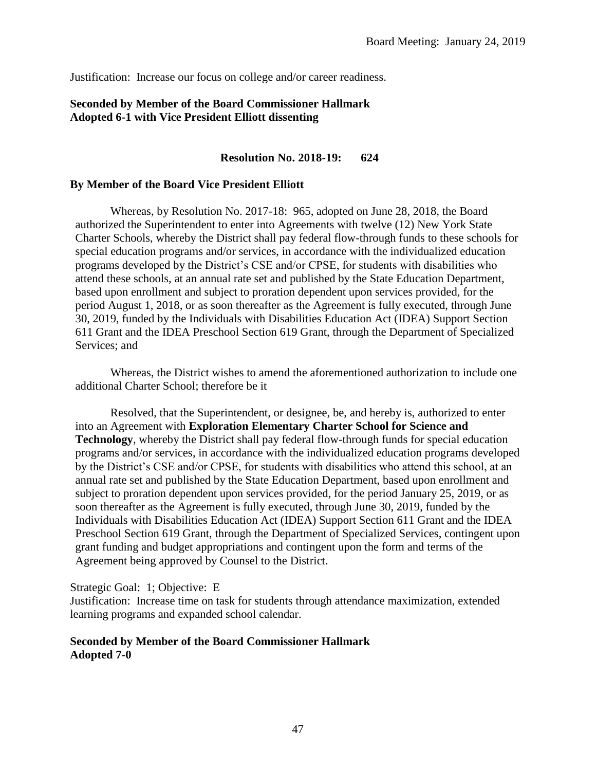Justification: Increase our focus on college and/or career readiness.

# **Seconded by Member of the Board Commissioner Hallmark Adopted 6-1 with Vice President Elliott dissenting**

# **Resolution No. 2018-19: 624**

#### **By Member of the Board Vice President Elliott**

Whereas, by Resolution No. 2017-18: 965, adopted on June 28, 2018, the Board authorized the Superintendent to enter into Agreements with twelve (12) New York State Charter Schools, whereby the District shall pay federal flow-through funds to these schools for special education programs and/or services, in accordance with the individualized education programs developed by the District's CSE and/or CPSE, for students with disabilities who attend these schools, at an annual rate set and published by the State Education Department, based upon enrollment and subject to proration dependent upon services provided, for the period August 1, 2018, or as soon thereafter as the Agreement is fully executed, through June 30, 2019, funded by the Individuals with Disabilities Education Act (IDEA) Support Section 611 Grant and the IDEA Preschool Section 619 Grant, through the Department of Specialized Services; and

Whereas, the District wishes to amend the aforementioned authorization to include one additional Charter School; therefore be it

Resolved, that the Superintendent, or designee, be, and hereby is, authorized to enter into an Agreement with **Exploration Elementary Charter School for Science and Technology**, whereby the District shall pay federal flow-through funds for special education programs and/or services, in accordance with the individualized education programs developed by the District's CSE and/or CPSE, for students with disabilities who attend this school, at an annual rate set and published by the State Education Department, based upon enrollment and subject to proration dependent upon services provided, for the period January 25, 2019, or as soon thereafter as the Agreement is fully executed, through June 30, 2019, funded by the Individuals with Disabilities Education Act (IDEA) Support Section 611 Grant and the IDEA Preschool Section 619 Grant, through the Department of Specialized Services, contingent upon grant funding and budget appropriations and contingent upon the form and terms of the Agreement being approved by Counsel to the District.

Strategic Goal: 1; Objective: E

Justification: Increase time on task for students through attendance maximization, extended learning programs and expanded school calendar.

## **Seconded by Member of the Board Commissioner Hallmark Adopted 7-0**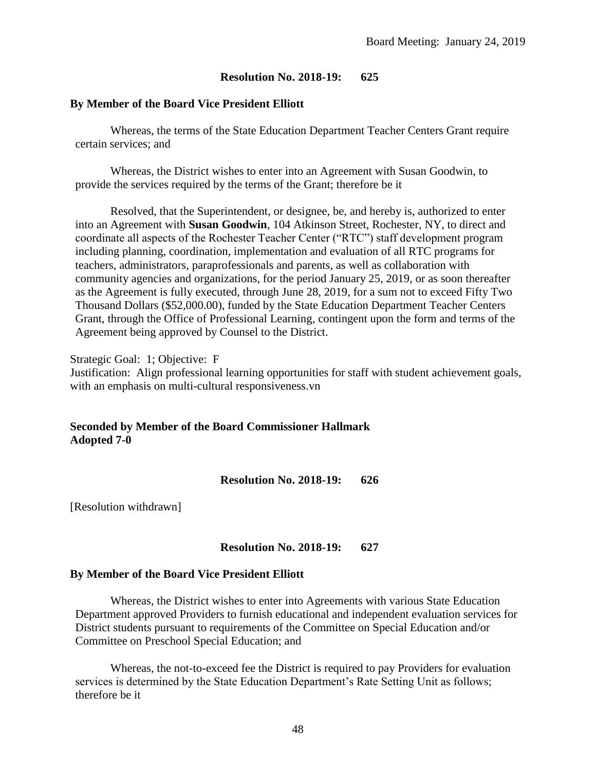#### **By Member of the Board Vice President Elliott**

Whereas, the terms of the State Education Department Teacher Centers Grant require certain services; and

Whereas, the District wishes to enter into an Agreement with Susan Goodwin, to provide the services required by the terms of the Grant; therefore be it

Resolved, that the Superintendent, or designee, be, and hereby is, authorized to enter into an Agreement with **Susan Goodwin**, 104 Atkinson Street, Rochester, NY, to direct and coordinate all aspects of the Rochester Teacher Center ("RTC") staff development program including planning, coordination, implementation and evaluation of all RTC programs for teachers, administrators, paraprofessionals and parents, as well as collaboration with community agencies and organizations, for the period January 25, 2019, or as soon thereafter as the Agreement is fully executed, through June 28, 2019, for a sum not to exceed Fifty Two Thousand Dollars (\$52,000.00), funded by the State Education Department Teacher Centers Grant, through the Office of Professional Learning, contingent upon the form and terms of the Agreement being approved by Counsel to the District.

Strategic Goal: 1; Objective: F Justification: Align professional learning opportunities for staff with student achievement goals, with an emphasis on multi-cultural responsiveness.vn

# **Seconded by Member of the Board Commissioner Hallmark Adopted 7-0**

**Resolution No. 2018-19: 626**

[Resolution withdrawn]

## **Resolution No. 2018-19: 627**

#### **By Member of the Board Vice President Elliott**

Whereas, the District wishes to enter into Agreements with various State Education Department approved Providers to furnish educational and independent evaluation services for District students pursuant to requirements of the Committee on Special Education and/or Committee on Preschool Special Education; and

Whereas, the not-to-exceed fee the District is required to pay Providers for evaluation services is determined by the State Education Department's Rate Setting Unit as follows; therefore be it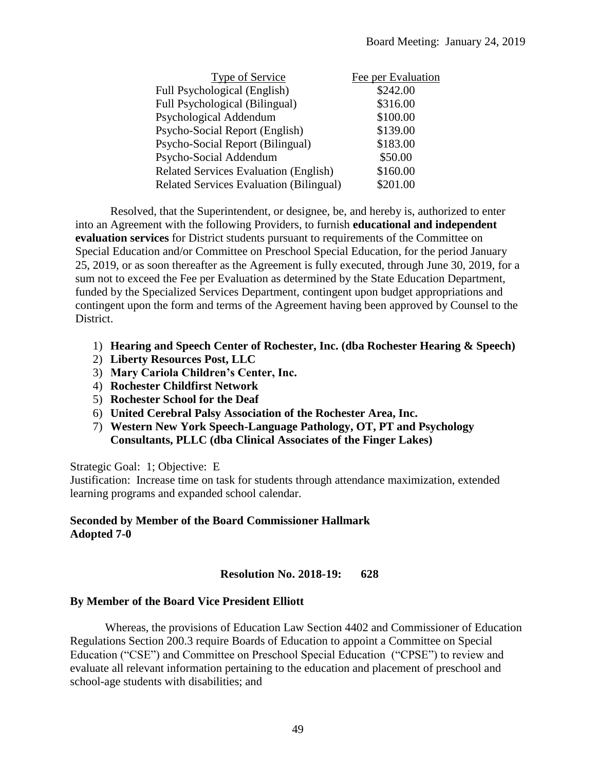| Type of Service                                | Fee per Evaluation |
|------------------------------------------------|--------------------|
| Full Psychological (English)                   | \$242.00           |
| Full Psychological (Bilingual)                 | \$316.00           |
| Psychological Addendum                         | \$100.00           |
| Psycho-Social Report (English)                 | \$139.00           |
| Psycho-Social Report (Bilingual)               | \$183.00           |
| Psycho-Social Addendum                         | \$50.00            |
| <b>Related Services Evaluation (English)</b>   | \$160.00           |
| <b>Related Services Evaluation (Bilingual)</b> | \$201.00           |

Resolved, that the Superintendent, or designee, be, and hereby is, authorized to enter into an Agreement with the following Providers, to furnish **educational and independent evaluation services** for District students pursuant to requirements of the Committee on Special Education and/or Committee on Preschool Special Education, for the period January 25, 2019, or as soon thereafter as the Agreement is fully executed, through June 30, 2019, for a sum not to exceed the Fee per Evaluation as determined by the State Education Department, funded by the Specialized Services Department, contingent upon budget appropriations and contingent upon the form and terms of the Agreement having been approved by Counsel to the District.

- 1) **Hearing and Speech Center of Rochester, Inc. (dba Rochester Hearing & Speech)**
- 2) **Liberty Resources Post, LLC**
- 3) **Mary Cariola Children's Center, Inc.**
- 4) **Rochester Childfirst Network**
- 5) **Rochester School for the Deaf**
- 6) **United Cerebral Palsy Association of the Rochester Area, Inc.**
- 7) **Western New York Speech-Language Pathology, OT, PT and Psychology Consultants, PLLC (dba Clinical Associates of the Finger Lakes)**

Strategic Goal: 1; Objective: E

Justification: Increase time on task for students through attendance maximization, extended learning programs and expanded school calendar.

# **Seconded by Member of the Board Commissioner Hallmark Adopted 7-0**

# **Resolution No. 2018-19: 628**

## **By Member of the Board Vice President Elliott**

Whereas, the provisions of Education Law Section 4402 and Commissioner of Education Regulations Section 200.3 require Boards of Education to appoint a Committee on Special Education ("CSE") and Committee on Preschool Special Education ("CPSE") to review and evaluate all relevant information pertaining to the education and placement of preschool and school-age students with disabilities; and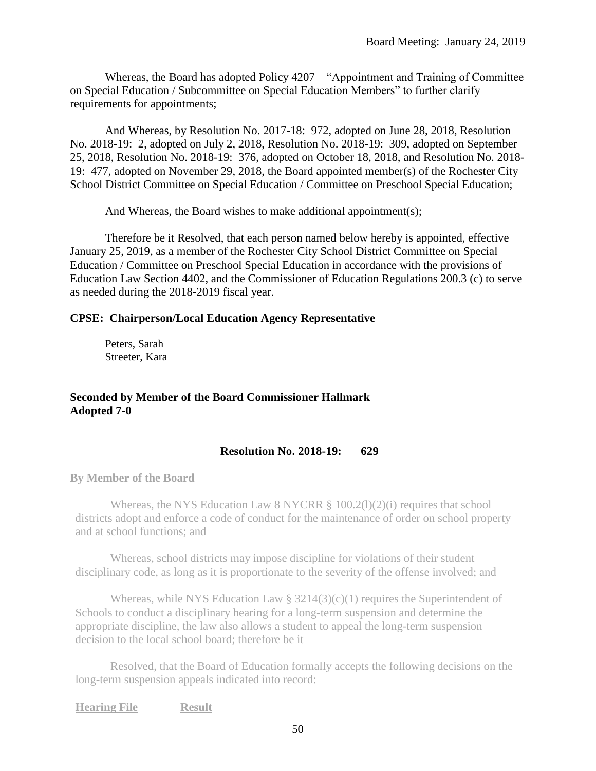Whereas, the Board has adopted Policy 4207 – "Appointment and Training of Committee on Special Education / Subcommittee on Special Education Members" to further clarify requirements for appointments;

And Whereas, by Resolution No. 2017-18: 972, adopted on June 28, 2018, Resolution No. 2018-19: 2, adopted on July 2, 2018, Resolution No. 2018-19: 309, adopted on September 25, 2018, Resolution No. 2018-19: 376, adopted on October 18, 2018, and Resolution No. 2018- 19: 477, adopted on November 29, 2018, the Board appointed member(s) of the Rochester City School District Committee on Special Education / Committee on Preschool Special Education;

And Whereas, the Board wishes to make additional appointment(s);

Therefore be it Resolved, that each person named below hereby is appointed, effective January 25, 2019, as a member of the Rochester City School District Committee on Special Education / Committee on Preschool Special Education in accordance with the provisions of Education Law Section 4402, and the Commissioner of Education Regulations 200.3 (c) to serve as needed during the 2018-2019 fiscal year.

## **CPSE: Chairperson/Local Education Agency Representative**

Peters, Sarah Streeter, Kara

**Seconded by Member of the Board Commissioner Hallmark Adopted 7-0**

## **Resolution No. 2018-19: 629**

**By Member of the Board**

Whereas, the NYS Education Law 8 NYCRR  $\S$  100.2(1)(2)(i) requires that school districts adopt and enforce a code of conduct for the maintenance of order on school property and at school functions; and

Whereas, school districts may impose discipline for violations of their student disciplinary code, as long as it is proportionate to the severity of the offense involved; and

Whereas, while NYS Education Law  $\S 3214(3)(c)(1)$  requires the Superintendent of Schools to conduct a disciplinary hearing for a long-term suspension and determine the appropriate discipline, the law also allows a student to appeal the long-term suspension decision to the local school board; therefore be it

Resolved, that the Board of Education formally accepts the following decisions on the long-term suspension appeals indicated into record:

**Hearing File Result**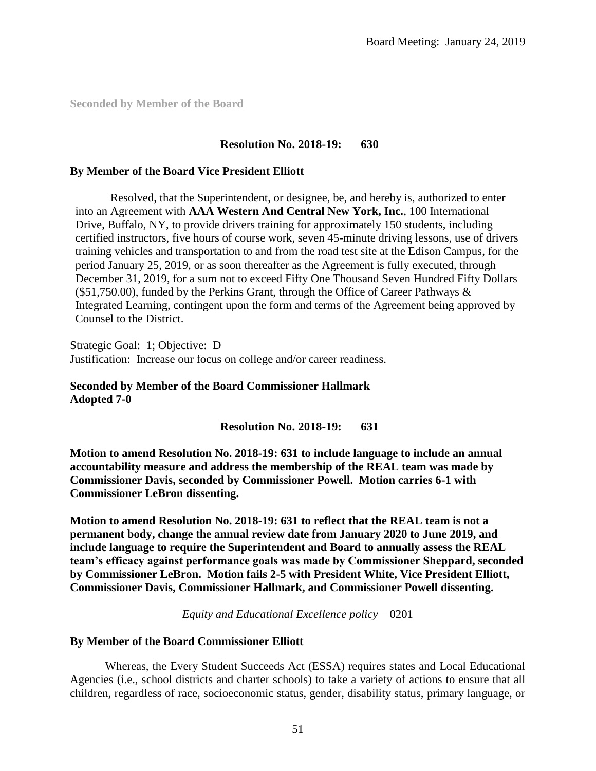**Seconded by Member of the Board** 

#### **Resolution No. 2018-19: 630**

#### **By Member of the Board Vice President Elliott**

Resolved, that the Superintendent, or designee, be, and hereby is, authorized to enter into an Agreement with **AAA Western And Central New York, Inc.**, 100 International Drive, Buffalo, NY, to provide drivers training for approximately 150 students, including certified instructors, five hours of course work, seven 45-minute driving lessons, use of drivers training vehicles and transportation to and from the road test site at the Edison Campus, for the period January 25, 2019, or as soon thereafter as the Agreement is fully executed, through December 31, 2019, for a sum not to exceed Fifty One Thousand Seven Hundred Fifty Dollars  $(\$51,750.00)$ , funded by the Perkins Grant, through the Office of Career Pathways  $\&$ Integrated Learning, contingent upon the form and terms of the Agreement being approved by Counsel to the District.

Strategic Goal: 1; Objective: D Justification: Increase our focus on college and/or career readiness.

## **Seconded by Member of the Board Commissioner Hallmark Adopted 7-0**

**Resolution No. 2018-19: 631**

**Motion to amend Resolution No. 2018-19: 631 to include language to include an annual accountability measure and address the membership of the REAL team was made by Commissioner Davis, seconded by Commissioner Powell. Motion carries 6-1 with Commissioner LeBron dissenting.**

**Motion to amend Resolution No. 2018-19: 631 to reflect that the REAL team is not a permanent body, change the annual review date from January 2020 to June 2019, and include language to require the Superintendent and Board to annually assess the REAL team's efficacy against performance goals was made by Commissioner Sheppard, seconded by Commissioner LeBron. Motion fails 2-5 with President White, Vice President Elliott, Commissioner Davis, Commissioner Hallmark, and Commissioner Powell dissenting.**

*Equity and Educational Excellence policy* – 0201

#### **By Member of the Board Commissioner Elliott**

Whereas, the Every Student Succeeds Act (ESSA) requires states and Local Educational Agencies (i.e., school districts and charter schools) to take a variety of actions to ensure that all children, regardless of race, socioeconomic status, gender, disability status, primary language, or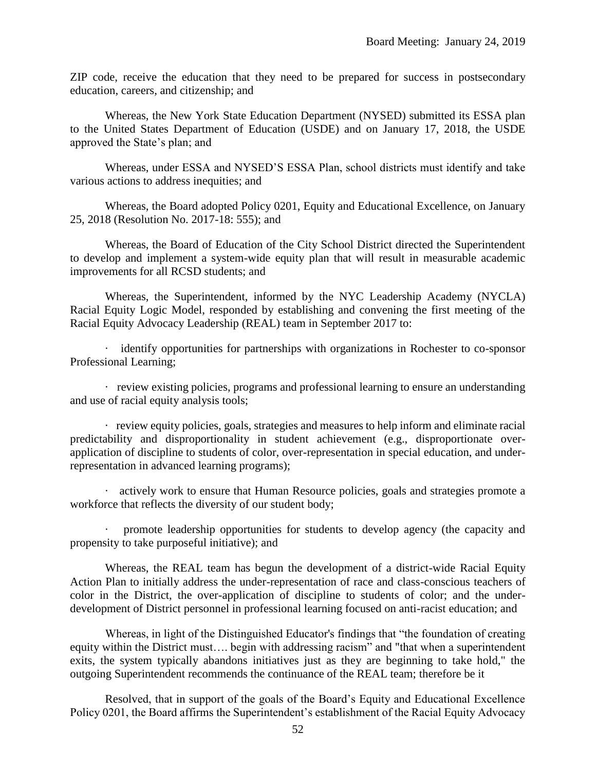ZIP code, receive the education that they need to be prepared for success in postsecondary education, careers, and citizenship; and

Whereas, the New York State Education Department (NYSED) submitted its ESSA plan to the United States Department of Education (USDE) and on January 17, 2018, the USDE approved the State's plan; and

Whereas, under ESSA and NYSED'S ESSA Plan, school districts must identify and take various actions to address inequities; and

Whereas, the Board adopted Policy 0201, Equity and Educational Excellence, on January 25, 2018 (Resolution No. 2017-18: 555); and

Whereas, the Board of Education of the City School District directed the Superintendent to develop and implement a system-wide equity plan that will result in measurable academic improvements for all RCSD students; and

Whereas, the Superintendent, informed by the NYC Leadership Academy (NYCLA) Racial Equity Logic Model, responded by establishing and convening the first meeting of the Racial Equity Advocacy Leadership (REAL) team in September 2017 to:

· identify opportunities for partnerships with organizations in Rochester to co-sponsor Professional Learning;

· review existing policies, programs and professional learning to ensure an understanding and use of racial equity analysis tools;

· review equity policies, goals, strategies and measures to help inform and eliminate racial predictability and disproportionality in student achievement (e.g., disproportionate overapplication of discipline to students of color, over-representation in special education, and underrepresentation in advanced learning programs);

· actively work to ensure that Human Resource policies, goals and strategies promote a workforce that reflects the diversity of our student body;

promote leadership opportunities for students to develop agency (the capacity and propensity to take purposeful initiative); and

Whereas, the REAL team has begun the development of a district-wide Racial Equity Action Plan to initially address the under-representation of race and class-conscious teachers of color in the District, the over-application of discipline to students of color; and the underdevelopment of District personnel in professional learning focused on anti-racist education; and

Whereas, in light of the Distinguished Educator's findings that "the foundation of creating equity within the District must…. begin with addressing racism" and "that when a superintendent exits, the system typically abandons initiatives just as they are beginning to take hold," the outgoing Superintendent recommends the continuance of the REAL team; therefore be it

Resolved, that in support of the goals of the Board's Equity and Educational Excellence Policy 0201, the Board affirms the Superintendent's establishment of the Racial Equity Advocacy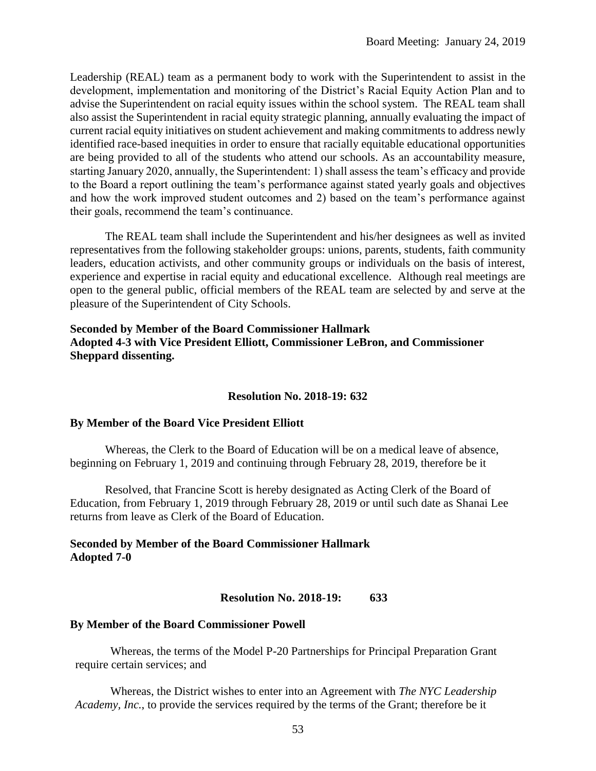Leadership (REAL) team as a permanent body to work with the Superintendent to assist in the development, implementation and monitoring of the District's Racial Equity Action Plan and to advise the Superintendent on racial equity issues within the school system. The REAL team shall also assist the Superintendent in racial equity strategic planning, annually evaluating the impact of current racial equity initiatives on student achievement and making commitments to address newly identified race-based inequities in order to ensure that racially equitable educational opportunities are being provided to all of the students who attend our schools. As an accountability measure, starting January 2020, annually, the Superintendent: 1) shall assess the team's efficacy and provide to the Board a report outlining the team's performance against stated yearly goals and objectives and how the work improved student outcomes and 2) based on the team's performance against their goals, recommend the team's continuance.

The REAL team shall include the Superintendent and his/her designees as well as invited representatives from the following stakeholder groups: unions, parents, students, faith community leaders, education activists, and other community groups or individuals on the basis of interest, experience and expertise in racial equity and educational excellence. Although real meetings are open to the general public, official members of the REAL team are selected by and serve at the pleasure of the Superintendent of City Schools.

# **Seconded by Member of the Board Commissioner Hallmark Adopted 4-3 with Vice President Elliott, Commissioner LeBron, and Commissioner Sheppard dissenting.**

## **Resolution No. 2018-19: 632**

## **By Member of the Board Vice President Elliott**

Whereas, the Clerk to the Board of Education will be on a medical leave of absence, beginning on February 1, 2019 and continuing through February 28, 2019, therefore be it

Resolved, that Francine Scott is hereby designated as Acting Clerk of the Board of Education, from February 1, 2019 through February 28, 2019 or until such date as Shanai Lee returns from leave as Clerk of the Board of Education.

# **Seconded by Member of the Board Commissioner Hallmark Adopted 7-0**

## **Resolution No. 2018-19: 633**

#### **By Member of the Board Commissioner Powell**

Whereas, the terms of the Model P-20 Partnerships for Principal Preparation Grant require certain services; and

Whereas, the District wishes to enter into an Agreement with *The NYC Leadership Academy, Inc.*, to provide the services required by the terms of the Grant; therefore be it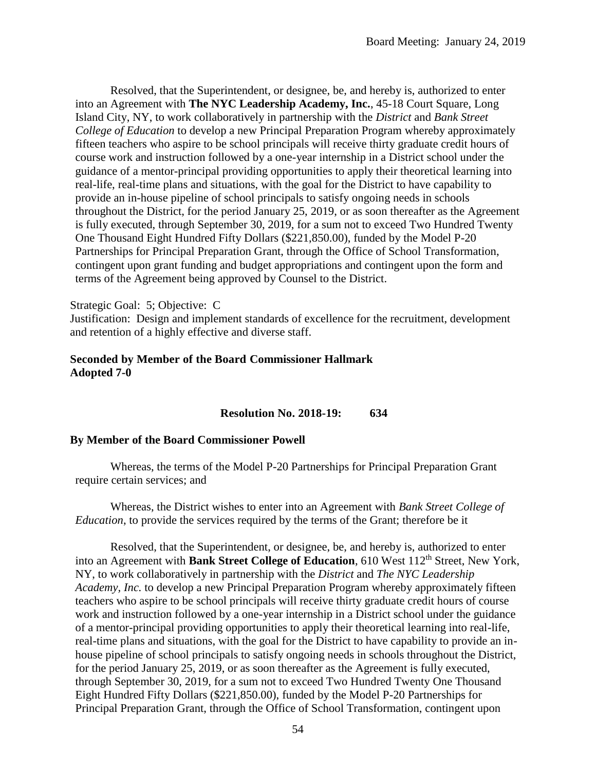Resolved, that the Superintendent, or designee, be, and hereby is, authorized to enter into an Agreement with **The NYC Leadership Academy, Inc.**, 45-18 Court Square, Long Island City, NY, to work collaboratively in partnership with the *District* and *Bank Street College of Education* to develop a new Principal Preparation Program whereby approximately fifteen teachers who aspire to be school principals will receive thirty graduate credit hours of course work and instruction followed by a one-year internship in a District school under the guidance of a mentor-principal providing opportunities to apply their theoretical learning into real-life, real-time plans and situations, with the goal for the District to have capability to provide an in-house pipeline of school principals to satisfy ongoing needs in schools throughout the District, for the period January 25, 2019, or as soon thereafter as the Agreement is fully executed, through September 30, 2019, for a sum not to exceed Two Hundred Twenty One Thousand Eight Hundred Fifty Dollars (\$221,850.00), funded by the Model P-20 Partnerships for Principal Preparation Grant, through the Office of School Transformation, contingent upon grant funding and budget appropriations and contingent upon the form and terms of the Agreement being approved by Counsel to the District.

#### Strategic Goal: 5; Objective: C

Justification: Design and implement standards of excellence for the recruitment, development and retention of a highly effective and diverse staff.

## **Seconded by Member of the Board Commissioner Hallmark Adopted 7-0**

#### **Resolution No. 2018-19: 634**

#### **By Member of the Board Commissioner Powell**

Whereas, the terms of the Model P-20 Partnerships for Principal Preparation Grant require certain services; and

Whereas, the District wishes to enter into an Agreement with *Bank Street College of Education*, to provide the services required by the terms of the Grant; therefore be it

Resolved, that the Superintendent, or designee, be, and hereby is, authorized to enter into an Agreement with Bank Street College of Education, 610 West 112<sup>th</sup> Street, New York, NY, to work collaboratively in partnership with the *District* and *The NYC Leadership Academy, Inc.* to develop a new Principal Preparation Program whereby approximately fifteen teachers who aspire to be school principals will receive thirty graduate credit hours of course work and instruction followed by a one-year internship in a District school under the guidance of a mentor-principal providing opportunities to apply their theoretical learning into real-life, real-time plans and situations, with the goal for the District to have capability to provide an inhouse pipeline of school principals to satisfy ongoing needs in schools throughout the District, for the period January 25, 2019, or as soon thereafter as the Agreement is fully executed, through September 30, 2019, for a sum not to exceed Two Hundred Twenty One Thousand Eight Hundred Fifty Dollars (\$221,850.00), funded by the Model P-20 Partnerships for Principal Preparation Grant, through the Office of School Transformation, contingent upon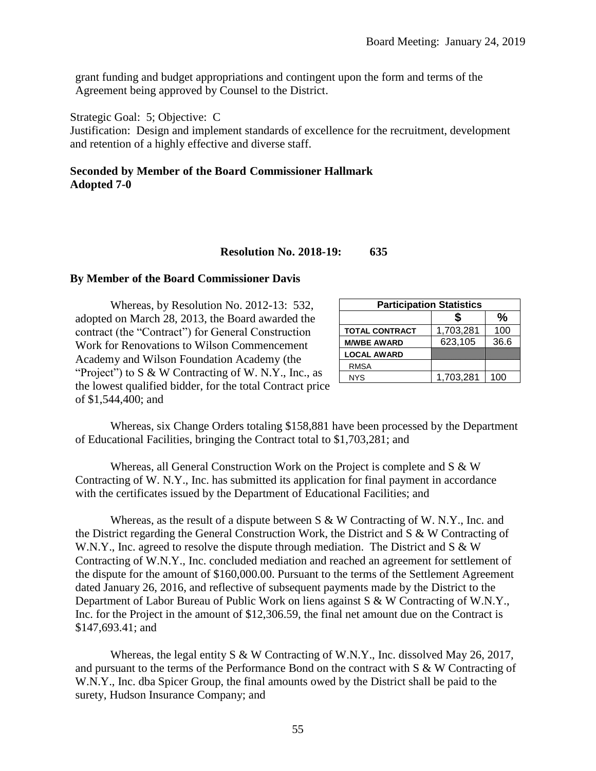grant funding and budget appropriations and contingent upon the form and terms of the Agreement being approved by Counsel to the District.

Strategic Goal: 5; Objective: C

Justification: Design and implement standards of excellence for the recruitment, development and retention of a highly effective and diverse staff.

# **Seconded by Member of the Board Commissioner Hallmark Adopted 7-0**

#### **Resolution No. 2018-19: 635**

#### **By Member of the Board Commissioner Davis**

Whereas, by Resolution No. 2012-13: 532, adopted on March 28, 2013, the Board awarded the contract (the "Contract") for General Construction Work for Renovations to Wilson Commencement Academy and Wilson Foundation Academy (the "Project") to  $S \& W$  Contracting of W. N.Y., Inc., as the lowest qualified bidder, for the total Contract price of \$1,544,400; and

| <b>Participation Statistics</b> |           |      |  |  |
|---------------------------------|-----------|------|--|--|
|                                 |           | %    |  |  |
| <b>TOTAL CONTRACT</b>           | 1,703,281 | 100  |  |  |
| <b>M/WBE AWARD</b>              | 623,105   | 36.6 |  |  |
| <b>LOCAL AWARD</b>              |           |      |  |  |
| <b>RMSA</b>                     |           |      |  |  |
| <b>NYS</b>                      | 1,703,281 | 100  |  |  |

Whereas, six Change Orders totaling \$158,881 have been processed by the Department of Educational Facilities, bringing the Contract total to \$1,703,281; and

Whereas, all General Construction Work on the Project is complete and  $S \& W$ Contracting of W. N.Y., Inc. has submitted its application for final payment in accordance with the certificates issued by the Department of Educational Facilities; and

Whereas, as the result of a dispute between S & W Contracting of W. N.Y., Inc. and the District regarding the General Construction Work, the District and  $S \& W$  Contracting of W.N.Y., Inc. agreed to resolve the dispute through mediation. The District and  $S \& W$ Contracting of W.N.Y., Inc. concluded mediation and reached an agreement for settlement of the dispute for the amount of \$160,000.00. Pursuant to the terms of the Settlement Agreement dated January 26, 2016, and reflective of subsequent payments made by the District to the Department of Labor Bureau of Public Work on liens against S & W Contracting of W.N.Y., Inc. for the Project in the amount of \$12,306.59, the final net amount due on the Contract is \$147,693.41; and

Whereas, the legal entity S & W Contracting of W.N.Y., Inc. dissolved May 26, 2017, and pursuant to the terms of the Performance Bond on the contract with S & W Contracting of W.N.Y., Inc. dba Spicer Group, the final amounts owed by the District shall be paid to the surety, Hudson Insurance Company; and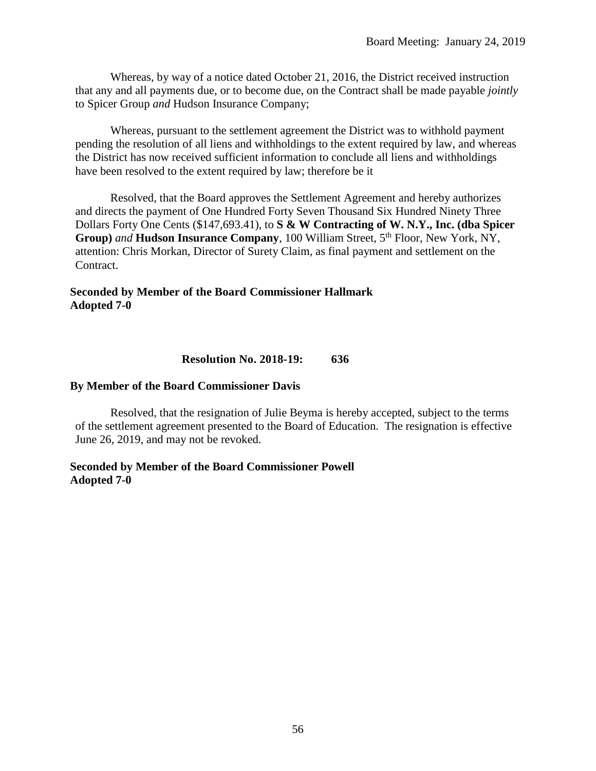Whereas, by way of a notice dated October 21, 2016, the District received instruction that any and all payments due, or to become due, on the Contract shall be made payable *jointly* to Spicer Group *and* Hudson Insurance Company;

 Whereas, pursuant to the settlement agreement the District was to withhold payment pending the resolution of all liens and withholdings to the extent required by law, and whereas the District has now received sufficient information to conclude all liens and withholdings have been resolved to the extent required by law; therefore be it

Resolved, that the Board approves the Settlement Agreement and hereby authorizes and directs the payment of One Hundred Forty Seven Thousand Six Hundred Ninety Three Dollars Forty One Cents (\$147,693.41), to **S & W Contracting of W. N.Y., Inc. (dba Spicer Group**) *and* **Hudson Insurance Company**, 100 William Street, 5<sup>th</sup> Floor, New York, NY, attention: Chris Morkan, Director of Surety Claim, as final payment and settlement on the Contract.

## **Seconded by Member of the Board Commissioner Hallmark Adopted 7-0**

## **Resolution No. 2018-19: 636**

#### **By Member of the Board Commissioner Davis**

Resolved, that the resignation of Julie Beyma is hereby accepted, subject to the terms of the settlement agreement presented to the Board of Education. The resignation is effective June 26, 2019, and may not be revoked.

#### **Seconded by Member of the Board Commissioner Powell Adopted 7-0**